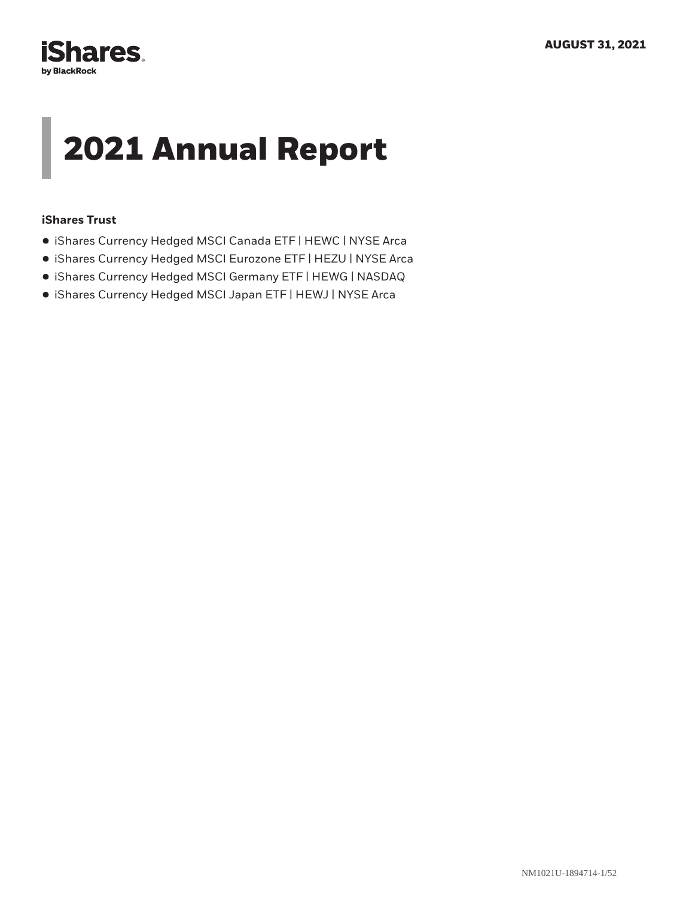

# **2021 Annual Report**

#### **iShares Trust**

- iShares Currency Hedged MSCI Canada ETF | HEWC | NYSE Arca
- iShares Currency Hedged MSCI Eurozone ETF | HEZU | NYSE Arca
- iShares Currency Hedged MSCI Germany ETF | HEWG | NASDAQ
- iShares Currency Hedged MSCI Japan ETF | HEWJ | NYSE Arca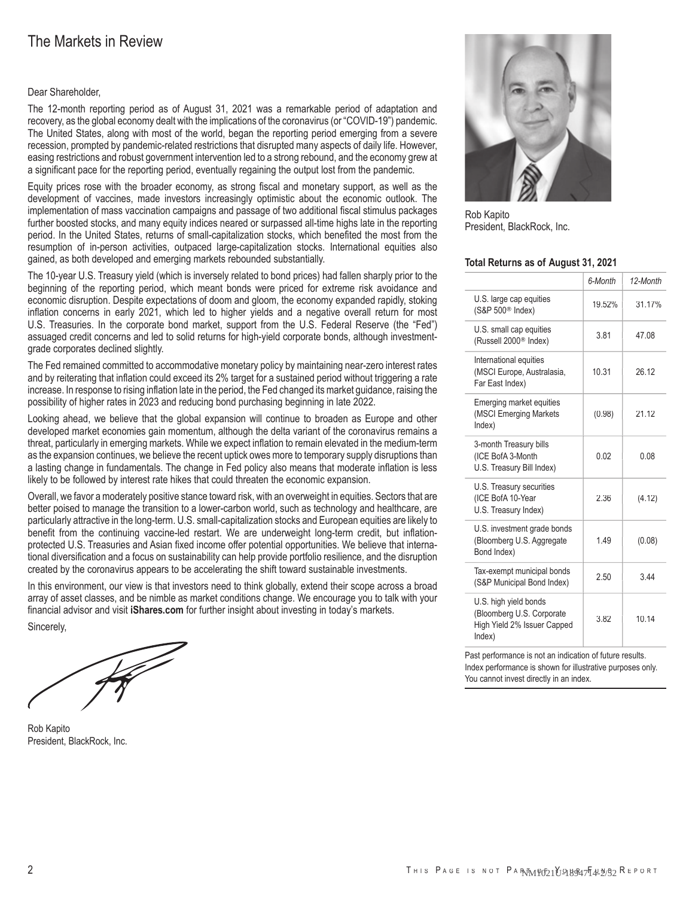# The Markets in Review

#### Dear Shareholder,

The 12-month reporting period as of August 31, 2021 was a remarkable period of adaptation and recovery, as the global economy dealt with the implications of the coronavirus (or "COVID-19") pandemic. The United States, along with most of the world, began the reporting period emerging from a severe recession, prompted by pandemic-related restrictions that disrupted many aspects of daily life. However, easing restrictions and robust government intervention led to a strong rebound, and the economy grew at a significant pace for the reporting period, eventually regaining the output lost from the pandemic.

Equity prices rose with the broader economy, as strong fiscal and monetary support, as well as the development of vaccines, made investors increasingly optimistic about the economic outlook. The implementation of mass vaccination campaigns and passage of two additional fiscal stimulus packages further boosted stocks, and many equity indices neared or surpassed all-time highs late in the reporting period. In the United States, returns of small-capitalization stocks, which benefited the most from the resumption of in-person activities, outpaced large-capitalization stocks. International equities also gained, as both developed and emerging markets rebounded substantially.

The 10-year U.S. Treasury yield (which is inversely related to bond prices) had fallen sharply prior to the beginning of the reporting period, which meant bonds were priced for extreme risk avoidance and economic disruption. Despite expectations of doom and gloom, the economy expanded rapidly, stoking inflation concerns in early 2021, which led to higher yields and a negative overall return for most U.S. Treasuries. In the corporate bond market, support from the U.S. Federal Reserve (the "Fed") assuaged credit concerns and led to solid returns for high-yield corporate bonds, although investmentgrade corporates declined slightly.

The Fed remained committed to accommodative monetary policy by maintaining near-zero interest rates and by reiterating that inflation could exceed its 2% target for a sustained period without triggering a rate increase. In response to rising inflation late in the period, the Fed changed its market guidance, raising the possibility of higher rates in 2023 and reducing bond purchasing beginning in late 2022.

Looking ahead, we believe that the global expansion will continue to broaden as Europe and other developed market economies gain momentum, although the delta variant of the coronavirus remains a threat, particularly in emerging markets. While we expect inflation to remain elevated in the medium-term as the expansion continues, we believe the recent uptick owes more to temporary supply disruptions than a lasting change in fundamentals. The change in Fed policy also means that moderate inflation is less likely to be followed by interest rate hikes that could threaten the economic expansion.

Overall, we favor a moderately positive stance toward risk, with an overweight in equities. Sectors that are better poised to manage the transition to a lower-carbon world, such as technology and healthcare, are particularly attractive in the long-term. U.S. small-capitalization stocks and European equities are likely to benefit from the continuing vaccine-led restart. We are underweight long-term credit, but inflationprotected U.S. Treasuries and Asian fixed income offer potential opportunities. We believe that international diversification and a focus on sustainability can help provide portfolio resilience, and the disruption created by the coronavirus appears to be accelerating the shift toward sustainable investments.

In this environment, our view is that investors need to think globally, extend their scope across a broad array of asset classes, and be nimble as market conditions change. We encourage you to talk with your financial advisor and visit **iShares.com** for further insight about investing in today's markets.

Sincerely,

Rob Kapito President, BlackRock, Inc.



Rob Kapito President, BlackRock, Inc.

#### **Total Returns as of August 31, 2021**

|                                                                                             | 6-Month | 12-Month |
|---------------------------------------------------------------------------------------------|---------|----------|
| U.S. large cap equities<br>(S&P 500 <sup>®</sup> Index)                                     | 19.52%  | 31.17%   |
| U.S. small cap equities<br>(Russell 2000 <sup>®</sup> Index)                                | 3.81    | 47 08    |
| International equities<br>(MSCI Europe, Australasia,<br>Far East Index)                     | 10 31   | 26 12    |
| <b>Emerging market equities</b><br>(MSCI Emerging Markets<br>Index)                         | (0.98)  | 21 12    |
| 3-month Treasury bills<br>(ICE BofA 3-Month<br>U.S. Treasury Bill Index)                    | 0.02    | 0.08     |
| U.S. Treasury securities<br>(ICE BofA 10-Year<br>U.S. Treasury Index)                       | 2.36    | (4.12)   |
| U.S. investment grade bonds<br>(Bloomberg U.S. Aggregate<br>Bond Index)                     | 149     | (0.08)   |
| Tax-exempt municipal bonds<br>(S&P Municipal Bond Index)                                    | 2.50    | 344      |
| U.S. high yield bonds<br>(Bloomberg U.S. Corporate<br>High Yield 2% Issuer Capped<br>Index) | 382     | 10 14    |

Past performance is not an indication of future results. Index performance is shown for illustrative purposes only. You cannot invest directly in an index.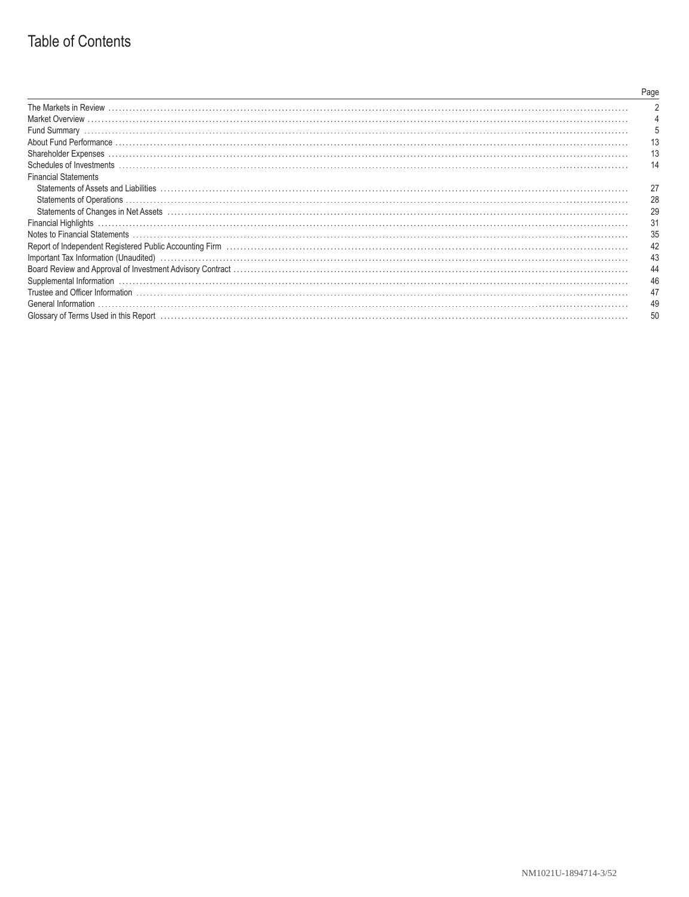# **Table of Contents**

|                                                                                                                                                                                                                                | Page |
|--------------------------------------------------------------------------------------------------------------------------------------------------------------------------------------------------------------------------------|------|
|                                                                                                                                                                                                                                |      |
| Market Overview                                                                                                                                                                                                                |      |
|                                                                                                                                                                                                                                |      |
|                                                                                                                                                                                                                                | 13   |
|                                                                                                                                                                                                                                | 13   |
| Schedules of Investments with the content of the content of the content of the content of the content of the content of the content of the content of the content of the content of the content of the content of the content  | 14   |
| <b>Financial Statements</b>                                                                                                                                                                                                    |      |
| Statements of Assets and Liabilities with conservative conservative conservative conservative conservative conservative conservative conservative conservative conservative conservative conservative conservative conservativ | 27   |
|                                                                                                                                                                                                                                | 28   |
| Statements of Changes in Net Assets with an according to the control of the control of the statements of Changes in Net Assets with an according to the control of the control of the statements of Changes in Net Assets      | 29   |
|                                                                                                                                                                                                                                | 31   |
|                                                                                                                                                                                                                                | 35   |
|                                                                                                                                                                                                                                |      |
|                                                                                                                                                                                                                                | 43   |
|                                                                                                                                                                                                                                | 44   |
| Supplemental Information with the content of the content of the content of the content of the content of the content of the content of the content of the content of the content of the content of the content of the content  |      |
|                                                                                                                                                                                                                                |      |
| General Information                                                                                                                                                                                                            | 49   |
|                                                                                                                                                                                                                                | 50   |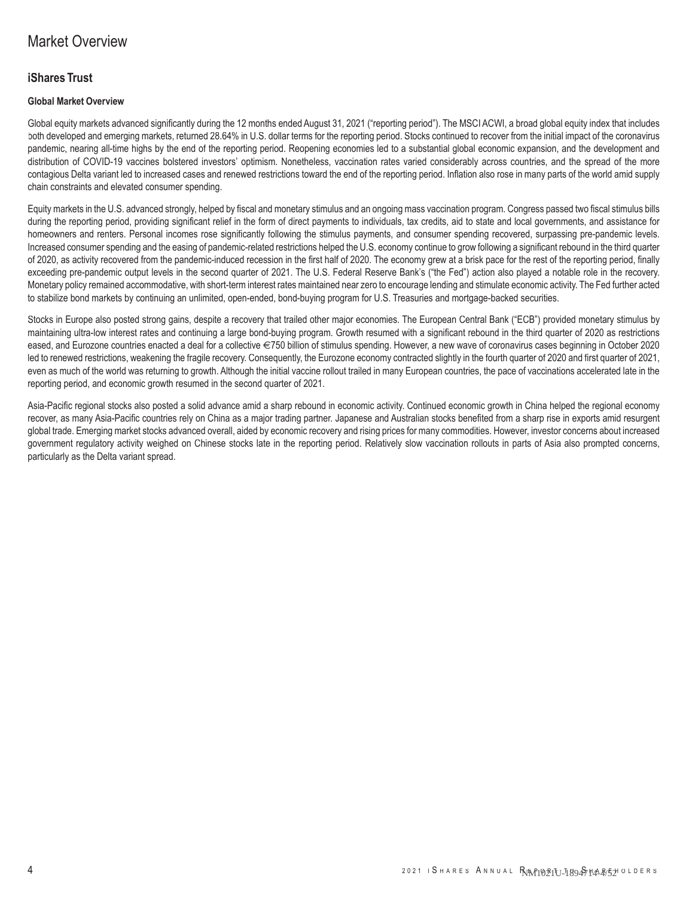## **iShares Trust**

#### **Global Market Overview**

Global equity markets advanced significantly during the 12 months ended August 31, 2021 ("reporting period"). The MSCI ACWI, a broad global equity index that includes both developed and emerging markets, returned 28.64% in U.S. dollar terms for the reporting period. Stocks continued to recover from the initial impact of the coronavirus pandemic, nearing all-time highs by the end of the reporting period. Reopening economies led to a substantial global economic expansion, and the development and distribution of COVID-19 vaccines bolstered investors' optimism. Nonetheless, vaccination rates varied considerably across countries, and the spread of the more contagious Delta variant led to increased cases and renewed restrictions toward the end of the reporting period. Inflation also rose in many parts of the world amid supply chain constraints and elevated consumer spending.

Equity markets in the U.S. advanced strongly, helped by fiscal and monetary stimulus and an ongoing mass vaccination program. Congress passed two fiscal stimulus bills during the reporting period, providing significant relief in the form of direct payments to individuals, tax credits, aid to state and local governments, and assistance for homeowners and renters. Personal incomes rose significantly following the stimulus payments, and consumer spending recovered, surpassing pre-pandemic levels. Increased consumer spending and the easing of pandemic-related restrictions helped the U.S. economy continue to grow following a significant rebound in the third quarter of 2020, as activity recovered from the pandemic-induced recession in the first half of 2020. The economy grew at a brisk pace for the rest of the reporting period, finally exceeding pre-pandemic output levels in the second quarter of 2021. The U.S. Federal Reserve Bank's ("the Fed") action also played a notable role in the recovery. Monetary policy remained accommodative, with short-term interest rates maintained near zero to encourage lending and stimulate economic activity. The Fed further acted to stabilize bond markets by continuing an unlimited, open-ended, bond-buying program for U.S. Treasuries and mortgage-backed securities.

Stocks in Europe also posted strong gains, despite a recovery that trailed other major economies. The European Central Bank ("ECB") provided monetary stimulus by maintaining ultra-low interest rates and continuing a large bond-buying program. Growth resumed with a significant rebound in the third quarter of 2020 as restrictions eased, and Eurozone countries enacted a deal for a collective €750 billion of stimulus spending. However, a new wave of coronavirus cases beginning in October 2020 led to renewed restrictions, weakening the fragile recovery. Consequently, the Eurozone economy contracted slightly in the fourth quarter of 2020 and first quarter of 2021, even as much of the world was returning to growth. Although the initial vaccine rollout trailed in many European countries, the pace of vaccinations accelerated late in the reporting period, and economic growth resumed in the second quarter of 2021.

Asia-Pacific regional stocks also posted a solid advance amid a sharp rebound in economic activity. Continued economic growth in China helped the regional economy recover, as many Asia-Pacific countries rely on China as a major trading partner. Japanese and Australian stocks benefited from a sharp rise in exports amid resurgent global trade. Emerging market stocks advanced overall, aided by economic recovery and rising prices for many commodities. However, investor concerns about increased government regulatory activity weighed on Chinese stocks late in the reporting period. Relatively slow vaccination rollouts in parts of Asia also prompted concerns, particularly as the Delta variant spread.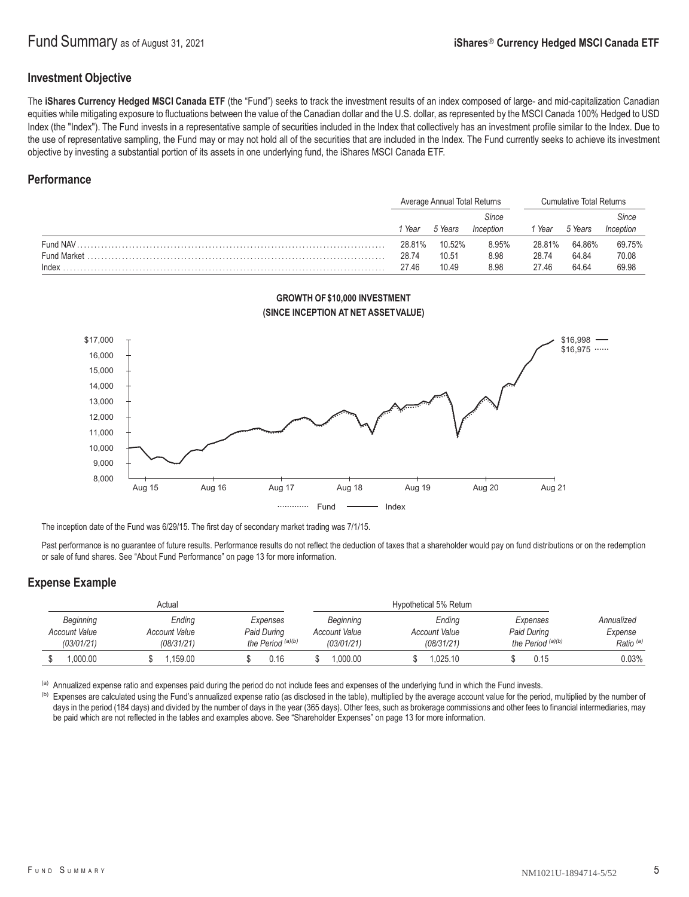### **Investment Objective**

The **iShares Currency Hedged MSCI Canada ETF** (the "Fund") seeks to track the investment results of an index composed of large- and mid-capitalization Canadian equities while mitigating exposure to fluctuations between the value of the Canadian dollar and the U.S. dollar, as represented by the MSCI Canada 100% Hedged to USD Index (the "Index"). The Fund invests in a representative sample of securities included in the Index that collectively has an investment profile similar to the Index. Due to the use of representative sampling, the Fund may or may not hold all of the securities that are included in the Index. The Fund currently seeks to achieve its investment objective by investing a substantial portion of its assets in one underlying fund, the iShares MSCI Canada ETF.

### **Performance**

|                    | Average Annual Total Returns |         | <b>Cumulative Total Returns</b> |        |         |                    |
|--------------------|------------------------------|---------|---------------------------------|--------|---------|--------------------|
|                    | Year                         | 5 Years | Since<br>Inception              | Year   | 5 Years | Since<br>Inception |
| Fund NAV           | 28.81%                       | 10.52%  | 8.95%                           | 28.81% | 64.86%  | 69.75%             |
| <b>Fund Market</b> | 28.74                        | 10.51   | 8.98                            | 28.74  | 64.84   | 70.08              |
| Index              | 27.46                        | 10.49   | 8.98                            | 27.46  | 64.64   | 69.98              |

**GROWTH OF \$10,000 INVESTMENT**



The inception date of the Fund was 6/29/15. The first day of secondary market trading was 7/1/15.

Past performance is no guarantee of future results. Performance results do not reflect the deduction of taxes that a shareholder would pay on fund distributions or on the redemption or sale of fund shares. See "About Fund Performance" on page 13 for more information.

### **Expense Example**

|                                                 | Actual                                |                                              |                                                 | Hypothetical 5% Return                       |                                                |                                               |
|-------------------------------------------------|---------------------------------------|----------------------------------------------|-------------------------------------------------|----------------------------------------------|------------------------------------------------|-----------------------------------------------|
| Beginning<br><b>Account Value</b><br>(03/01/21) | Ending<br>Account Value<br>(08/31/21) | Expenses<br>Paid During<br>the Period (a)(b) | Beginning<br><b>Account Value</b><br>(03/01/21) | Ending<br><b>Account Value</b><br>(08/31/21) | Expenses<br>Paid During<br>the Period $(a)(b)$ | Annualized<br>Expense<br>Ratio <sup>(a)</sup> |
| .000.00                                         | .159.00                               | 0.16                                         | .000.00                                         | .025.10                                      | 0.15                                           | 0.03%                                         |

(a) Annualized expense ratio and expenses paid during the period do not include fees and expenses of the underlying fund in which the Fund invests.

(b) Expenses are calculated using the Fund's annualized expense ratio (as disclosed in the table), multiplied by the average account value for the period, multiplied by the number of days in the period (184 days) and divided by the number of days in the year (365 days). Other fees, such as brokerage commissions and other fees to financial intermediaries, may be paid which are not reflected in the tables and examples above. See "Shareholder Expenses" on page 13 for more information.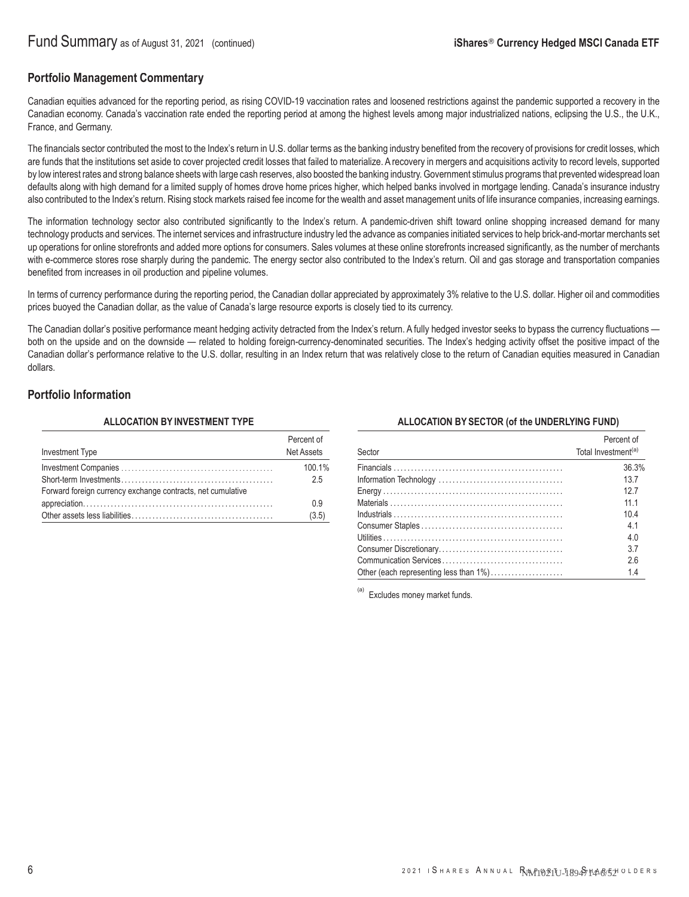### **Portfolio Management Commentary**

Canadian equities advanced for the reporting period, as rising COVID-19 vaccination rates and loosened restrictions against the pandemic supported a recovery in the Canadian economy. Canada's vaccination rate ended the reporting period at among the highest levels among major industrialized nations, eclipsing the U.S., the U.K., France, and Germany.

The financials sector contributed the most to the Index's return in U.S. dollar terms as the banking industry benefited from the recovery of provisions for credit losses, which are funds that the institutions set aside to cover projected credit losses that failed to materialize. A recovery in mergers and acquisitions activity to record levels, supported by low interest rates and strong balance sheets with large cash reserves, also boosted the banking industry. Government stimulus programs that prevented widespread loan defaults along with high demand for a limited supply of homes drove home prices higher, which helped banks involved in mortgage lending. Canada's insurance industry also contributed to the Index's return. Rising stock markets raised fee income for the wealth and asset management units of life insurance companies, increasing earnings.

The information technology sector also contributed significantly to the Index's return. A pandemic-driven shift toward online shopping increased demand for many technology products and services. The internet services and infrastructure industry led the advance as companies initiated services to help brick-and-mortar merchants set up operations for online storefronts and added more options for consumers. Sales volumes at these online storefronts increased significantly, as the number of merchants with e-commerce stores rose sharply during the pandemic. The energy sector also contributed to the Index's return. Oil and gas storage and transportation companies benefited from increases in oil production and pipeline volumes.

In terms of currency performance during the reporting period, the Canadian dollar appreciated by approximately 3% relative to the U.S. dollar. Higher oil and commodities prices buoyed the Canadian dollar, as the value of Canada's large resource exports is closely tied to its currency.

The Canadian dollar's positive performance meant hedging activity detracted from the Index's return. A fully hedged investor seeks to bypass the currency fluctuations both on the upside and on the downside — related to holding foreign-currency-denominated securities. The Index's hedging activity offset the positive impact of the Canadian dollar's performance relative to the U.S. dollar, resulting in an Index return that was relatively close to the return of Canadian equities measured in Canadian dollars.

### **Portfolio Information**

#### **ALLOCATION BY INVESTMENT TYPE**

|                                                             | Percent of        |
|-------------------------------------------------------------|-------------------|
| Investment Type                                             | <b>Net Assets</b> |
|                                                             | 100.1%            |
|                                                             | 25                |
| Forward foreign currency exchange contracts, net cumulative |                   |
|                                                             | 09                |
|                                                             | (3.5)             |

#### **ALLOCATION BY SECTOR (of the UNDERLYING FUND)**

| Sector                                 | Percent of<br>Total Investment <sup>(a)</sup> |
|----------------------------------------|-----------------------------------------------|
|                                        | 36 3%                                         |
|                                        | 137                                           |
|                                        | 127                                           |
|                                        | 111                                           |
|                                        | 104                                           |
|                                        | 41                                            |
|                                        | 40                                            |
|                                        | 37                                            |
|                                        | 26                                            |
| Other (each representing less than 1%) | 14                                            |

<sup>(a)</sup> Excludes money market funds.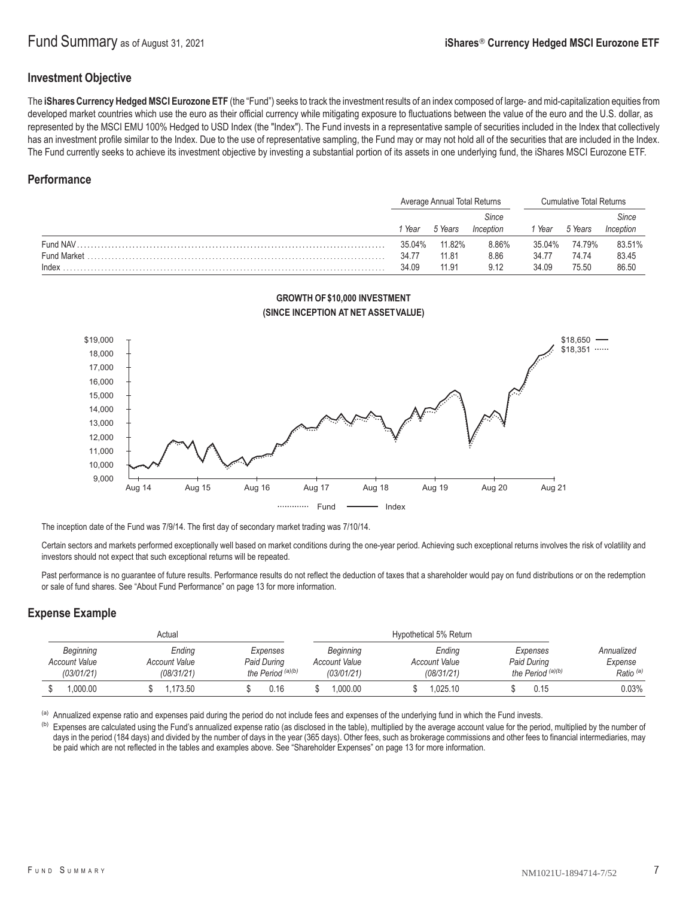### **Investment Objective**

The **iShares Currency Hedged MSCI Eurozone ETF** (the "Fund") seeks to track the investment results of an index composed of large- and mid-capitalization equities from developed market countries which use the euro as their official currency while mitigating exposure to fluctuations between the value of the euro and the U.S. dollar, as represented by the MSCI EMU 100% Hedged to USD Index (the "Index"). The Fund invests in a representative sample of securities included in the Index that collectively has an investment profile similar to the Index. Due to the use of representative sampling, the Fund may or may not hold all of the securities that are included in the Index. The Fund currently seeks to achieve its investment objective by investing a substantial portion of its assets in one underlying fund, the iShares MSCI Eurozone ETF.

### **Performance**

|             | Average Annual Total Returns |         |                    | <b>Cumulative Total Returns</b> |         |                    |
|-------------|------------------------------|---------|--------------------|---------------------------------|---------|--------------------|
|             | Year                         | 5 Years | Since<br>Inception | Year                            | 5 Years | Since<br>Inception |
| Fund NAV    | 35.04%                       | 11 82%  | 8.86%              | 35.04%                          | 74.79%  | 83.51%             |
| Fund Market | 34.77                        | 11.81   | 8.86               | 34.77                           | 74.74   | 83.45              |
| Index       | 34.09                        | 11.91   | 9.12               | 34.09                           | 75.50   | 86.50              |

**GROWTH OF \$10,000 INVESTMENT**



The inception date of the Fund was 7/9/14. The first day of secondary market trading was 7/10/14.

Certain sectors and markets performed exceptionally well based on market conditions during the one-year period. Achieving such exceptional returns involves the risk of volatility and investors should not expect that such exceptional returns will be repeated.

Past performance is no guarantee of future results. Performance results do not reflect the deduction of taxes that a shareholder would pay on fund distributions or on the redemption or sale of fund shares. See "About Fund Performance" on page 13 for more information.

### **Expense Example**

|                                                 | Actual                                |                                              |                                          | Hypothetical 5% Return                |                                              |                                               |
|-------------------------------------------------|---------------------------------------|----------------------------------------------|------------------------------------------|---------------------------------------|----------------------------------------------|-----------------------------------------------|
| Beginning<br><b>Account Value</b><br>(03/01/21) | Ending<br>Account Value<br>(08/31/21) | Expenses<br>Paid During<br>the Period (a)(b) | Beginning<br>Account Value<br>(03/01/21) | Ending<br>Account Value<br>(08/31/21) | Expenses<br>Paid During<br>the Period (a)(b) | Annualized<br>Expense<br>Ratio <sup>(a)</sup> |
| 1.000.00                                        | 173.50                                | 0.16                                         | .000.00                                  | .025.10                               | 0.15                                         | 0.03%                                         |

(a) Annualized expense ratio and expenses paid during the period do not include fees and expenses of the underlying fund in which the Fund invests.

(b) Expenses are calculated using the Fund's annualized expense ratio (as disclosed in the table), multiplied by the average account value for the period, multiplied by the number of days in the period (184 days) and divided by the number of days in the year (365 days). Other fees, such as brokerage commissions and other fees to financial intermediaries, may be paid which are not reflected in the tables and examples above. See "Shareholder Expenses" on page 13 for more information.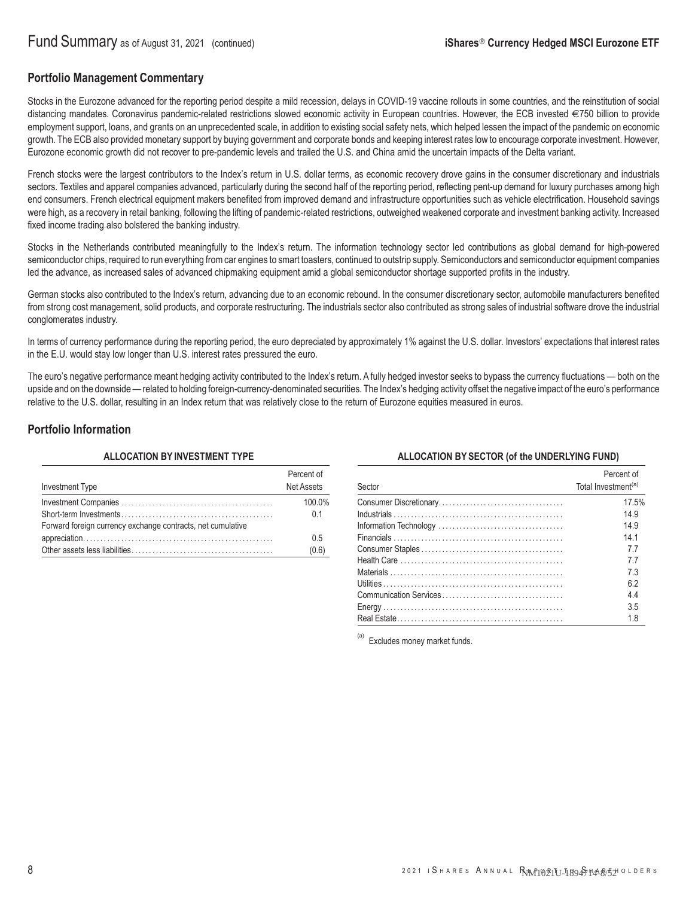### **Portfolio Management Commentary**

Stocks in the Eurozone advanced for the reporting period despite a mild recession, delays in COVID-19 vaccine rollouts in some countries, and the reinstitution of social distancing mandates. Coronavirus pandemic-related restrictions slowed economic activity in European countries. However, the ECB invested €750 billion to provide employment support, loans, and grants on an unprecedented scale, in addition to existing social safety nets, which helped lessen the impact of the pandemic on economic growth. The ECB also provided monetary support by buying government and corporate bonds and keeping interest rates low to encourage corporate investment. However, Eurozone economic growth did not recover to pre-pandemic levels and trailed the U.S. and China amid the uncertain impacts of the Delta variant.

French stocks were the largest contributors to the Index's return in U.S. dollar terms, as economic recovery drove gains in the consumer discretionary and industrials sectors. Textiles and apparel companies advanced, particularly during the second half of the reporting period, reflecting pent-up demand for luxury purchases among high end consumers. French electrical equipment makers benefited from improved demand and infrastructure opportunities such as vehicle electrification. Household savings were high, as a recovery in retail banking, following the lifting of pandemic-related restrictions, outweighed weakened corporate and investment banking activity. Increased fixed income trading also bolstered the banking industry.

Stocks in the Netherlands contributed meaningfully to the Index's return. The information technology sector led contributions as global demand for high-powered semiconductor chips, required to run everything from car engines to smart toasters, continued to outstrip supply. Semiconductors and semiconductor equipment companies led the advance, as increased sales of advanced chipmaking equipment amid a global semiconductor shortage supported profits in the industry.

German stocks also contributed to the Index's return, advancing due to an economic rebound. In the consumer discretionary sector, automobile manufacturers benefited from strong cost management, solid products, and corporate restructuring. The industrials sector also contributed as strong sales of industrial software drove the industrial conglomerates industry.

In terms of currency performance during the reporting period, the euro depreciated by approximately 1% against the U.S. dollar. Investors' expectations that interest rates in the E.U. would stay low longer than U.S. interest rates pressured the euro.

The euro's negative performance meant hedging activity contributed to the Index's return. A fully hedged investor seeks to bypass the currency fluctuations — both on the upside and on the downside — related to holding foreign-currency-denominated securities. The Index's hedging activity offset the negative impact of the euro's performance relative to the U.S. dollar, resulting in an Index return that was relatively close to the return of Eurozone equities measured in euros.

### **Portfolio Information**

#### **ALLOCATION BY INVESTMENT TYPE**

| Investment Type                                             | Percent of<br><b>Net Assets</b> |
|-------------------------------------------------------------|---------------------------------|
| Forward foreign currency exchange contracts, net cumulative | 100.0%<br>0 <sub>1</sub>        |
|                                                             | 0.5<br>(0.6)                    |

#### **ALLOCATION BY SECTOR (of the UNDERLYING FUND)**

| Sector | Percent of<br>Total Investment <sup>(a)</sup> |
|--------|-----------------------------------------------|
|        | 17.5%                                         |
|        | 14 9                                          |
|        | 14 9                                          |
|        | 141                                           |
|        | 77                                            |
|        | 77                                            |
|        | 73                                            |
|        | 6.2                                           |
|        | 44                                            |
|        | 3.5                                           |
|        | 18                                            |

<sup>(a)</sup> Excludes money market funds.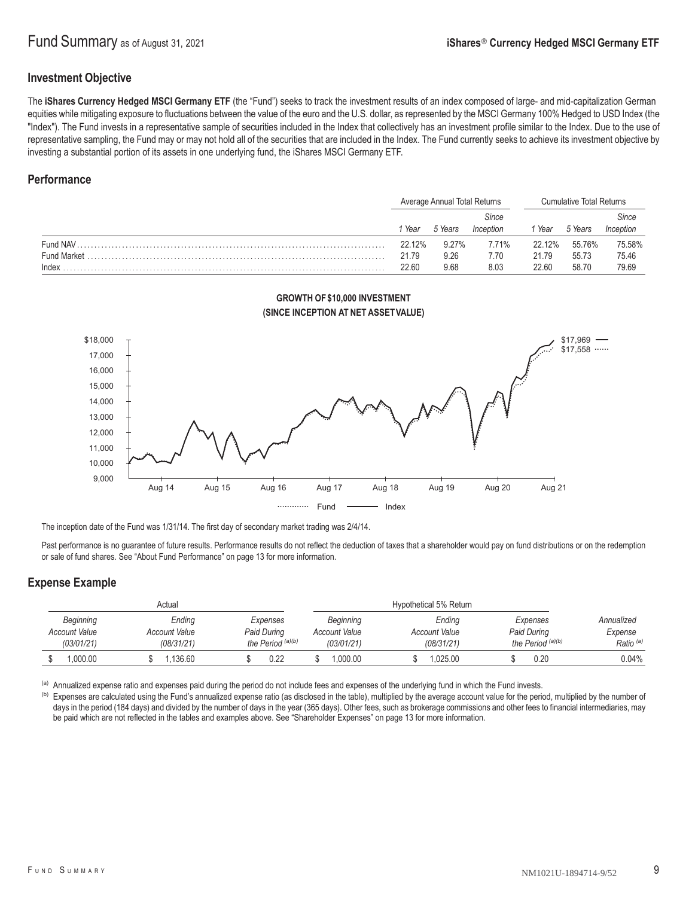### **Investment Objective**

The **iShares Currency Hedged MSCI Germany ETF** (the "Fund") seeks to track the investment results of an index composed of large- and mid-capitalization German equities while mitigating exposure to fluctuations between the value of the euro and the U.S. dollar, as represented by the MSCI Germany 100% Hedged to USD Index (the "Index"). The Fund invests in a representative sample of securities included in the Index that collectively has an investment profile similar to the Index. Due to the use of representative sampling, the Fund may or may not hold all of the securities that are included in the Index. The Fund currently seeks to achieve its investment objective by investing a substantial portion of its assets in one underlying fund, the iShares MSCI Germany ETF.

### **Performance**

| Average Annual Total Returns |         | Cumulative Total Returns |                       |                |                    |
|------------------------------|---------|--------------------------|-----------------------|----------------|--------------------|
| Year                         | 5 Years | Since<br>Inception       | Year                  | 5 Years        | Since<br>Inception |
|                              | 9.27%   | 7.71%                    | 22 12%                | 55.76%         | 75.58%             |
| 21.79                        | 9.26    | 7.70                     | 21.79<br>22.60        | 55.73<br>58.70 | 75.46<br>79.69     |
|                              |         | 22.12%                   | 22.60<br>9.68<br>8.03 |                |                    |

**GROWTH OF \$10,000 INVESTMENT**



The inception date of the Fund was 1/31/14. The first day of secondary market trading was 2/4/14.

Past performance is no guarantee of future results. Performance results do not reflect the deduction of taxes that a shareholder would pay on fund distributions or on the redemption or sale of fund shares. See "About Fund Performance" on page 13 for more information.

### **Expense Example**

|                                                 | Actual                                |                                              |                                                 | Hypothetical 5% Return                       |                                                |                                               |
|-------------------------------------------------|---------------------------------------|----------------------------------------------|-------------------------------------------------|----------------------------------------------|------------------------------------------------|-----------------------------------------------|
| Beginning<br><b>Account Value</b><br>(03/01/21) | Ending<br>Account Value<br>(08/31/21) | Expenses<br>Paid During<br>the Period (a)(b) | Beginning<br><b>Account Value</b><br>(03/01/21) | Ending<br><b>Account Value</b><br>(08/31/21) | Expenses<br>Paid During<br>the Period $(a)(b)$ | Annualized<br>Expense<br>Ratio <sup>(a)</sup> |
| .000.00                                         | .136.60                               | 0.22                                         | .000.00                                         | .025.00                                      | 0.20                                           | 0.04%                                         |

(a) Annualized expense ratio and expenses paid during the period do not include fees and expenses of the underlying fund in which the Fund invests.

(b) Expenses are calculated using the Fund's annualized expense ratio (as disclosed in the table), multiplied by the average account value for the period, multiplied by the number of days in the period (184 days) and divided by the number of days in the year (365 days). Other fees, such as brokerage commissions and other fees to financial intermediaries, may be paid which are not reflected in the tables and examples above. See "Shareholder Expenses" on page 13 for more information.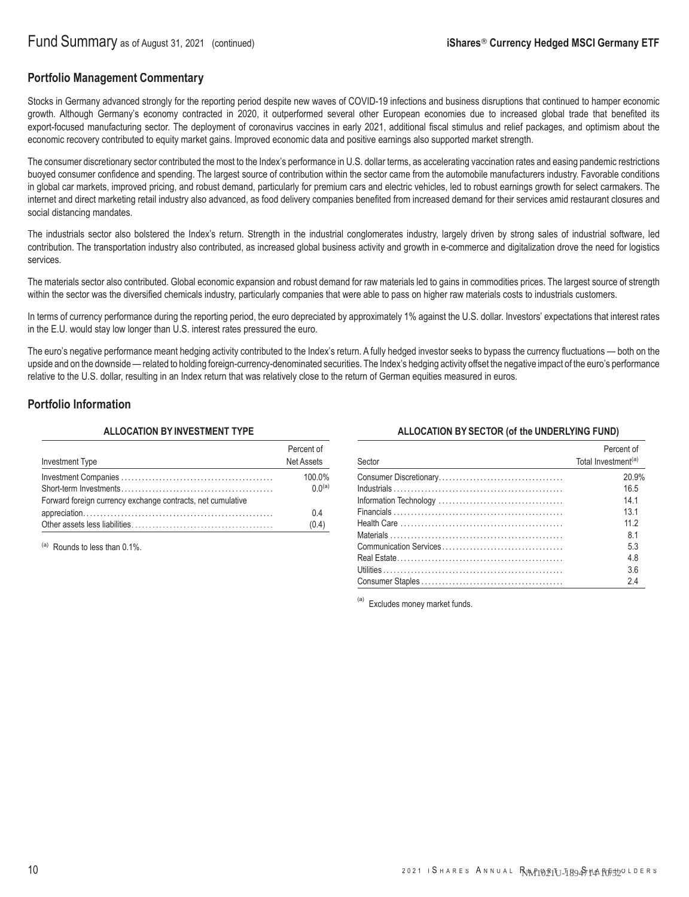### **Portfolio Management Commentary**

Stocks in Germany advanced strongly for the reporting period despite new waves of COVID-19 infections and business disruptions that continued to hamper economic growth. Although Germany's economy contracted in 2020, it outperformed several other European economies due to increased global trade that benefited its export-focused manufacturing sector. The deployment of coronavirus vaccines in early 2021, additional fiscal stimulus and relief packages, and optimism about the economic recovery contributed to equity market gains. Improved economic data and positive earnings also supported market strength.

The consumer discretionary sector contributed the most to the Index's performance in U.S. dollar terms, as accelerating vaccination rates and easing pandemic restrictions buoyed consumer confidence and spending. The largest source of contribution within the sector came from the automobile manufacturers industry. Favorable conditions in global car markets, improved pricing, and robust demand, particularly for premium cars and electric vehicles, led to robust earnings growth for select carmakers. The internet and direct marketing retail industry also advanced, as food delivery companies benefited from increased demand for their services amid restaurant closures and social distancing mandates.

The industrials sector also bolstered the Index's return. Strength in the industrial conglomerates industry, largely driven by strong sales of industrial software, led contribution. The transportation industry also contributed, as increased global business activity and growth in e-commerce and digitalization drove the need for logistics services.

The materials sector also contributed. Global economic expansion and robust demand for raw materials led to gains in commodities prices. The largest source of strength within the sector was the diversified chemicals industry, particularly companies that were able to pass on higher raw materials costs to industrials customers.

In terms of currency performance during the reporting period, the euro depreciated by approximately 1% against the U.S. dollar. Investors' expectations that interest rates in the E.U. would stay low longer than U.S. interest rates pressured the euro.

The euro's negative performance meant hedging activity contributed to the Index's return. A fully hedged investor seeks to bypass the currency fluctuations - both on the upside and on the downside — related to holding foreign-currency-denominated securities. The Index's hedging activity offset the negative impact of the euro's performance relative to the U.S. dollar, resulting in an Index return that was relatively close to the return of German equities measured in euros.

### **Portfolio Information**

#### **ALLOCATION BY INVESTMENT TYPE**

| Investment Type                                             | Percent of<br><b>Net Assets</b> |
|-------------------------------------------------------------|---------------------------------|
| Forward foreign currency exchange contracts, net cumulative | 100.0%<br>$\bigcap (a)$         |
|                                                             | 04<br>(0.4)                     |

(a) Rounds to less than 0.1%.

#### **ALLOCATION BY SECTOR (of the UNDERLYING FUND)**

|        | Percent of                      |
|--------|---------------------------------|
| Sector | Total Investment <sup>(a)</sup> |
|        | 20.9%                           |
|        | 16.5                            |
|        | 141                             |
|        | 131                             |
|        | 112                             |
|        | 81                              |
|        | 53                              |
|        | 48                              |
|        | 36                              |
|        | 24                              |

(a) Excludes money market funds.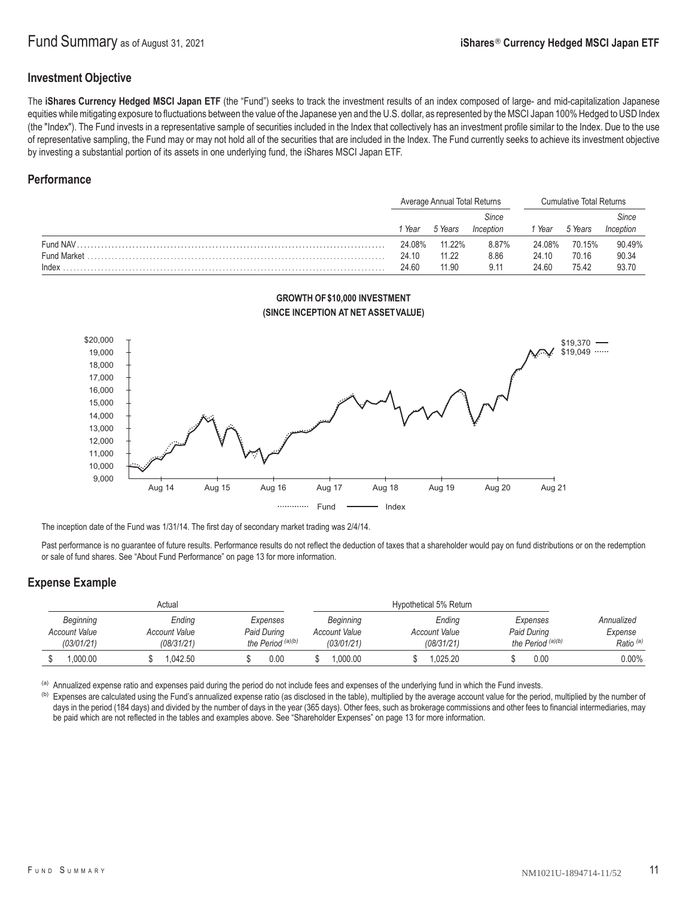### **Investment Objective**

The **iShares Currency Hedged MSCI Japan ETF** (the "Fund") seeks to track the investment results of an index composed of large- and mid-capitalization Japanese equities while mitigating exposure to fluctuations between the value of the Japanese yen and the U.S. dollar, as represented by the MSCI Japan 100% Hedged to USD Index (the "Index"). The Fund invests in a representative sample of securities included in the Index that collectively has an investment profile similar to the Index. Due to the use of representative sampling, the Fund may or may not hold all of the securities that are included in the Index. The Fund currently seeks to achieve its investment objective by investing a substantial portion of its assets in one underlying fund, the iShares MSCI Japan ETF.

### **Performance**

|                    | Average Annual Total Returns |         |                    | <b>Cumulative Total Returns</b> |         |                    |
|--------------------|------------------------------|---------|--------------------|---------------------------------|---------|--------------------|
|                    | Year                         | 5 Years | Since<br>Inception | Year                            | 5 Years | Since<br>Inception |
| Fund NAV           | 24.08%                       | 11.22%  | 8.87%              | 24.08%                          | 70.15%  | 90.49%             |
| <b>Fund Market</b> | 24.10                        | 11.22   | 8.86               | 24.10                           | 70.16   | 90.34              |
| Index              | 24.60                        | 11.90   | 9.11               | 24.60                           | 75.42   | 93.70              |

**GROWTH OF \$10,000 INVESTMENT**



The inception date of the Fund was 1/31/14. The first day of secondary market trading was 2/4/14.

Past performance is no guarantee of future results. Performance results do not reflect the deduction of taxes that a shareholder would pay on fund distributions or on the redemption or sale of fund shares. See "About Fund Performance" on page 13 for more information.

### **Expense Example**

|                                                 | Actual                                |                                              |                                                 | Hypothetical 5% Return                       |                                                |                                               |
|-------------------------------------------------|---------------------------------------|----------------------------------------------|-------------------------------------------------|----------------------------------------------|------------------------------------------------|-----------------------------------------------|
| Beginning<br><b>Account Value</b><br>(03/01/21) | Ending<br>Account Value<br>(08/31/21) | Expenses<br>Paid During<br>the Period (a)(b) | Beginning<br><b>Account Value</b><br>(03/01/21) | Ending<br><b>Account Value</b><br>(08/31/21) | Expenses<br>Paid During<br>the Period $(a)(b)$ | Annualized<br>Expense<br>Ratio <sup>(a)</sup> |
| .000.00                                         | 1.042.50                              | 0.00                                         | .000.00                                         | .025.20                                      | 0.00                                           | $0.00\%$                                      |

(a) Annualized expense ratio and expenses paid during the period do not include fees and expenses of the underlying fund in which the Fund invests.

(b) Expenses are calculated using the Fund's annualized expense ratio (as disclosed in the table), multiplied by the average account value for the period, multiplied by the number of days in the period (184 days) and divided by the number of days in the year (365 days). Other fees, such as brokerage commissions and other fees to financial intermediaries, may be paid which are not reflected in the tables and examples above. See "Shareholder Expenses" on page 13 for more information.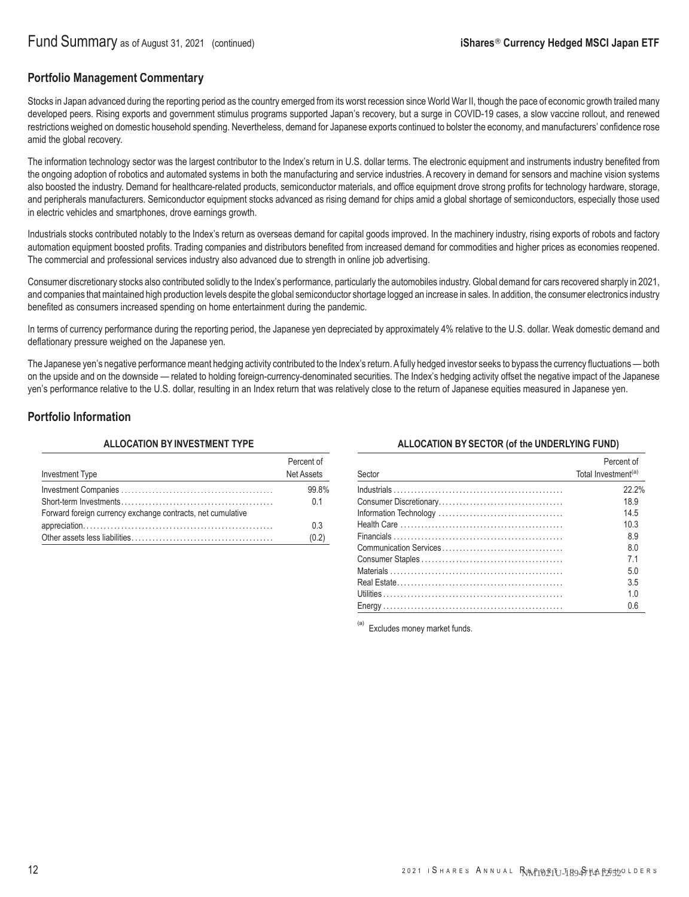### **Portfolio Management Commentary**

Stocks in Japan advanced during the reporting period as the country emerged from its worst recession since World War II, though the pace of economic growth trailed many developed peers. Rising exports and government stimulus programs supported Japan's recovery, but a surge in COVID-19 cases, a slow vaccine rollout, and renewed restrictions weighed on domestic household spending. Nevertheless, demand for Japanese exports continued to bolster the economy, and manufacturers' confidence rose amid the global recovery.

The information technology sector was the largest contributor to the Index's return in U.S. dollar terms. The electronic equipment and instruments industry benefited from the ongoing adoption of robotics and automated systems in both the manufacturing and service industries. A recovery in demand for sensors and machine vision systems also boosted the industry. Demand for healthcare-related products, semiconductor materials, and office equipment drove strong profits for technology hardware, storage, and peripherals manufacturers. Semiconductor equipment stocks advanced as rising demand for chips amid a global shortage of semiconductors, especially those used in electric vehicles and smartphones, drove earnings growth.

Industrials stocks contributed notably to the Index's return as overseas demand for capital goods improved. In the machinery industry, rising exports of robots and factory automation equipment boosted profits. Trading companies and distributors benefited from increased demand for commodities and higher prices as economies reopened. The commercial and professional services industry also advanced due to strength in online job advertising.

Consumer discretionary stocks also contributed solidly to the Index's performance, particularly the automobiles industry. Global demand for cars recovered sharply in 2021, and companies that maintained high production levels despite the global semiconductor shortage logged an increase in sales. In addition, the consumer electronics industry benefited as consumers increased spending on home entertainment during the pandemic.

In terms of currency performance during the reporting period, the Japanese yen depreciated by approximately 4% relative to the U.S. dollar. Weak domestic demand and deflationary pressure weighed on the Japanese yen.

The Japanese yen's negative performance meant hedging activity contributed to the Index's return. A fully hedged investor seeks to bypass the currency fluctuations — both on the upside and on the downside — related to holding foreign-currency-denominated securities. The Index's hedging activity offset the negative impact of the Japanese yen's performance relative to the U.S. dollar, resulting in an Index return that was relatively close to the return of Japanese equities measured in Japanese yen.

### **Portfolio Information**

#### **ALLOCATION BY INVESTMENT TYPE**

|                                                             | Percent of        |
|-------------------------------------------------------------|-------------------|
| Investment Type                                             | <b>Net Assets</b> |
|                                                             | 998%              |
|                                                             | 0 <sub>1</sub>    |
| Forward foreign currency exchange contracts, net cumulative |                   |
|                                                             | 0.3               |
|                                                             | (0.2)             |

#### **ALLOCATION BY SECTOR (of the UNDERLYING FUND)**

|        | Percent of                      |
|--------|---------------------------------|
| Sector | Total Investment <sup>(a)</sup> |
|        | 22.2%                           |
|        | 18.9                            |
|        | 14.5                            |
|        | 10.3                            |
|        | 89                              |
|        | 80                              |
|        | 71                              |
|        | 50                              |
|        | 3.5                             |
|        | 1 <sub>0</sub>                  |
|        | 06                              |

(a) Excludes money market funds.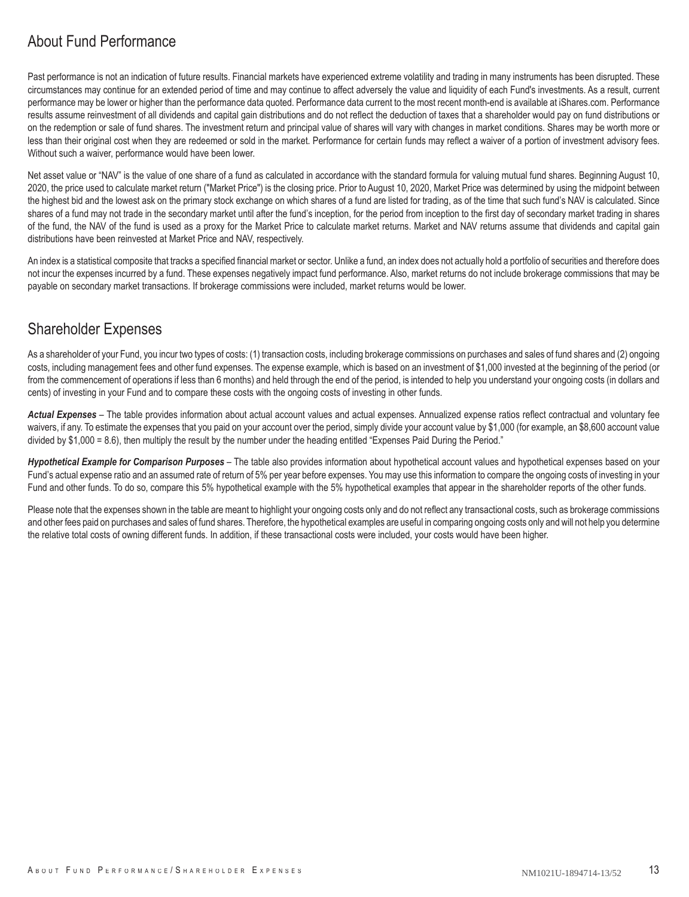# About Fund Performance

Past performance is not an indication of future results. Financial markets have experienced extreme volatility and trading in many instruments has been disrupted. These circumstances may continue for an extended period of time and may continue to affect adversely the value and liquidity of each Fund's investments. As a result, current performance may be lower or higher than the performance data quoted. Performance data current to the most recent month-end is available at iShares.com. Performance results assume reinvestment of all dividends and capital gain distributions and do not reflect the deduction of taxes that a shareholder would pay on fund distributions or on the redemption or sale of fund shares. The investment return and principal value of shares will vary with changes in market conditions. Shares may be worth more or less than their original cost when they are redeemed or sold in the market. Performance for certain funds may reflect a waiver of a portion of investment advisory fees. Without such a waiver, performance would have been lower.

Net asset value or "NAV" is the value of one share of a fund as calculated in accordance with the standard formula for valuing mutual fund shares. Beginning August 10, 2020, the price used to calculate market return ("Market Price") is the closing price. Prior to August 10, 2020, Market Price was determined by using the midpoint between the highest bid and the lowest ask on the primary stock exchange on which shares of a fund are listed for trading, as of the time that such fund's NAV is calculated. Since shares of a fund may not trade in the secondary market until after the fund's inception, for the period from inception to the first day of secondary market trading in shares of the fund, the NAV of the fund is used as a proxy for the Market Price to calculate market returns. Market and NAV returns assume that dividends and capital gain distributions have been reinvested at Market Price and NAV, respectively.

An index is a statistical composite that tracks a specified financial market or sector. Unlike a fund, an index does not actually hold a portfolio of securities and therefore does not incur the expenses incurred by a fund. These expenses negatively impact fund performance. Also, market returns do not include brokerage commissions that may be payable on secondary market transactions. If brokerage commissions were included, market returns would be lower.

# Shareholder Expenses

As a shareholder of your Fund, you incur two types of costs: (1) transaction costs, including brokerage commissions on purchases and sales of fund shares and (2) ongoing costs, including management fees and other fund expenses. The expense example, which is based on an investment of \$1,000 invested at the beginning of the period (or from the commencement of operations if less than 6 months) and held through the end of the period, is intended to help you understand your ongoing costs (in dollars and cents) of investing in your Fund and to compare these costs with the ongoing costs of investing in other funds.

Actual Expenses - The table provides information about actual account values and actual expenses. Annualized expense ratios reflect contractual and voluntary fee waivers, if any. To estimate the expenses that you paid on your account over the period, simply divide your account value by \$1,000 (for example, an \$8,600 account value divided by \$1,000 = 8.6), then multiply the result by the number under the heading entitled "Expenses Paid During the Period."

*Hypothetical Example for Comparison Purposes* – The table also provides information about hypothetical account values and hypothetical expenses based on your Fund's actual expense ratio and an assumed rate of return of 5% per year before expenses. You may use this information to compare the ongoing costs of investing in your Fund and other funds. To do so, compare this 5% hypothetical example with the 5% hypothetical examples that appear in the shareholder reports of the other funds.

Please note that the expenses shown in the table are meant to highlight your ongoing costs only and do not reflect any transactional costs, such as brokerage commissions and other fees paid on purchases and sales of fund shares. Therefore, the hypothetical examples are useful in comparing ongoing costs only and will not help you determine the relative total costs of owning different funds. In addition, if these transactional costs were included, your costs would have been higher.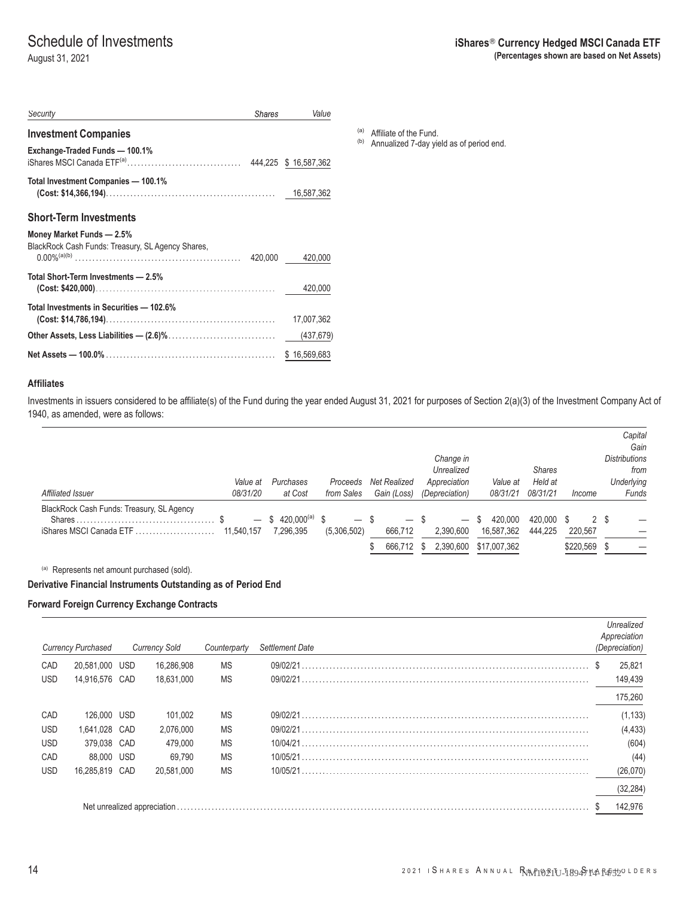# Schedule of Investments

August 31, 2021

| Security                                                                       | <b>Shares</b> | Value        |
|--------------------------------------------------------------------------------|---------------|--------------|
| <b>Investment Companies</b>                                                    |               |              |
| Exchange-Traded Funds - 100.1%                                                 |               |              |
| Total Investment Companies - 100.1%                                            |               | 16,587,362   |
| <b>Short-Term Investments</b>                                                  |               |              |
| Money Market Funds - 2.5%<br>BlackRock Cash Funds: Treasury, SL Agency Shares, | 420.000       | 420,000      |
| Total Short-Term Investments - 2.5%                                            |               | 420,000      |
| Total Investments in Securities - 102.6%                                       |               | 17,007,362   |
|                                                                                |               | (437, 679)   |
|                                                                                |               | \$16,569,683 |

(a) Affiliate of the Fund.

(b) Annualized 7-day yield as of period end.

#### **Affiliates**

Investments in issuers considered to be affiliate(s) of the Fund during the year ended August 31, 2021 for purposes of Section 2(a)(3) of the Investment Company Act of 1940, as amended, were as follows:

|                                           |            |                   |             |                          |                |              |               |           |                | Capital<br>Gain      |
|-------------------------------------------|------------|-------------------|-------------|--------------------------|----------------|--------------|---------------|-----------|----------------|----------------------|
|                                           |            |                   |             |                          | Change in      |              |               |           |                | <b>Distributions</b> |
|                                           |            |                   |             |                          | Unrealized     |              | <b>Shares</b> |           |                | from                 |
|                                           | Value at   | Purchases         | Proceeds    | <b>Net Realized</b>      | Appreciation   | Value at     | Held at       |           |                | Underlying           |
| Affiliated Issuer                         | 08/31/20   | at Cost           | from Sales  | Gain (Loss)              | (Depreciation) | 08/31/21     | 08/31/21      | Income    |                | Funds                |
| BlackRock Cash Funds: Treasury, SL Agency |            | $$420.000^{(a)}$$ |             | $\overline{\phantom{m}}$ |                | 420,000      | 420,000 \$    |           | 2 <sup>5</sup> |                      |
| iShares MSCI Canada ETF                   | 11.540.157 | 7,296,395         | (5,306,502) | 666.712                  | 2,390,600      | 16,587,362   | 444.225       | 220,567   |                |                      |
|                                           |            |                   |             | 666,712                  | 2,390,600      | \$17,007,362 |               | \$220,569 |                |                      |

(a) Represents net amount purchased (sold).

#### **Derivative Financial Instruments Outstanding as of Period End**

**Forward Foreign Currency Exchange Contracts**

|            | <b>Currency Purchased</b> | <b>Currency Sold</b> | Counterparty | <b>Settlement Date</b> | Unrealized<br>Appreciation<br>(Depreciation) |
|------------|---------------------------|----------------------|--------------|------------------------|----------------------------------------------|
| CAD        | 20,581,000 USD            | 16,286,908           | <b>MS</b>    |                        | 25.821                                       |
| <b>USD</b> | 14,916,576 CAD            | 18.631.000           | <b>MS</b>    |                        | 149,439                                      |
|            |                           |                      |              |                        | 175,260                                      |
| CAD        | 126,000 USD               | 101.002              | <b>MS</b>    |                        | (1, 133)                                     |
| <b>USD</b> | 1.641.028 CAD             | 2.076.000            | <b>MS</b>    |                        | (4, 433)                                     |
| <b>USD</b> | 379.038 CAD               | 479.000              | <b>MS</b>    |                        | (604)                                        |
| CAD        | 88,000 USD                | 69.790               | <b>MS</b>    |                        | (44)                                         |
| <b>USD</b> | 16.285.819 CAD            | 20.581.000           | <b>MS</b>    |                        | (26,070)                                     |
|            |                           |                      |              |                        | (32, 284)                                    |
|            |                           |                      |              |                        | 142,976                                      |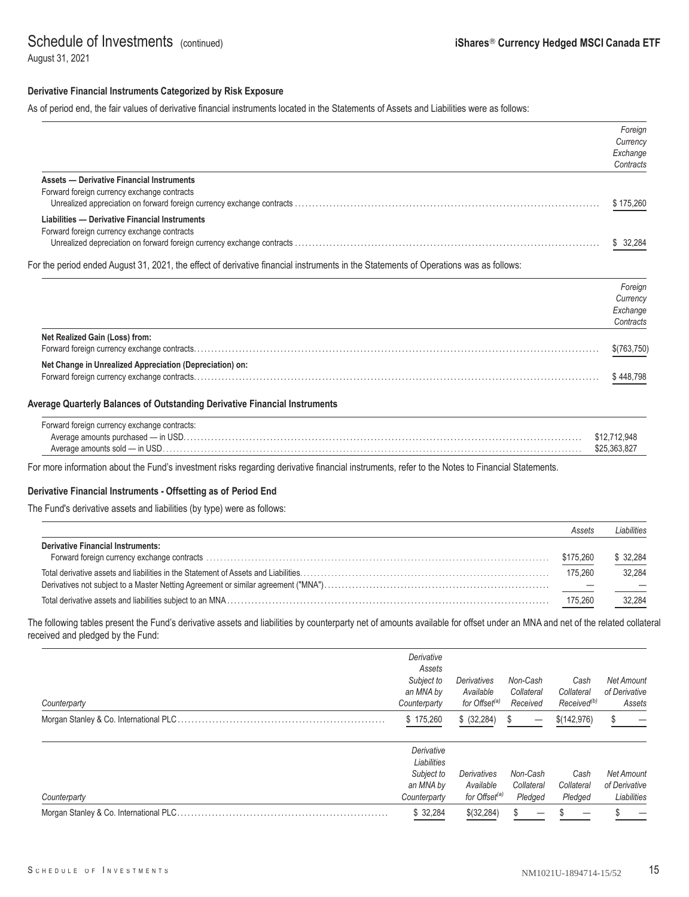#### **Derivative Financial Instruments Categorized by Risk Exposure**

As of period end, the fair values of derivative financial instruments located in the Statements of Assets and Liabilities were as follows:

|                                                                                               | Foreign<br>Currency<br>Exchange<br>Contracts |
|-----------------------------------------------------------------------------------------------|----------------------------------------------|
| Assets - Derivative Financial Instruments<br>Forward foreign currency exchange contracts      | \$175,260                                    |
| Liabilities - Derivative Financial Instruments<br>Forward foreign currency exchange contracts | 32 284                                       |

For the period ended August 31, 2021, the effect of derivative financial instruments in the Statements of Operations was as follows:

|                                                          | Foreign<br>Currency   |
|----------------------------------------------------------|-----------------------|
|                                                          | Exchange<br>Contracts |
| Net Realized Gain (Loss) from:                           | \$(763,750)           |
| Net Change in Unrealized Appreciation (Depreciation) on: | \$448,798             |

#### **Average Quarterly Balances of Outstanding Derivative Financial Instruments**

| Forward foreign currency exchange contracts: |                                       |
|----------------------------------------------|---------------------------------------|
| Average amounts purchased — in USD           | $^\prime\prime$ ./12.94 $_\mathrm{o}$ |
| Average amounts sold — in USD.               |                                       |

For more information about the Fund's investment risks regarding derivative financial instruments, refer to the Notes to Financial Statements.

#### **Derivative Financial Instruments - Offsetting as of Period End**

The Fund's derivative assets and liabilities (by type) were as follows:

|                                   | Assets    | Liabilities |
|-----------------------------------|-----------|-------------|
| Derivative Financial Instruments: |           |             |
|                                   | \$175,260 | \$32,284    |
|                                   | 175,260   | 32.284      |
|                                   |           |             |
|                                   | 175.260   | 32,284      |

The following tables present the Fund's derivative assets and liabilities by counterparty net of amounts available for offset under an MNA and net of the related collateral received and pledged by the Fund:

| Counterparty                            | Derivative<br>Assets<br>Subject to<br>an MNA by<br>Counterparty      | Derivatives<br>Available<br>for Offset <sup>(a)</sup> | Non-Cash<br>Collateral<br>Received | Cash<br>Collateral<br>Received <sup>(b)</sup> | Net Amount<br>of Derivative<br>Assets      |
|-----------------------------------------|----------------------------------------------------------------------|-------------------------------------------------------|------------------------------------|-----------------------------------------------|--------------------------------------------|
| Morgan Stanley & Co. International PLC  | \$175,260                                                            | \$ (32, 284)                                          |                                    | \$(142,976)                                   | \$.                                        |
| Counterparty                            | Derivative<br>Liabilities<br>Subject to<br>an MNA by<br>Counterparty | Derivatives<br>Available<br>for Offset <sup>(a)</sup> | Non-Cash<br>Collateral<br>Pledged  | Cash<br>Collateral<br>Pledged                 | Net Amount<br>of Derivative<br>Liabilities |
| Morgan Stanley & Co. International PLC. | \$32,284                                                             | \$(32,284)                                            |                                    |                                               |                                            |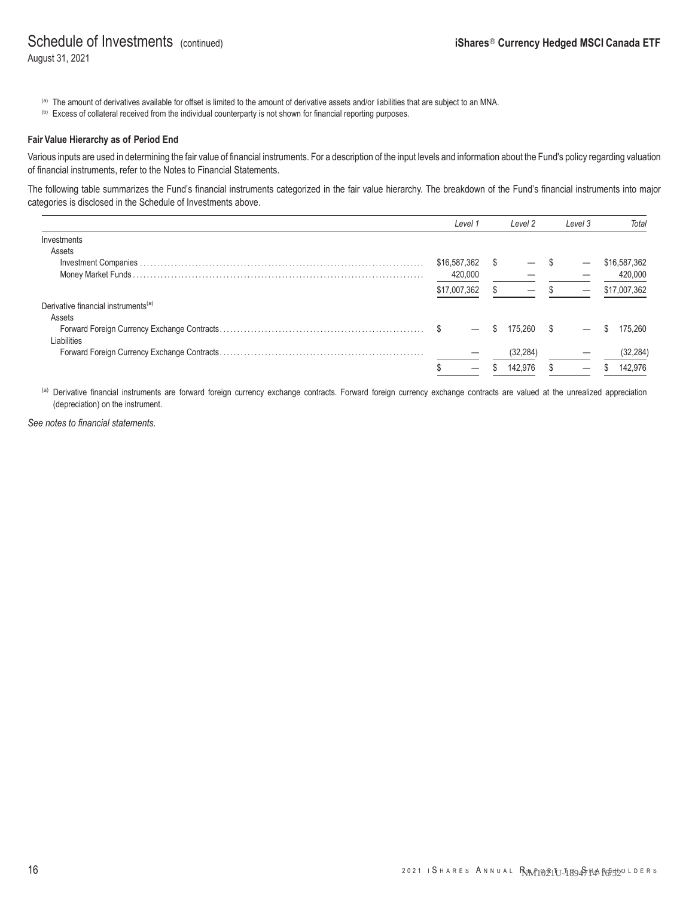August 31, 2021

- (a) The amount of derivatives available for offset is limited to the amount of derivative assets and/or liabilities that are subject to an MNA.
- (b) Excess of collateral received from the individual counterparty is not shown for financial reporting purposes.

#### **Fair Value Hierarchy as of Period End**

Various inputs are used in determining the fair value of financial instruments. For a description of the input levels and information about the Fund's policy regarding valuation of financial instruments, refer to the Notes to Financial Statements.

The following table summarizes the Fund's financial instruments categorized in the fair value hierarchy. The breakdown of the Fund's financial instruments into major categories is disclosed in the Schedule of Investments above.

|                                                 | Level 1      |   | Level 2   | Level 3 | Total        |
|-------------------------------------------------|--------------|---|-----------|---------|--------------|
| Investments                                     |              |   |           |         |              |
| Assets                                          |              |   |           |         |              |
|                                                 | \$16,587,362 | S |           |         | \$16,587,362 |
|                                                 | 420,000      |   |           |         | 420,000      |
|                                                 | \$17,007,362 |   |           |         | \$17,007,362 |
| Derivative financial instruments <sup>(a)</sup> |              |   |           |         |              |
| Assets                                          |              |   |           |         |              |
|                                                 |              |   | 175.260   |         | 175.260      |
| Liabilities                                     |              |   |           |         |              |
|                                                 |              |   | (32, 284) |         | (32, 284)    |
|                                                 |              |   |           |         | 142.976      |

(a) Derivative financial instruments are forward foreign currency exchange contracts. Forward foreign currency exchange contracts are valued at the unrealized appreciation (depreciation) on the instrument.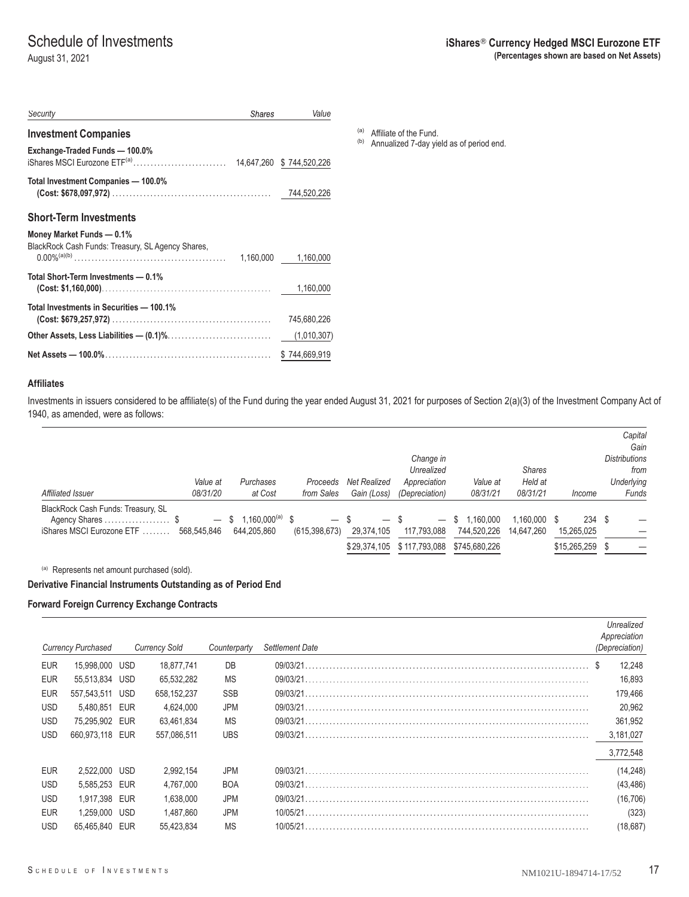# Schedule of Investments

August 31, 2021

| Security                                                                       | <b>Shares</b> | Value               |
|--------------------------------------------------------------------------------|---------------|---------------------|
| <b>Investment Companies</b>                                                    |               |                     |
| Exchange-Traded Funds - 100.0%                                                 |               |                     |
| Total Investment Companies - 100.0%                                            |               |                     |
| <b>Short-Term Investments</b>                                                  |               |                     |
| Money Market Funds - 0.1%<br>BlackRock Cash Funds: Treasury, SL Agency Shares, |               | 1,160,000 1,160,000 |
| Total Short-Term Investments - 0.1%                                            |               | 1,160,000           |
| Total Investments in Securities - 100.1%                                       |               | 745,680,226         |
|                                                                                |               | (1,010,307)         |
|                                                                                |               | \$744,669,919       |

(a) Affiliate of the Fund.

(b) Annualized 7-day yield as of period end.

#### **Affiliates**

Investments in issuers considered to be affiliate(s) of the Fund during the year ended August 31, 2021 for purposes of Section 2(a)(3) of the Investment Company Act of 1940, as amended, were as follows:

|                                                     |                          |                     |                 |                          |                          |               |               |              | Capital<br>Gain      |
|-----------------------------------------------------|--------------------------|---------------------|-----------------|--------------------------|--------------------------|---------------|---------------|--------------|----------------------|
|                                                     |                          |                     |                 |                          | Change in                |               |               |              | <b>Distributions</b> |
|                                                     |                          |                     |                 |                          | Unrealized               |               | <b>Shares</b> |              | from                 |
|                                                     | Value at                 | Purchases           | Proceeds        | Net Realized             | Appreciation             | Value at      | Held at       |              | Underlying           |
| Affiliated Issuer                                   | 08/31/20                 | at Cost             | from Sales      | Gain (Loss)              | <i>(Depreciation)</i>    | 08/31/21      | 08/31/21      | Income       | Funds                |
| BlackRock Cash Funds: Treasury, SL<br>Agency Shares | $\overline{\phantom{0}}$ | $$1.160.000^{(a)}$$ | $\qquad \qquad$ | $\overline{\phantom{0}}$ | $\overline{\phantom{m}}$ | 1.160.000     | 1.160.000 \$  | 234          | - \$                 |
| iShares MSCI Eurozone ETF                           | 568.545.846              | 644.205.860         | (615, 398, 673) | 29,374,105               | 117.793.088              | 744,520,226   | 14.647.260    | 15.265.025   |                      |
|                                                     |                          |                     |                 | \$29.374.105             | \$117,793,088            | \$745.680.226 |               | \$15,265,259 |                      |

(a) Represents net amount purchased (sold).

**Derivative Financial Instruments Outstanding as of Period End**

#### **Forward Foreign Currency Exchange Contracts**

|            |                           |                      |              |                        | Unrealized<br>Appreciation |
|------------|---------------------------|----------------------|--------------|------------------------|----------------------------|
|            | <b>Currency Purchased</b> | <b>Currency Sold</b> | Counterparty | <b>Settlement Date</b> | (Depreciation)             |
| <b>EUR</b> | 15.998.000 USD            | 18,877,741           | DB.          |                        | 12.248                     |
| <b>EUR</b> | 55.513.834 USD            | 65,532,282           | <b>MS</b>    | 09/03/21.              | 16.893                     |
| <b>EUR</b> | 557.543.511 USD           | 658, 152, 237        | <b>SSB</b>   |                        | 179,466                    |
| <b>USD</b> | 5.480.851 EUR             | 4.624.000            | JPM          |                        | 20.962                     |
| <b>USD</b> | 75.295.902 EUR            | 63.461.834           | <b>MS</b>    |                        | 361.952                    |
| <b>USD</b> | 660.973.118 EUR           | 557.086.511          | <b>UBS</b>   |                        | 3,181,027                  |
|            |                           |                      |              |                        | 3,772,548                  |
| <b>EUR</b> | 2,522,000 USD             | 2.992.154            | JPM          |                        | (14, 248)                  |
| <b>USD</b> | 5.585.253 EUR             | 4.767.000            | <b>BOA</b>   |                        | (43, 486)                  |
| <b>USD</b> | 1.917.398 EUR             | 1.638.000            | <b>JPM</b>   |                        | (16, 706)                  |
| <b>EUR</b> | 1,259,000 USD             | 1.487.860            | JPM          | 10/05/21.              | (323)                      |
| <b>USD</b> | 65.465.840 EUR            | 55.423.834           | <b>MS</b>    |                        | (18,687)                   |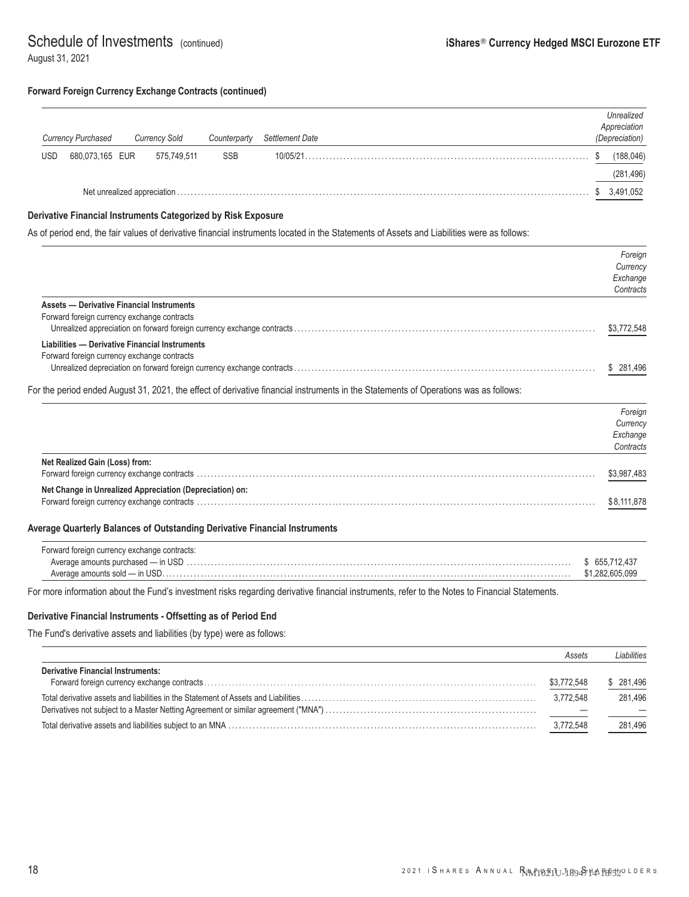#### **Forward Foreign Currency Exchange Contracts (continued)**

|     |                    |               |              |                 |  | Unrealized<br>Appreciation |
|-----|--------------------|---------------|--------------|-----------------|--|----------------------------|
|     | Currency Purchased | Currency Sold | Counterparty | Settlement Date |  | (Depreciation)             |
| USD | 680,073,165 EUR    | 575,749,511   | <b>SSB</b>   |                 |  | (188,046)                  |
|     |                    |               |              |                 |  | (281, 496)                 |
|     |                    |               |              |                 |  | 3,491,052                  |

#### **Derivative Financial Instruments Categorized by Risk Exposure**

As of period end, the fair values of derivative financial instruments located in the Statements of Assets and Liabilities were as follows:

|                                                                                                                                      | Foreign<br>Currency<br>Exchange<br>Contracts |
|--------------------------------------------------------------------------------------------------------------------------------------|----------------------------------------------|
| <b>Assets - Derivative Financial Instruments</b>                                                                                     |                                              |
| Forward foreign currency exchange contracts                                                                                          | \$3,772,548                                  |
| Liabilities — Derivative Financial Instruments                                                                                       |                                              |
| Forward foreign currency exchange contracts                                                                                          | \$281,496                                    |
| For the period ended August 31, 2021, the effect of derivative financial instruments in the Statements of Operations was as follows: |                                              |
|                                                                                                                                      | Foreign                                      |
|                                                                                                                                      | Currency                                     |
|                                                                                                                                      | Exchange                                     |

|                                                          | Contracts   |
|----------------------------------------------------------|-------------|
| Net Realized Gain (Loss) from:                           |             |
|                                                          | \$3,987,483 |
| Net Change in Unrealized Appreciation (Depreciation) on: |             |
|                                                          | \$8,111,878 |

#### **Average Quarterly Balances of Outstanding Derivative Financial Instruments**

| Forward foreign currency exchange contracts: |                |
|----------------------------------------------|----------------|
| Average amounts purchased — in USD.          | 655.7<br>12.43 |
| Average amounts sold — in USD                | 282.605.09.    |

For more information about the Fund's investment risks regarding derivative financial instruments, refer to the Notes to Financial Statements.

#### **Derivative Financial Instruments - Offsetting as of Period End**

The Fund's derivative assets and liabilities (by type) were as follows:

|                                   | Assets      | Liabilities |
|-----------------------------------|-------------|-------------|
| Derivative Financial Instruments: |             |             |
|                                   | \$3,772,548 | \$ 281,496  |
|                                   | 3.772.548   | 281.496     |
|                                   |             |             |
|                                   | 3.772.548   | 281.496     |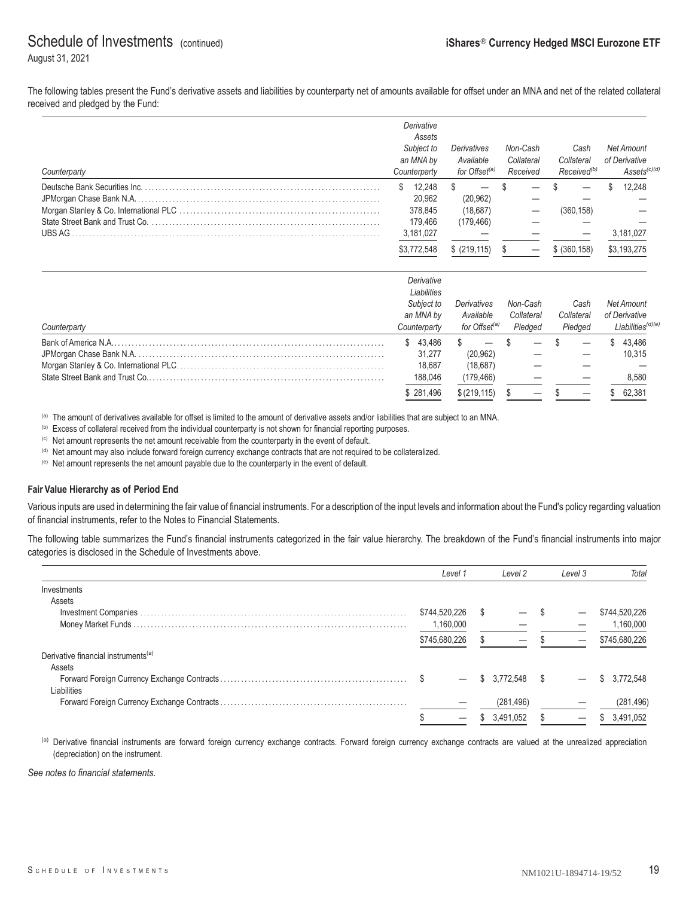August 31, 2021

The following tables present the Fund's derivative assets and liabilities by counterparty net of amounts available for offset under an MNA and net of the related collateral received and pledged by the Fund:

|              | Derivative<br>Assets<br>Subject to<br>an MNA by | Derivatives<br>Available  | Non-Cash<br>Collateral | Cash<br>Collateral      | Net Amount<br>of Derivative |
|--------------|-------------------------------------------------|---------------------------|------------------------|-------------------------|-----------------------------|
| Counterpartv | Counterparty                                    | for Offset <sup>(a)</sup> | Received               | Received <sup>(b)</sup> | $Assets^{(c)(d)}$           |
|              | 12.248                                          |                           |                        |                         | 12.248                      |
|              | 20.962                                          | (20, 962)                 |                        |                         |                             |
|              | 378.845                                         | (18,687)                  |                        | (360, 158)              |                             |
|              | 179.466                                         | (179, 466)                |                        |                         |                             |
|              | 3,181,027                                       |                           |                        |                         | 3,181,027                   |
|              | \$3,772.548                                     | \$(219.115)               |                        | \$ (360.158)            | \$3.193.275                 |

| Counterparty | Derivative<br>Liabilities<br>Subject to<br>an MNA by<br>Counterparty | Derivatives<br>Available<br>for Offset <sup>(a)</sup> | Non-Cash<br>Collateral<br>Pledged | Cash<br>Collateral<br>Pledged | Net Amount<br>of Derivative<br>Liabilities $^{(d)(e)}$ |  |
|--------------|----------------------------------------------------------------------|-------------------------------------------------------|-----------------------------------|-------------------------------|--------------------------------------------------------|--|
|              | 43.486<br>31.277<br>18.687<br>188,046                                | (20.962)<br>(18,687)<br>(179, 466)                    |                                   |                               | 43.486<br>10.315<br>8,580                              |  |
|              | \$281.496                                                            | \$ (219, 115)                                         |                                   |                               | 62.381                                                 |  |

(a) The amount of derivatives available for offset is limited to the amount of derivative assets and/or liabilities that are subject to an MNA.

(b) Excess of collateral received from the individual counterparty is not shown for financial reporting purposes.

(c) Net amount represents the net amount receivable from the counterparty in the event of default.

(d) Net amount may also include forward foreign currency exchange contracts that are not required to be collateralized.

(e) Net amount represents the net amount payable due to the counterparty in the event of default.

#### **Fair Value Hierarchy as of Period End**

Various inputs are used in determining the fair value of financial instruments. For a description of the input levels and information about the Fund's policy regarding valuation of financial instruments, refer to the Notes to Financial Statements.

The following table summarizes the Fund's financial instruments categorized in the fair value hierarchy. The breakdown of the Fund's financial instruments into major categories is disclosed in the Schedule of Investments above.

|                                                 | Level 1       | Level 2           | Level 3 | Total         |
|-------------------------------------------------|---------------|-------------------|---------|---------------|
| Investments                                     |               |                   |         |               |
| Assets                                          |               |                   |         |               |
|                                                 | \$744,520,226 | Ъ                 |         | \$744.520.226 |
|                                                 | 1,160,000     |                   |         | 1,160,000     |
|                                                 | \$745,680,226 |                   |         | \$745,680,226 |
| Derivative financial instruments <sup>(a)</sup> |               |                   |         |               |
| Assets                                          |               |                   |         |               |
|                                                 |               | 3.772.548 \$<br>S |         | \$3.772.548   |
| Liabilities                                     |               |                   |         |               |
|                                                 |               | (281, 496)        |         | (281, 496)    |
|                                                 |               | 3,491,052         |         | 3,491,052     |
|                                                 |               |                   |         |               |

(a) Derivative financial instruments are forward foreign currency exchange contracts. Forward foreign currency exchange contracts are valued at the unrealized appreciation (depreciation) on the instrument.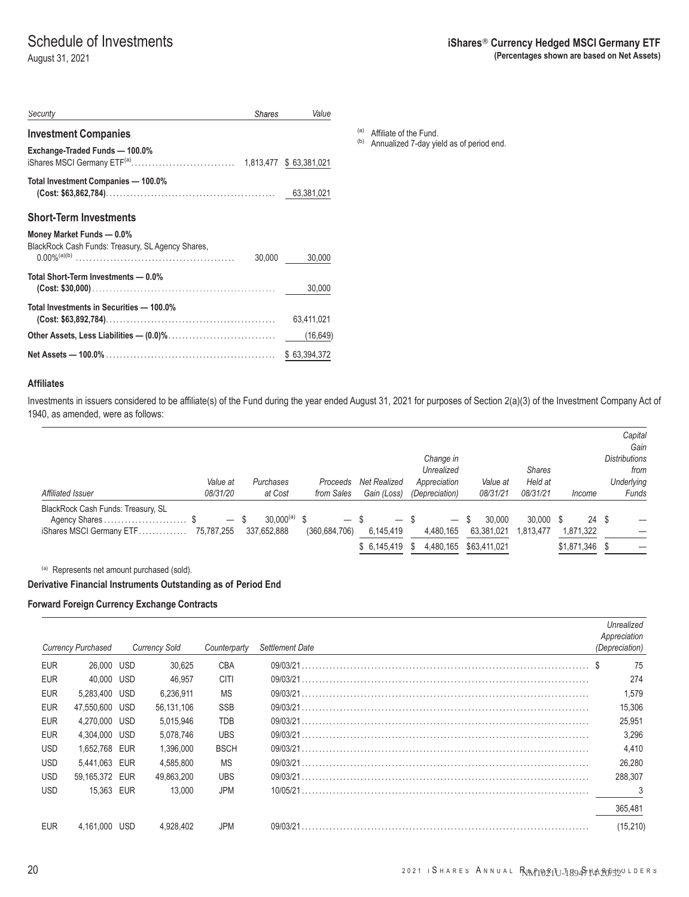# Schedule of Investments

August 31, 2021

| Security                                                                       | <b>Shares</b> | Value        |
|--------------------------------------------------------------------------------|---------------|--------------|
| <b>Investment Companies</b>                                                    |               |              |
| Exchange-Traded Funds - 100.0%                                                 |               |              |
| Total Investment Companies - 100.0%                                            |               | 63,381,021   |
| <b>Short-Term Investments</b>                                                  |               |              |
| Money Market Funds - 0.0%<br>BlackRock Cash Funds: Treasury, SL Agency Shares, | 30,000        | 30,000       |
| Total Short-Term Investments - 0.0%                                            |               | 30,000       |
| Total Investments in Securities - 100.0%                                       |               | 63,411,021   |
|                                                                                |               | (16, 649)    |
|                                                                                |               | \$63,394,372 |

(a) Affiliate of the Fund.

(b) Annualized 7-day yield as of period end.

#### **Affiliates**

Investments in issuers considered to be affiliate(s) of the Fund during the year ended August 31, 2021 for purposes of Section 2(a)(3) of the Investment Company Act of 1940, as amended, were as follows:

|                                                     |            |                   |                          |                     |                          |              |               |                 | Capital<br>Gain      |
|-----------------------------------------------------|------------|-------------------|--------------------------|---------------------|--------------------------|--------------|---------------|-----------------|----------------------|
|                                                     |            |                   |                          |                     | Change in                |              |               |                 | <b>Distributions</b> |
|                                                     |            |                   |                          |                     | Unrealized               |              | <b>Shares</b> |                 | from                 |
|                                                     | Value at   | Purchases         | Proceeds                 | <b>Net Realized</b> | Appreciation             | Value at     | Held at       |                 | Underlying           |
| Affiliated Issuer                                   | 08/31/20   | at Cost           | from Sales               | Gain (Loss)         | <i>(Depreciation)</i>    | 08/31/21     | 08/31/21      | Income          | Funds                |
| BlackRock Cash Funds: Treasury, SL<br>Agency Shares |            | $30.000^{(a)}$ \$ | $\overline{\phantom{0}}$ |                     | $\overline{\phantom{0}}$ | 30.000       | 30.000        | 24              | - \$                 |
| iShares MSCI Germany ETF                            | 75,787,255 | 337,652,888       | (360, 684, 706)          | 6,145,419           | 4,480,165                | 63,381,021   | 1,813,477     | 1,871,322       |                      |
|                                                     |            |                   |                          | \$6.145.419         | 4,480,165                | \$63.411.021 |               | $$1,871,346$ \$ |                      |

(a) Represents net amount purchased (sold).

**Derivative Financial Instruments Outstanding as of Period End**

#### **Forward Foreign Currency Exchange Contracts**

|            |                    |            |                      |              |                        | Unrealized<br>Appreciation |
|------------|--------------------|------------|----------------------|--------------|------------------------|----------------------------|
|            | Currency Purchased |            | <b>Currency Sold</b> | Counterparty | <b>Settlement Date</b> | (Depreciation)             |
| <b>EUR</b> | 26,000 USD         |            | 30.625               | <b>CBA</b>   |                        | 75                         |
| <b>EUR</b> | 40,000 USD         |            | 46.957               | CITI         |                        | 274                        |
| <b>EUR</b> | 5.283.400 USD      |            | 6.236.911            | <b>MS</b>    |                        | 1.579                      |
| <b>EUR</b> | 47.550.600 USD     |            | 56.131.106           | <b>SSB</b>   |                        | 15.306                     |
| <b>EUR</b> | 4.270.000 USD      |            | 5.015.946            | <b>TDB</b>   |                        | 25,951                     |
| <b>EUR</b> | 4.304.000 USD      |            | 5.078.746            | <b>UBS</b>   |                        | 3,296                      |
| <b>USD</b> | 1.652.768 EUR      |            | 1.396.000            | <b>BSCH</b>  |                        | 4.410                      |
| <b>USD</b> | 5,441,063 EUR      |            | 4.585.800            | <b>MS</b>    |                        | 26,280                     |
| <b>USD</b> | 59,165,372 EUR     |            | 49.863.200           | <b>UBS</b>   |                        | 288.307                    |
| <b>USD</b> | 15.363 EUR         |            | 13.000               | <b>JPM</b>   |                        | 3                          |
|            |                    |            |                      |              |                        | 365,481                    |
| <b>EUR</b> | 4.161.000          | <b>USD</b> | 4.928.402            | JPM          |                        | (15, 210)                  |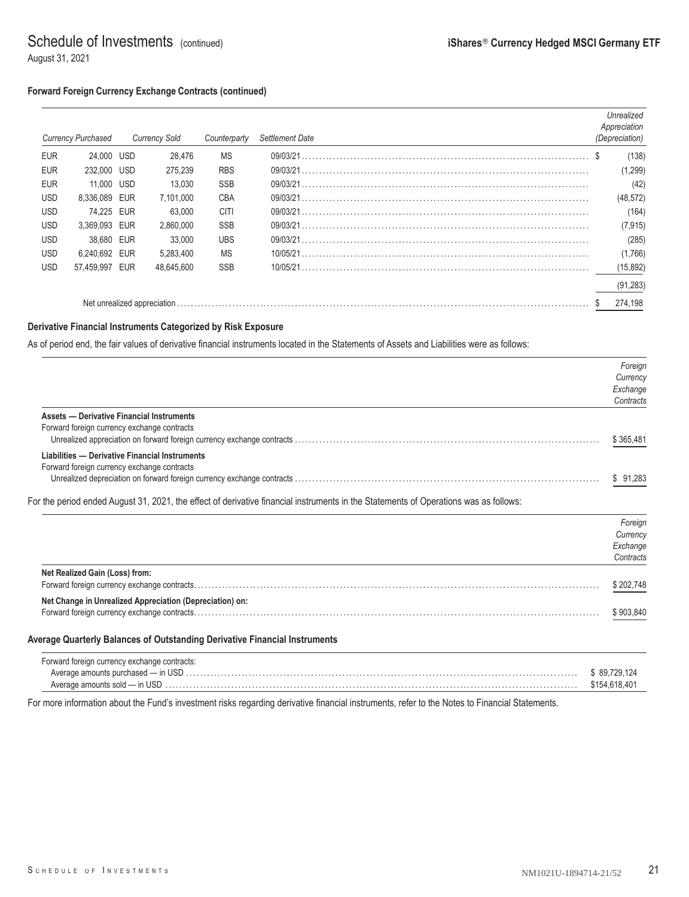#### **Forward Foreign Currency Exchange Contracts (continued)**

|            |                           |                      |              |                        | Unrealized     |
|------------|---------------------------|----------------------|--------------|------------------------|----------------|
|            |                           |                      |              |                        | Appreciation   |
|            | <b>Currency Purchased</b> | <b>Currency Sold</b> | Counterparty | <b>Settlement Date</b> | (Depreciation) |
| <b>EUR</b> | 24,000 USD                | 28.476               | <b>MS</b>    |                        | (138)          |
| <b>EUR</b> | 232,000 USD               | 275.239              | <b>RBS</b>   |                        | (1,299)        |
| <b>EUR</b> | 11,000 USD                | 13.030               | <b>SSB</b>   |                        | (42)           |
| <b>USD</b> | 8.336.089 EUR             | 7.101.000            | <b>CBA</b>   |                        | (48, 572)      |
| <b>USD</b> | 74.225 EUR                | 63.000               | <b>CITI</b>  |                        | (164)          |
| <b>USD</b> | 3.369.093 EUR             | 2.860.000            | <b>SSB</b>   |                        | (7, 915)       |
| <b>USD</b> | 38.680 EUR                | 33.000               | <b>UBS</b>   |                        | (285)          |
| <b>USD</b> | 6.240.692 EUR             | 5.283.400            | <b>MS</b>    |                        | (1,766)        |
| <b>USD</b> | 57.459.997 EUR            | 48.645.600           | <b>SSB</b>   |                        | (15,892)       |
|            |                           |                      |              |                        | (91, 283)      |
|            |                           |                      |              |                        | 274.198        |

#### **Derivative Financial Instruments Categorized by Risk Exposure**

As of period end, the fair values of derivative financial instruments located in the Statements of Assets and Liabilities were as follows:

|                                                                                                                                      | Foreign   |
|--------------------------------------------------------------------------------------------------------------------------------------|-----------|
|                                                                                                                                      | Currency  |
|                                                                                                                                      | Exchange  |
|                                                                                                                                      | Contracts |
| Assets - Derivative Financial Instruments                                                                                            |           |
| Forward foreign currency exchange contracts                                                                                          |           |
|                                                                                                                                      | \$365,481 |
| Liabilities - Derivative Financial Instruments                                                                                       |           |
| Forward foreign currency exchange contracts                                                                                          |           |
|                                                                                                                                      | \$91,283  |
| For the period ended August 31, 2021, the effect of derivative financial instruments in the Statements of Operations was as follows: |           |
|                                                                                                                                      | Foreign   |
|                                                                                                                                      | Currency  |
|                                                                                                                                      | Exchange  |
|                                                                                                                                      | Contracts |
| Net Realized Gain (Loss) from:                                                                                                       |           |
|                                                                                                                                      | \$202,748 |
| Net Change in Unrealized Appreciation (Depreciation) on:                                                                             |           |
|                                                                                                                                      | \$903,840 |
| Average Quarterly Balances of Outstanding Derivative Financial Instruments                                                           |           |
| Forward foreign currency exchange contracts:                                                                                         |           |

For more information about the Fund's investment risks regarding derivative financial instruments, refer to the Notes to Financial Statements.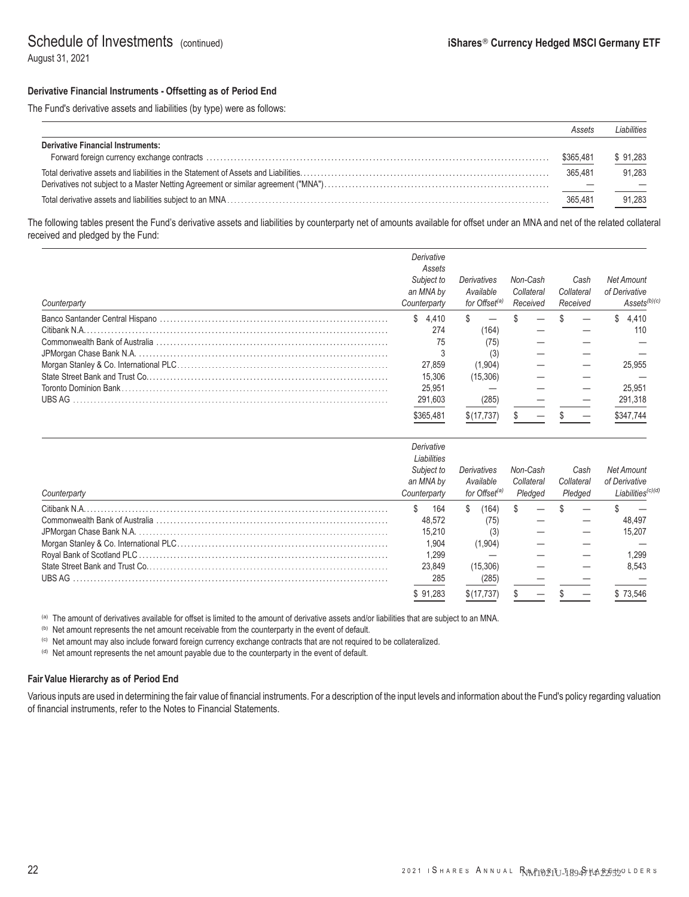#### **Derivative Financial Instruments - Offsetting as of Period End**

The Fund's derivative assets and liabilities (by type) were as follows:

|                                          | Assets    | Liabilities |
|------------------------------------------|-----------|-------------|
| <b>Derivative Financial Instruments:</b> |           |             |
|                                          | \$365,481 | \$91,283    |
|                                          | 365.481   | 91.283      |
|                                          |           |             |
|                                          | 365,481   | 91,283      |

The following tables present the Fund's derivative assets and liabilities by counterparty net of amounts available for offset under an MNA and net of the related collateral received and pledged by the Fund:

| Counterparty | Derivative<br>Assets<br>Subject to<br>an MNA by<br>Counterparty | Derivatives<br>Available<br>for Offset <sup>(a)</sup> | Non-Cash<br>Collateral<br>Received | Cash<br>Collateral<br>Received | Net Amount<br>of Derivative<br>$Assets^{(b)(c)}$ |  |
|--------------|-----------------------------------------------------------------|-------------------------------------------------------|------------------------------------|--------------------------------|--------------------------------------------------|--|
|              | 4.410                                                           |                                                       |                                    |                                | 4.410                                            |  |
|              | 274                                                             | (164)                                                 |                                    |                                | 110                                              |  |
|              | 75                                                              | (75)                                                  |                                    |                                |                                                  |  |
|              |                                                                 | (3                                                    |                                    |                                |                                                  |  |
|              | 27.859                                                          | (1,904)                                               |                                    |                                | 25.955                                           |  |
|              | 15.306                                                          | (15,306)                                              |                                    |                                |                                                  |  |
|              | 25.951                                                          |                                                       |                                    |                                | 25.951                                           |  |
| UBS AG       | 291,603                                                         | (285)                                                 |                                    |                                | 291,318                                          |  |
|              |                                                                 |                                                       |                                    |                                |                                                  |  |

| Counterparty | Derivative<br>Liabilities<br>Subject to<br>an MNA by<br>Counterparty | Derivatives<br>Available<br>for Offset <sup>(a)</sup> | Non-Cash<br>Collateral<br>Pledged | Cash<br>Collateral<br>Pledged | Net Amount<br>of Derivative<br>Liabilities <sup>(c)(d)</sup> |  |
|--------------|----------------------------------------------------------------------|-------------------------------------------------------|-----------------------------------|-------------------------------|--------------------------------------------------------------|--|
|              | 164                                                                  | (164                                                  |                                   |                               |                                                              |  |
|              | 48.572                                                               | (75)                                                  |                                   |                               | 48.497                                                       |  |
|              | 15.210                                                               | (3                                                    |                                   |                               | 15.207                                                       |  |
|              | 1,904                                                                | (1,904)                                               |                                   |                               |                                                              |  |
|              | 1.299                                                                |                                                       |                                   |                               | 1.299                                                        |  |
|              | 23.849                                                               | (15.306)                                              |                                   |                               | 8.543                                                        |  |
|              | 285                                                                  | (285)                                                 |                                   |                               |                                                              |  |
|              | \$91.283                                                             | .737)                                                 |                                   |                               | 73.546                                                       |  |

(a) The amount of derivatives available for offset is limited to the amount of derivative assets and/or liabilities that are subject to an MNA.

(b) Net amount represents the net amount receivable from the counterparty in the event of default.

(c) Net amount may also include forward foreign currency exchange contracts that are not required to be collateralized.

(d) Net amount represents the net amount payable due to the counterparty in the event of default.

#### **Fair Value Hierarchy as of Period End**

Various inputs are used in determining the fair value of financial instruments. For a description of the input levels and information about the Fund's policy regarding valuation of financial instruments, refer to the Notes to Financial Statements.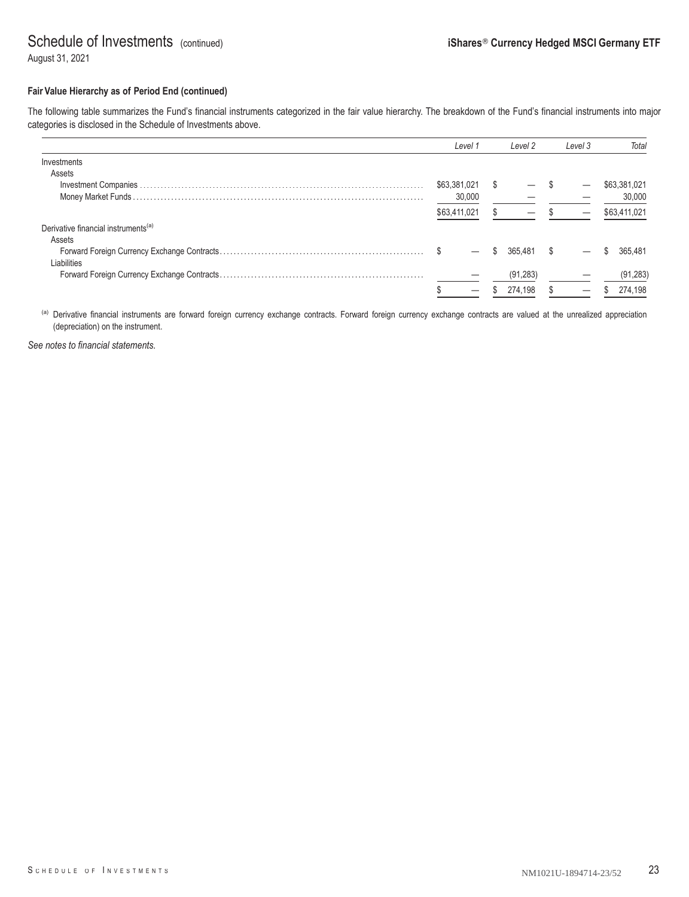August 31, 2021

#### **Fair Value Hierarchy as of Period End (continued)**

The following table summarizes the Fund's financial instruments categorized in the fair value hierarchy. The breakdown of the Fund's financial instruments into major categories is disclosed in the Schedule of Investments above.

|                                                 | Level 1      |    | Level 2   | Level 3 | Total        |
|-------------------------------------------------|--------------|----|-----------|---------|--------------|
| Investments                                     |              |    |           |         |              |
| Assets                                          |              |    |           |         |              |
|                                                 | \$63,381,021 | S. |           |         | \$63.381.021 |
|                                                 | 30,000       |    |           |         | 30,000       |
|                                                 | \$63,411,021 |    |           |         | \$63,411,021 |
| Derivative financial instruments <sup>(a)</sup> |              |    |           |         |              |
| Assets                                          |              |    |           |         |              |
|                                                 |              |    | 365.481   |         | 365.481      |
| Liabilities                                     |              |    |           |         |              |
|                                                 |              |    | (91, 283) |         | (91, 283)    |
|                                                 |              |    | 274.198   |         | 274.198      |

(a) Derivative financial instruments are forward foreign currency exchange contracts. Forward foreign currency exchange contracts are valued at the unrealized appreciation (depreciation) on the instrument.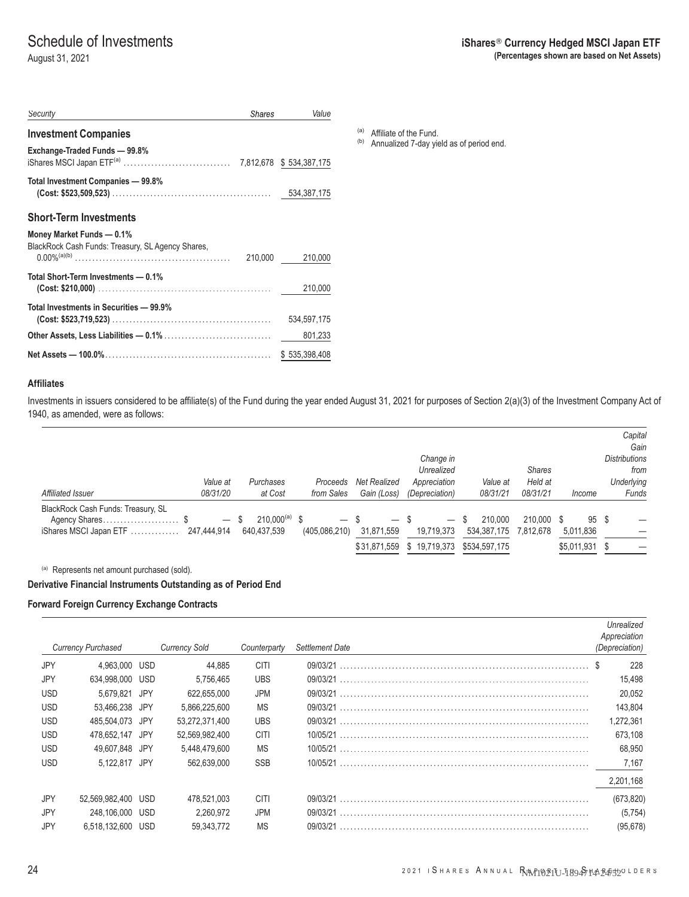# Schedule of Investments

August 31, 2021

| Security                                                                       | <b>Shares</b> | Value         |
|--------------------------------------------------------------------------------|---------------|---------------|
| <b>Investment Companies</b>                                                    |               |               |
| Exchange-Traded Funds - 99.8%                                                  |               |               |
| Total Investment Companies - 99.8%                                             |               | 534, 387, 175 |
| <b>Short-Term Investments</b>                                                  |               |               |
| Money Market Funds - 0.1%<br>BlackRock Cash Funds: Treasury, SL Agency Shares, | 210,000       | 210,000       |
| Total Short-Term Investments - 0.1%                                            |               | 210,000       |
| Total Investments in Securities - 99.9%                                        |               | 534,597,175   |
|                                                                                |               | 801,233       |
|                                                                                |               | \$535,398,408 |

(a) Affiliate of the Fund.

(b) Annualized 7-day yield as of period end.

#### **Affiliates**

Investments in issuers considered to be affiliate(s) of the Fund during the year ended August 31, 2021 for purposes of Section 2(a)(3) of the Investment Company Act of 1940, as amended, were as follows:

|                                                     |                          |                          |               |                          |                          |               |               |             | Capital<br>Gain      |
|-----------------------------------------------------|--------------------------|--------------------------|---------------|--------------------------|--------------------------|---------------|---------------|-------------|----------------------|
|                                                     |                          |                          |               |                          | Change in                |               |               |             | <b>Distributions</b> |
|                                                     |                          |                          |               |                          | Unrealized               |               | <b>Shares</b> |             | from                 |
|                                                     | Value at                 | Purchases                | Proceeds      | Net Realized             | Appreciation             | Value at      | Held at       |             | Underlying           |
| Affiliated Issuer                                   | 08/31/20                 | at Cost                  | from Sales    | Gain (Loss)              | (Depreciation)           | 08/31/21      | 08/31/21      | Income      | Funds                |
| BlackRock Cash Funds: Treasury, SL<br>Agency Shares | $\overline{\phantom{0}}$ | $210.000^{(a)}$ \$<br>S. |               | $\overline{\phantom{m}}$ | $\overline{\phantom{m}}$ | 210.000       | 210.000       | 95S         |                      |
| iShares MSCI Japan ETF                              | 247,444,914              | 640,437,539              | (405,086,210) | 31,871,559               | 19,719,373               | 534,387,175   | 7,812,678     | 5,011,836   |                      |
|                                                     |                          |                          |               | \$31,871,559             | 19,719,373               | \$534.597.175 |               | \$5,011,931 |                      |

(a) Represents net amount purchased (sold).

**Derivative Financial Instruments Outstanding as of Period End**

#### **Forward Foreign Currency Exchange Contracts**

|            | <b>Currency Purchased</b> |            | <b>Currency Sold</b> | Counterparty | <b>Settlement Date</b> | Unrealized<br>Appreciation<br>(Depreciation) |
|------------|---------------------------|------------|----------------------|--------------|------------------------|----------------------------------------------|
| JPY        | 4.963.000 USD             |            | 44.885               | <b>CITI</b>  |                        | 228                                          |
| <b>JPY</b> | 634.998.000 USD           |            | 5,756,465            | <b>UBS</b>   |                        | 15,498                                       |
| <b>USD</b> | 5.679.821                 | JPY        | 622.655.000          | <b>JPM</b>   |                        | 20.052                                       |
| <b>USD</b> | 53.466.238                | JPY        | 5.866.225,600        | <b>MS</b>    | 09/03/21               | 143,804                                      |
| <b>USD</b> | 485.504.073 JPY           |            | 53.272.371.400       | <b>UBS</b>   |                        | 1.272.361                                    |
| <b>USD</b> | 478.652.147               | JPY        | 52.569.982.400       | <b>CITI</b>  |                        | 673.108                                      |
| <b>USD</b> | 49.607.848                | JPY        | 5,448,479,600        | <b>MS</b>    |                        | 68,950                                       |
| <b>USD</b> | 5.122.817 JPY             |            | 562.639.000          | <b>SSB</b>   |                        | 7,167                                        |
|            |                           |            |                      |              |                        | 2,201,168                                    |
| <b>JPY</b> | 52.569.982.400            | USD        | 478.521.003          | <b>CITI</b>  |                        | (673, 820)                                   |
| <b>JPY</b> | 248.106.000 USD           |            | 2.260.972            | <b>JPM</b>   |                        | (5,754)                                      |
| <b>JPY</b> | 6.518.132.600             | <b>USD</b> | 59.343.772           | <b>MS</b>    |                        | (95, 678)                                    |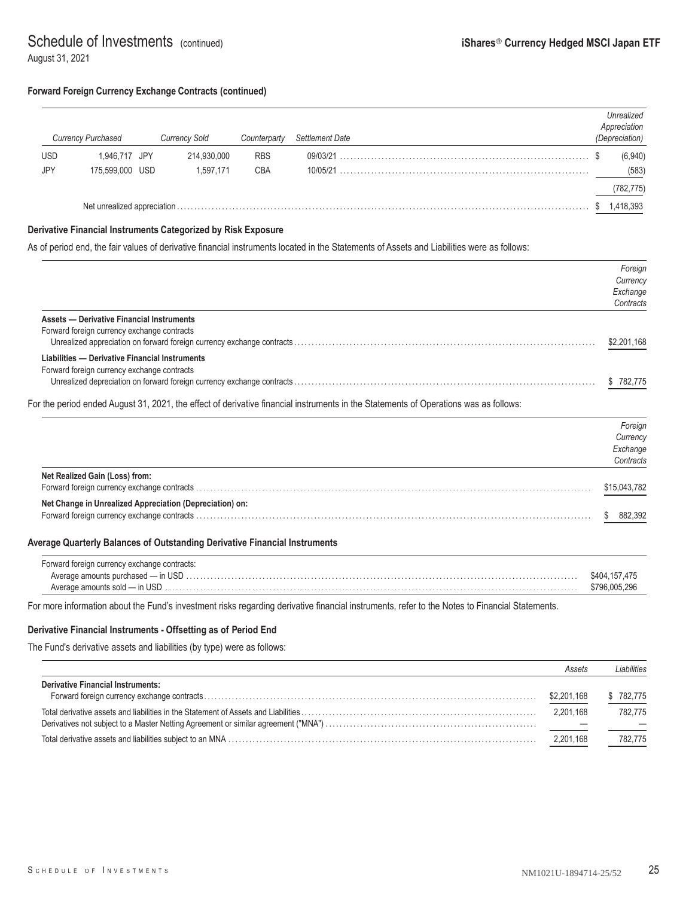# Schedule of Investments (continued)

August 31, 2021

#### **Forward Foreign Currency Exchange Contracts (continued)**

|            |                    |                      |              |                 |  | Unrealized<br>Appreciation<br>(Depreciation) |
|------------|--------------------|----------------------|--------------|-----------------|--|----------------------------------------------|
|            | Currency Purchased | <b>Currency Sold</b> | Counterparty | Settlement Date |  |                                              |
| <b>USD</b> | 1.946.717 JPY      | 214,930,000          | <b>RBS</b>   |                 |  | (6,940)                                      |
| <b>JPY</b> | 175,599,000 USD    | 1.597.171            | <b>CBA</b>   |                 |  | (583)                                        |
|            |                    |                      |              |                 |  | (782, 775)                                   |
|            |                    |                      |              |                 |  | 1,418,393                                    |

#### **Derivative Financial Instruments Categorized by Risk Exposure**

As of period end, the fair values of derivative financial instruments located in the Statements of Assets and Liabilities were as follows:

|                                                                                                                                      | Foreign<br>Currency<br>Exchange<br>Contracts |
|--------------------------------------------------------------------------------------------------------------------------------------|----------------------------------------------|
| <b>Assets - Derivative Financial Instruments</b><br>Forward foreign currency exchange contracts                                      |                                              |
|                                                                                                                                      | \$2,201,168                                  |
| Liabilities - Derivative Financial Instruments                                                                                       |                                              |
| Forward foreign currency exchange contracts                                                                                          | \$782,775                                    |
| For the period ended August 31, 2021, the effect of derivative financial instruments in the Statements of Operations was as follows: |                                              |
|                                                                                                                                      | Foreign                                      |
|                                                                                                                                      | Currency<br>Evchange                         |

|                                                          | Currency<br>Exchange |
|----------------------------------------------------------|----------------------|
|                                                          | Contracts            |
| Net Realized Gain (Loss) from:                           | \$15,043,782         |
| Net Change in Unrealized Appreciation (Depreciation) on: | 882,392              |

#### **Average Quarterly Balances of Outstanding Derivative Financial Instruments**

| Forward foreign currency exchange contracts: |               |
|----------------------------------------------|---------------|
| Average amounts purchased - in USD.          | \$404,157,475 |
| - in USL<br>Average amounts sold — i         |               |

For more information about the Fund's investment risks regarding derivative financial instruments, refer to the Notes to Financial Statements.

#### **Derivative Financial Instruments - Offsetting as of Period End**

The Fund's derivative assets and liabilities (by type) were as follows:

|                                   | Assets                            | Liabilities |
|-----------------------------------|-----------------------------------|-------------|
| Derivative Financial Instruments: |                                   |             |
|                                   | \$2,201,168                       | \$782,775   |
|                                   | 2.201.168                         | 782.775     |
|                                   | and the state of the state of the |             |
|                                   | 2,201,168                         | 782,775     |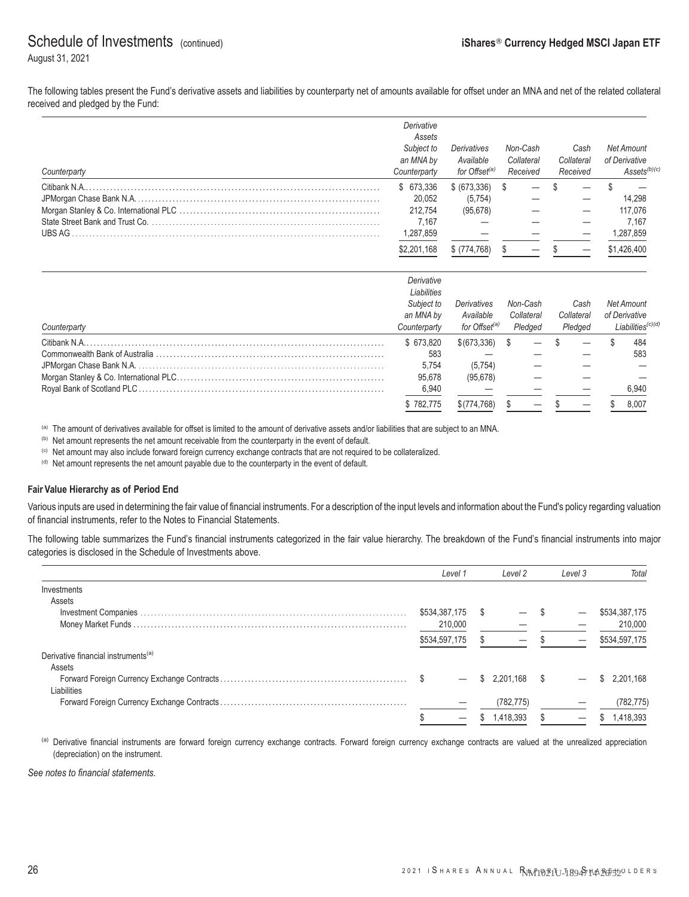The following tables present the Fund's derivative assets and liabilities by counterparty net of amounts available for offset under an MNA and net of the related collateral received and pledged by the Fund:

| Counterpartv | Derivative<br>Assets<br>Subject to<br>an MNA by<br>Counterparty | Derivatives<br>Available<br>for Offset <sup>(a)</sup> | Non-Cash<br>Collateral<br>Received | Cash<br>Collateral<br>Received | Net Amount<br>of Derivative<br>$Assets^{(b)(c)}$ |
|--------------|-----------------------------------------------------------------|-------------------------------------------------------|------------------------------------|--------------------------------|--------------------------------------------------|
|              | \$ 673.336                                                      | \$(673,336)                                           |                                    |                                |                                                  |
|              | 20.052                                                          | (5, 754)                                              |                                    |                                | 14.298                                           |
|              | 212.754                                                         | (95, 678)                                             |                                    |                                | 117.076                                          |
|              | 7.167                                                           |                                                       |                                    |                                | 7.167                                            |
|              | 1,287,859                                                       |                                                       |                                    |                                | 1,287,859                                        |
|              | \$2.201.168                                                     | \$(774.768)                                           |                                    |                                | \$1.426,400                                      |

| Counterparty | Derivative<br>Liabilities<br>Subject to<br>an MNA by<br>Counterparty | Derivatives<br>Available<br>for Offset <sup>(a)</sup> | Non-Cash<br>Collateral<br>Pledged | Cash<br>Collateral<br>Pledged | Net Amount<br>of Derivative<br>Liabilities $^{(c)(d)}$ |
|--------------|----------------------------------------------------------------------|-------------------------------------------------------|-----------------------------------|-------------------------------|--------------------------------------------------------|
|              | \$ 673.820                                                           | \$ (673.336)                                          |                                   |                               | 484                                                    |
|              | 583                                                                  |                                                       |                                   |                               | 583                                                    |
|              | 5.754                                                                | (5,754)                                               |                                   |                               |                                                        |
|              | 95.678                                                               | (95, 678)                                             |                                   |                               |                                                        |
|              | 6,940                                                                |                                                       |                                   |                               | 6,940                                                  |
|              | 782.775                                                              | \$(774.768)                                           |                                   |                               | 8.007                                                  |

(a) The amount of derivatives available for offset is limited to the amount of derivative assets and/or liabilities that are subject to an MNA.

(b) Net amount represents the net amount receivable from the counterparty in the event of default.

(c) Net amount may also include forward foreign currency exchange contracts that are not required to be collateralized.

(d) Net amount represents the net amount payable due to the counterparty in the event of default.

#### **Fair Value Hierarchy as of Period End**

Various inputs are used in determining the fair value of financial instruments. For a description of the input levels and information about the Fund's policy regarding valuation of financial instruments, refer to the Notes to Financial Statements.

The following table summarizes the Fund's financial instruments categorized in the fair value hierarchy. The breakdown of the Fund's financial instruments into major categories is disclosed in the Schedule of Investments above.

|                                                 | Level 1       | Level 2            | Level 3 | Total         |
|-------------------------------------------------|---------------|--------------------|---------|---------------|
| Investments                                     |               |                    |         |               |
| Assets                                          |               |                    |         |               |
|                                                 | \$534,387,175 | æ.                 |         | \$534.387.175 |
|                                                 | 210,000       |                    |         | 210,000       |
|                                                 | \$534,597,175 |                    |         | \$534,597,175 |
| Derivative financial instruments <sup>(a)</sup> |               |                    |         |               |
| Assets                                          |               |                    |         |               |
|                                                 |               | 2.201.168 \$<br>S. |         | \$2.201.168   |
| Liabilities                                     |               |                    |         |               |
|                                                 |               | (782, 775)         |         | (782, 775)    |
|                                                 |               | 1.418.393          |         | 418,393       |

(a) Derivative financial instruments are forward foreign currency exchange contracts. Forward foreign currency exchange contracts are valued at the unrealized appreciation (depreciation) on the instrument.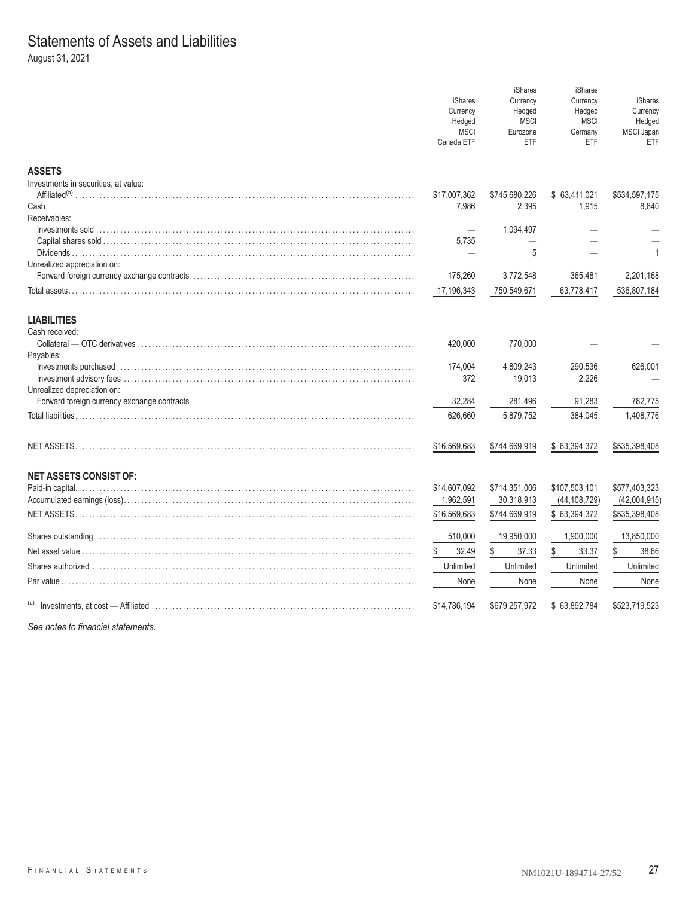# Statements of Assets and Liabilities

August 31, 2021

|                                      |                            | <b>iShares</b>              | <b>iShares</b>     |                               |
|--------------------------------------|----------------------------|-----------------------------|--------------------|-------------------------------|
|                                      | <b>iShares</b><br>Currency | Currency<br>Hedged          | Currency<br>Hedged | <b>iShares</b><br>Currency    |
|                                      | Hedged                     | <b>MSCI</b>                 | <b>MSCI</b>        | Hedged                        |
|                                      | <b>MSCI</b>                | Eurozone                    | Germany            | <b>MSCI</b> Japan             |
|                                      | Canada ETF                 | ETF                         | ETF                | ETF                           |
| <b>ASSETS</b>                        |                            |                             |                    |                               |
| Investments in securities, at value: |                            |                             |                    |                               |
|                                      | \$17,007,362               | \$745,680,226               | \$63,411,021       | \$534,597,175                 |
|                                      | 7,986                      | 2,395                       | 1,915              | 8,840                         |
| Receivables:                         |                            |                             |                    |                               |
|                                      |                            | 1,094,497                   |                    |                               |
|                                      | 5,735                      |                             |                    |                               |
|                                      |                            | 5                           |                    | $\mathbf{1}$                  |
| Unrealized appreciation on:          |                            |                             |                    |                               |
|                                      | 175,260                    | 3,772,548                   | 365,481            | 2,201,168                     |
|                                      | 17,196,343                 | 750,549,671                 | 63,778,417         | 536,807,184                   |
| <b>LIABILITIES</b>                   |                            |                             |                    |                               |
| Cash received:                       |                            |                             |                    |                               |
|                                      | 420,000                    | 770,000                     |                    |                               |
| Payables:                            |                            |                             |                    |                               |
|                                      | 174,004                    | 4,809,243                   | 290,536            | 626,001                       |
|                                      | 372                        | 19,013                      | 2,226              |                               |
| Unrealized depreciation on:          | 32,284                     | 281,496                     | 91,283             | 782.775                       |
|                                      |                            |                             |                    |                               |
|                                      | 626,660                    | 5,879,752                   | 384,045            | 1,408,776                     |
|                                      | \$16,569,683               | \$744,669,919               | \$63,394,372       | \$535,398,408                 |
|                                      |                            |                             |                    |                               |
| <b>NET ASSETS CONSIST OF:</b>        |                            |                             |                    |                               |
|                                      | \$14,607.092<br>1,962,591  | \$714.351.006<br>30,318,913 | \$107,503,101      | \$577.403.323<br>(42,004,915) |
|                                      |                            |                             | (44,108,729)       |                               |
|                                      | \$16,569,683               | \$744,669,919               | \$63,394,372       | \$535,398,408                 |
|                                      | 510,000                    | 19,950,000                  | 1,900,000          | 13,850,000                    |
|                                      | 32.49                      | \$<br>37.33                 | \$<br>33.37        | \$<br>38.66                   |
|                                      | Unlimited                  | Unlimited                   | Unlimited          | Unlimited                     |
|                                      | None                       | None                        | None               | None                          |
|                                      | \$14,786,194               | \$679,257,972               | \$63,892,784       | \$523,719,523                 |
|                                      |                            |                             |                    |                               |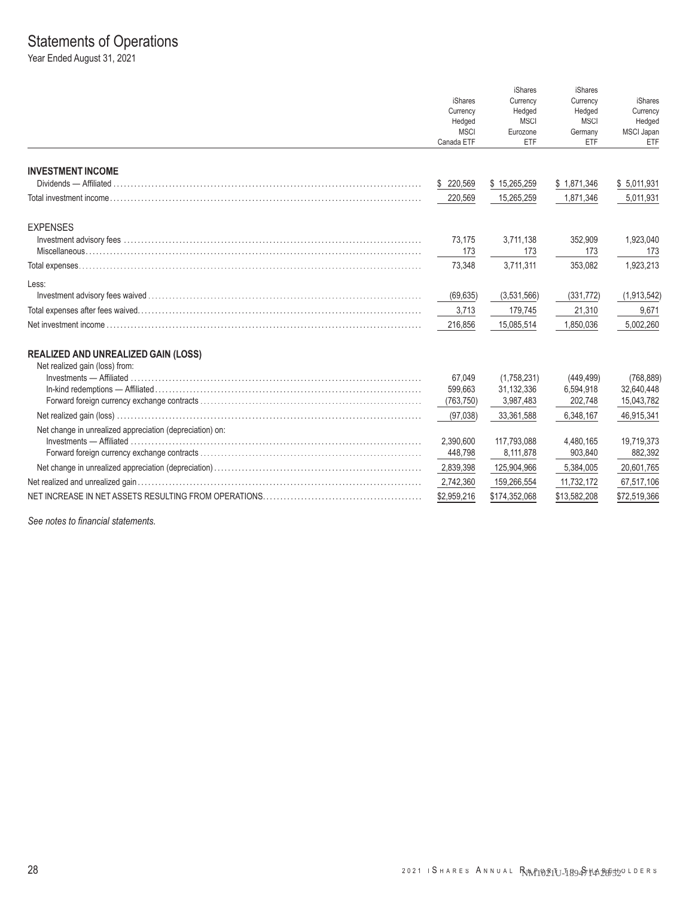# Statements of Operations

Year Ended August 31, 2021

|                                                                              | iShares<br>Currency<br>Hedged<br><b>MSCI</b><br>Canada ETF | <b>iShares</b><br>Currency<br>Hedged<br><b>MSCI</b><br>Eurozone<br>ETF | <b>iShares</b><br>Currency<br>Hedged<br><b>MSCI</b><br>Germany<br>ETF | <b>iShares</b><br>Currency<br>Hedged<br>MSCI Japan<br>ETF |
|------------------------------------------------------------------------------|------------------------------------------------------------|------------------------------------------------------------------------|-----------------------------------------------------------------------|-----------------------------------------------------------|
| <b>INVESTMENT INCOME</b>                                                     |                                                            |                                                                        |                                                                       |                                                           |
|                                                                              | \$ 220,569                                                 | \$15,265,259                                                           | \$1,871,346                                                           | \$5,011,931                                               |
|                                                                              | 220,569                                                    | 15,265,259                                                             | 1,871,346                                                             | 5,011,931                                                 |
| <b>EXPENSES</b>                                                              |                                                            |                                                                        |                                                                       |                                                           |
|                                                                              | 73,175                                                     | 3,711,138                                                              | 352,909                                                               | 1,923,040                                                 |
|                                                                              | 173                                                        | 173                                                                    | 173                                                                   | 173                                                       |
|                                                                              | 73,348                                                     | 3,711,311                                                              | 353,082                                                               | 1,923,213                                                 |
| Less:                                                                        |                                                            |                                                                        |                                                                       |                                                           |
|                                                                              | (69, 635)                                                  | (3,531,566)                                                            | (331, 772)                                                            | (1,913,542)                                               |
|                                                                              | 3,713                                                      | 179,745                                                                | 21,310                                                                | 9,671                                                     |
|                                                                              | 216,856                                                    | 15,085,514                                                             | 1,850,036                                                             | 5,002,260                                                 |
| <b>REALIZED AND UNREALIZED GAIN (LOSS)</b><br>Net realized gain (loss) from: |                                                            |                                                                        |                                                                       |                                                           |
| Investments - Affiliated                                                     | 67,049                                                     | (1,758,231)                                                            | (449, 499)                                                            | (768, 889)                                                |
|                                                                              | 599,663                                                    | 31,132,336                                                             | 6,594,918<br>202,748                                                  | 32,640,448<br>15,043,782                                  |
|                                                                              | (763, 750)                                                 | 3,987,483                                                              |                                                                       |                                                           |
|                                                                              | (97,038)                                                   | 33,361,588                                                             | 6,348,167                                                             | 46,915,341                                                |
| Net change in unrealized appreciation (depreciation) on:                     | 2,390,600                                                  | 117,793,088                                                            | 4,480,165                                                             | 19,719,373                                                |
|                                                                              | 448,798                                                    | 8,111,878                                                              | 903,840                                                               | 882,392                                                   |
|                                                                              | 2,839,398                                                  | 125,904,966                                                            | 5,384,005                                                             | 20,601,765                                                |
|                                                                              |                                                            |                                                                        |                                                                       |                                                           |
|                                                                              | 2,742,360                                                  | 159,266,554                                                            | 11,732,172                                                            | 67,517,106                                                |
|                                                                              | \$2,959,216                                                | \$174,352,068                                                          | \$13,582,208                                                          | \$72,519,366                                              |
|                                                                              |                                                            |                                                                        |                                                                       |                                                           |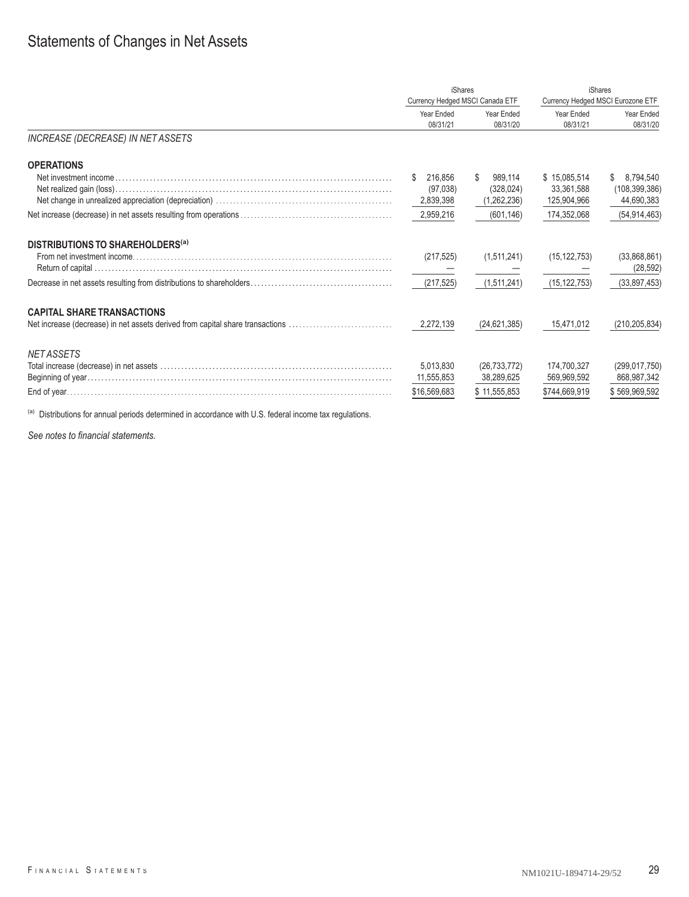# Statements of Changes in Net Assets

|                                                                                                                    | iShares<br>Currency Hedged MSCI Canada ETF    |                                                         |                                                          | iShares<br>Currency Hedged MSCI Eurozone ETF                 |
|--------------------------------------------------------------------------------------------------------------------|-----------------------------------------------|---------------------------------------------------------|----------------------------------------------------------|--------------------------------------------------------------|
|                                                                                                                    | Year Ended<br>08/31/21                        | Year Ended<br>08/31/20                                  | Year Ended<br>08/31/21                                   | Year Ended<br>08/31/20                                       |
| <b>INCREASE (DECREASE) IN NET ASSETS</b>                                                                           |                                               |                                                         |                                                          |                                                              |
| <b>OPERATIONS</b>                                                                                                  | 216,856<br>(97,038)<br>2,839,398<br>2,959,216 | 989.114<br>S<br>(328, 024)<br>(1,262,236)<br>(601, 146) | \$15,085,514<br>33,361,588<br>125,904,966<br>174,352,068 | 8.794.540<br>(108, 399, 386)<br>44,690,383<br>(54, 914, 463) |
| <b>DISTRIBUTIONS TO SHAREHOLDERS(a)</b>                                                                            | (217, 525)<br>(217, 525)                      | (1,511,241)<br>(1,511,241)                              | (15, 122, 753)<br>(15, 122, 753)                         | (33,868,861)<br>(28, 592)<br>(33,897,453)                    |
| <b>CAPITAL SHARE TRANSACTIONS</b><br>Net increase (decrease) in net assets derived from capital share transactions | 2,272,139                                     | (24, 621, 385)                                          | 15,471,012                                               | (210, 205, 834)                                              |
| <b>NET ASSETS</b>                                                                                                  | 5.013.830<br>11,555,853<br>\$16,569,683       | (26, 733, 772)<br>38,289,625<br>\$11,555,853            | 174.700.327<br>569,969,592<br>\$744,669,919              | (299, 017, 750)<br>868,987,342<br>\$569,969,592              |

(a) Distributions for annual periods determined in accordance with U.S. federal income tax regulations.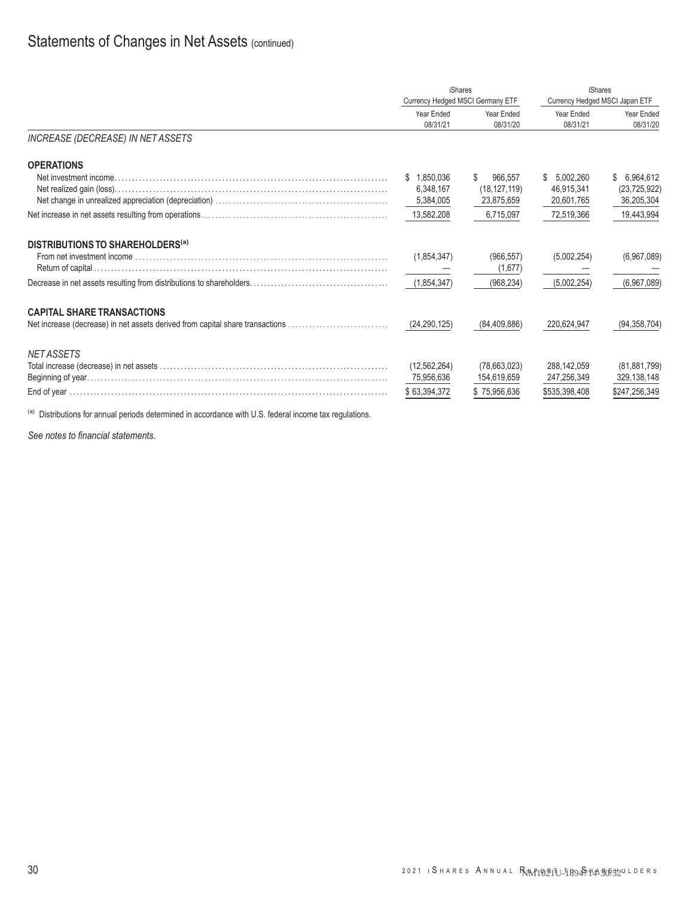# Statements of Changes in Net Assets (continued)

|                                                                               | <b>iShares</b><br>Currency Hedged MSCI Germany ETF |                              | iShares<br>Currency Hedged MSCI Japan ETF |                                |
|-------------------------------------------------------------------------------|----------------------------------------------------|------------------------------|-------------------------------------------|--------------------------------|
|                                                                               | Year Ended<br>08/31/21                             | Year Ended<br>08/31/20       | Year Ended<br>08/31/21                    | Year Ended<br>08/31/20         |
| <b>INCREASE (DECREASE) IN NET ASSETS</b>                                      |                                                    |                              |                                           |                                |
| <b>OPERATIONS</b>                                                             |                                                    |                              |                                           |                                |
|                                                                               | \$1,850,036                                        | 966.557<br>s.                | 5.002.260<br>$\mathbb{S}$                 | 6.964.612<br>S.                |
|                                                                               | 6.348.167<br>5,384,005                             | (18, 127, 119)<br>23,875,659 | 46.915.341<br>20,601,765                  | (23, 725, 922)<br>36,205,304   |
|                                                                               | 13,582,208                                         | 6,715,097                    | 72,519,366                                | 19,443,994                     |
| DISTRIBUTIONS TO SHAREHOLDERS <sup>(a)</sup>                                  |                                                    |                              |                                           |                                |
|                                                                               | (1, 854, 347)                                      | (966, 557)<br>(1,677)        | (5,002,254)                               | (6,967,089)                    |
|                                                                               | (1, 854, 347)                                      | (968, 234)                   | (5,002,254)                               | (6,967,089)                    |
| <b>CAPITAL SHARE TRANSACTIONS</b>                                             |                                                    |                              |                                           |                                |
| Net increase (decrease) in net assets derived from capital share transactions | (24, 290, 125)                                     | (84, 409, 886)               | 220,624,947                               | (94, 358, 704)                 |
| <b>NET ASSETS</b>                                                             |                                                    |                              |                                           |                                |
|                                                                               | (12, 562, 264)                                     | (78,663,023)                 | 288.142.059                               | (81, 881, 799)                 |
|                                                                               | 75,956,636<br>\$63,394,372                         | 154,619,659<br>\$75,956,636  | 247,256,349<br>\$535,398,408              | 329, 138, 148<br>\$247,256,349 |
|                                                                               |                                                    |                              |                                           |                                |

(a) Distributions for annual periods determined in accordance with U.S. federal income tax regulations.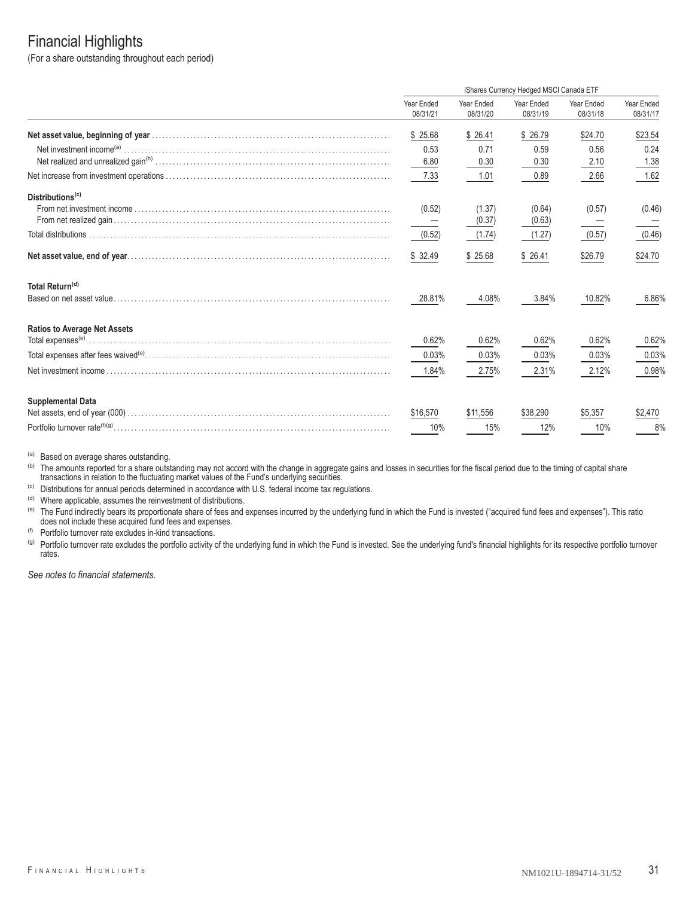# Financial Highlights

(For a share outstanding throughout each period)

|                                                                                                                                                                                    | iShares Currency Hedged MSCI Canada ETF |                        |                        |                        |                        |  |
|------------------------------------------------------------------------------------------------------------------------------------------------------------------------------------|-----------------------------------------|------------------------|------------------------|------------------------|------------------------|--|
|                                                                                                                                                                                    | Year Ended<br>08/31/21                  | Year Ended<br>08/31/20 | Year Ended<br>08/31/19 | Year Ended<br>08/31/18 | Year Ended<br>08/31/17 |  |
|                                                                                                                                                                                    | \$25.68                                 | \$26.41                | \$26.79                | \$24.70                | \$23.54                |  |
|                                                                                                                                                                                    | 0.53                                    | 0.71                   | 0.59                   | 0.56                   | 0.24                   |  |
|                                                                                                                                                                                    | 6.80                                    | 0.30                   | 0.30                   | 2.10                   | 1.38                   |  |
|                                                                                                                                                                                    | 7.33                                    | 1.01                   | 0.89                   | 2.66                   | 1.62                   |  |
| Distributions <sup>(c)</sup>                                                                                                                                                       |                                         |                        |                        |                        |                        |  |
| From net investment income $\ldots$ , $\ldots$ , $\ldots$ , $\ldots$ , $\ldots$ , $\ldots$ , $\ldots$ , $\ldots$ , $\ldots$ , $\ldots$ , $\ldots$ , $\ldots$ , $\ldots$ , $\ldots$ | (0.52)                                  | (1.37)                 | (0.64)                 | (0.57)                 | (0.46)                 |  |
|                                                                                                                                                                                    |                                         | (0.37)                 | (0.63)                 |                        |                        |  |
|                                                                                                                                                                                    | (0.52)                                  | (1.74)                 | (1.27)                 | (0.57)                 | (0.46)                 |  |
|                                                                                                                                                                                    | \$32.49                                 | \$25.68                | \$26.41                | \$26.79                | \$24.70                |  |
| Total Return <sup>(d)</sup>                                                                                                                                                        |                                         |                        |                        |                        |                        |  |
|                                                                                                                                                                                    | 28.81%                                  | 4.08%                  | 3.84%                  | 10.82%                 | 6.86%                  |  |
| <b>Ratios to Average Net Assets</b>                                                                                                                                                |                                         |                        |                        |                        |                        |  |
|                                                                                                                                                                                    | 0.62%                                   | 0.62%                  | 0.62%                  | 0.62%                  | 0.62%                  |  |
|                                                                                                                                                                                    | 0.03%                                   | 0.03%                  | 0.03%                  | 0.03%                  | 0.03%                  |  |
|                                                                                                                                                                                    | 1.84%                                   | 2.75%                  | 2.31%                  | 2.12%                  | 0.98%                  |  |
| <b>Supplemental Data</b>                                                                                                                                                           |                                         |                        |                        |                        |                        |  |
|                                                                                                                                                                                    | \$16,570                                | \$11,556               | \$38,290               | \$5,357                | \$2,470                |  |
|                                                                                                                                                                                    | 10%                                     | 15%                    | 12%                    | 10%                    | 8%                     |  |

(a) Based on average shares outstanding.

<sup>(b)</sup> The amounts reported for a share outstanding may not accord with the change in aggregate gains and losses in securities for the fiscal period due to the timing of capital share<br>transactions in relation to the fluctua

(c) Distributions for annual periods determined in accordance with U.S. federal income tax regulations.

(d) Where applicable, assumes the reinvestment of distributions.

<sup>(e)</sup> The Fund indirectly bears its proportionate share of fees and expenses incurred by the underlying fund in which the Fund is invested ("acquired fund fees and expenses"). This ratio does not include these acquired fun

(f) Portfolio turnover rate excludes in-kind transactions.

(g) Portfolio turnover rate excludes the portfolio activity of the underlying fund in which the Fund is invested. See the underlying fund's financial highlights for its respective portfolio turnover rates.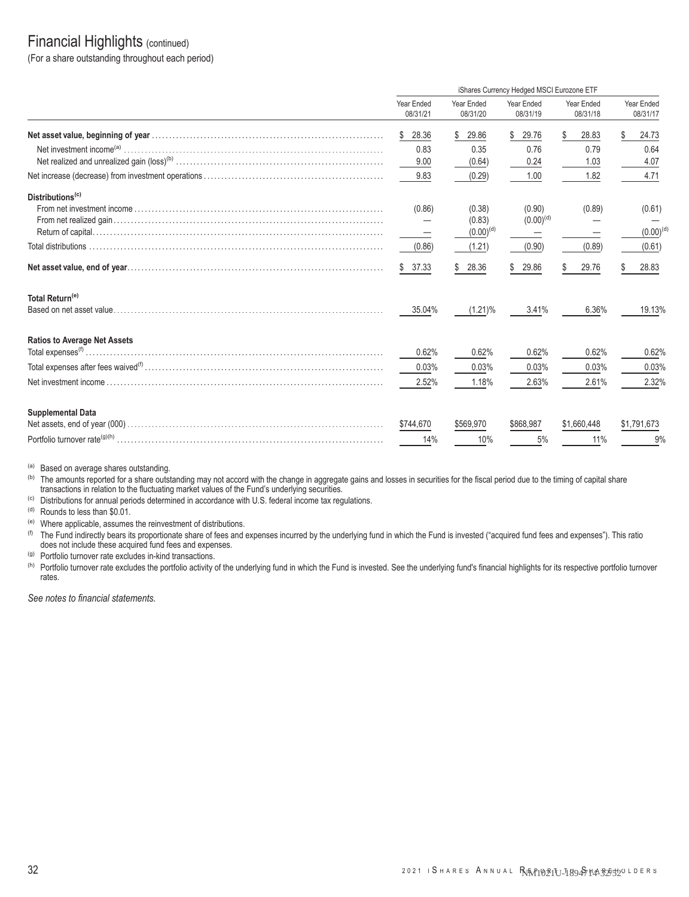# Financial Highlights (continued)

(For a share outstanding throughout each period)

|                                     | iShares Currency Hedged MSCI Eurozone ETF |                          |                                                    |                        |                        |  |
|-------------------------------------|-------------------------------------------|--------------------------|----------------------------------------------------|------------------------|------------------------|--|
|                                     | Year Ended<br>08/31/21                    | Year Ended<br>08/31/20   | Year Ended<br>08/31/19                             | Year Ended<br>08/31/18 | Year Ended<br>08/31/17 |  |
|                                     | 28.36<br>S                                | 29.86<br>S.              | 29.76<br>S                                         | S<br>28.83             | \$.<br>24.73           |  |
|                                     | 0.83<br>9.00                              | 0.35<br>(0.64)           | 0.76<br>0.24                                       | 0.79<br>1.03           | 0.64<br>4.07           |  |
|                                     | 9.83                                      | (0.29)                   | 1.00                                               | 1.82                   | 4.71                   |  |
| Distributions <sup>(c)</sup>        |                                           |                          |                                                    |                        |                        |  |
|                                     | (0.86)                                    | (0.38)                   | (0.90)                                             | (0.89)                 | (0.61)                 |  |
|                                     |                                           | (0.83)<br>$(0.00)^{(d)}$ | $(0.00)^{(d)}$<br>$\overbrace{\phantom{12322111}}$ |                        | $(0.00)^{(d)}$         |  |
|                                     |                                           |                          |                                                    |                        |                        |  |
|                                     | (0.86)                                    | (1.21)                   | (0.90)                                             | (0.89)                 | (0.61)                 |  |
|                                     | \$37.33                                   | 28.36                    | 29.86                                              | 29.76                  | 28.83                  |  |
| Total Return <sup>(e)</sup>         |                                           |                          |                                                    |                        |                        |  |
|                                     | 35.04%                                    | $(1.21)\%$               | 3.41%                                              | 6.36%                  | 19.13%                 |  |
| <b>Ratios to Average Net Assets</b> |                                           |                          |                                                    |                        |                        |  |
|                                     | 0.62%                                     | 0.62%                    | 0.62%                                              | 0.62%                  | 0.62%                  |  |
|                                     | 0.03%                                     | 0.03%                    | 0.03%                                              | 0.03%                  | 0.03%                  |  |
|                                     | 2.52%                                     | 1.18%                    | 2.63%                                              | 2.61%                  | 2.32%                  |  |
| <b>Supplemental Data</b>            |                                           |                          |                                                    |                        |                        |  |
|                                     | \$744,670                                 | \$569,970                | \$868,987                                          | \$1,660,448            | \$1,791,673            |  |
|                                     | 14%                                       | 10%                      | 5%                                                 | 11%                    | 9%                     |  |

(a) Based on average shares outstanding.<br>(b) The amounts reported for a share outst

<sup>(b)</sup> The amounts reported for a share outstanding may not accord with the change in aggregate gains and losses in securities for the fiscal period due to the timing of capital share transactions in relation to the fluctua

(c) Distributions for annual periods determined in accordance with U.S. federal income tax regulations.

(d) Rounds to less than \$0.01.

(e) Where applicable, assumes the reinvestment of distributions.<br>(f) The Fund indirectly bears its proportionate share of fees and

<sup>(f)</sup> The Fund indirectly bears its proportionate share of fees and expenses incurred by the underlying fund in which the Fund is invested ("acquired fund fees and expenses"). This ratio does not include these acquired fun

(g) Portfolio turnover rate excludes in-kind transactions.

(h) Portfolio turnover rate excludes the portfolio activity of the underlying fund in which the Fund is invested. See the underlying fund's financial highlights for its respective portfolio turnover rates.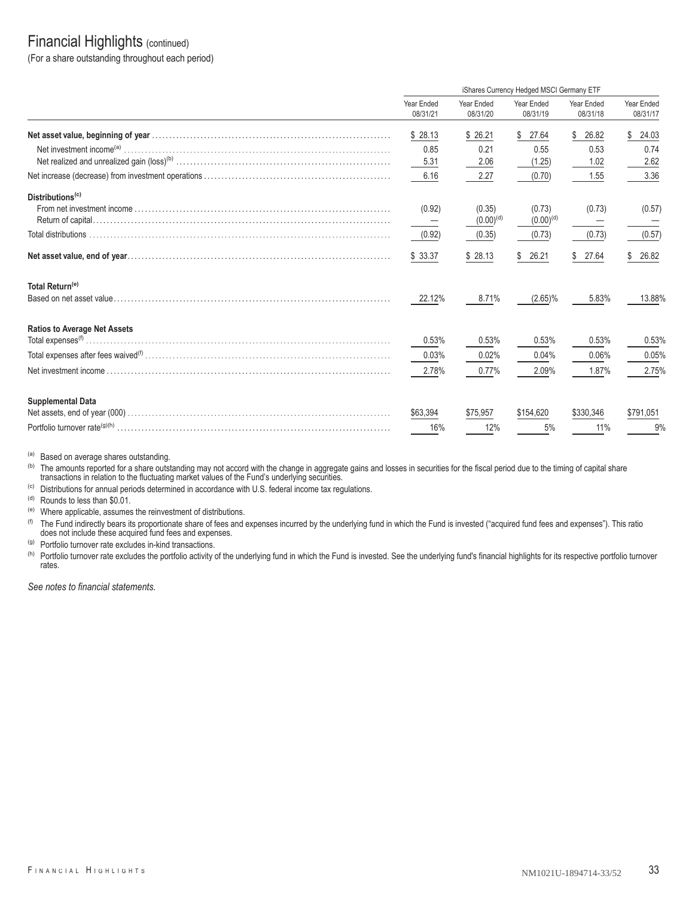# Financial Highlights (continued)

(For a share outstanding throughout each period)

|                                     | iShares Currency Hedged MSCI Germany ETF |                          |                          |                        |                        |  |
|-------------------------------------|------------------------------------------|--------------------------|--------------------------|------------------------|------------------------|--|
|                                     | Year Ended<br>08/31/21                   | Year Ended<br>08/31/20   | Year Ended<br>08/31/19   | Year Ended<br>08/31/18 | Year Ended<br>08/31/17 |  |
|                                     | \$28.13                                  | \$26.21                  | 27.64                    | 26.82                  | 24.03<br>\$            |  |
|                                     | 0.85<br>5.31                             | 0.21<br>2.06             | 0.55<br>(1.25)           | 0.53<br>1.02           | 0.74<br>2.62           |  |
|                                     | 6.16                                     | 2.27                     | (0.70)                   | 1.55                   | 3.36                   |  |
| Distributions <sup>(c)</sup>        |                                          |                          |                          |                        |                        |  |
|                                     | (0.92)                                   | (0.35)<br>$(0.00)^{(d)}$ | (0.73)<br>$(0.00)^{(d)}$ | (0.73)                 | (0.57)                 |  |
|                                     | (0.92)                                   | (0.35)                   | (0.73)                   | (0.73)                 | (0.57)                 |  |
|                                     | \$33.37                                  | \$28.13                  | \$26.21                  | 27.64<br>S.            | 26.82<br>\$            |  |
| Total Return <sup>(e)</sup>         |                                          |                          |                          |                        |                        |  |
|                                     | 22.12%                                   | 8.71%                    | $(2.65)\%$               | 5.83%                  | 13.88%                 |  |
| <b>Ratios to Average Net Assets</b> |                                          |                          |                          |                        |                        |  |
|                                     | 0.53%                                    | 0.53%                    | 0.53%                    | 0.53%                  | 0.53%                  |  |
|                                     | 0.03%                                    | 0.02%                    | 0.04%                    | 0.06%                  | 0.05%                  |  |
|                                     | 2.78%                                    | 0.77%                    | 2.09%                    | 1.87%                  | 2.75%                  |  |
| <b>Supplemental Data</b>            |                                          |                          |                          |                        |                        |  |
|                                     | \$63,394                                 | \$75,957                 | \$154,620                | \$330,346              | \$791,051              |  |
|                                     | 16%                                      | 12%                      | 5%                       | 11%                    | 9%                     |  |

(a) Based on average shares outstanding.<br>(b) The amounts reported for a share outst

<sup>(b)</sup> The amounts reported for a share outstanding may not accord with the change in aggregate gains and losses in securities for the fiscal period due to the timing of capital share<br>transactions in relation to the fluctua

(c) Distributions for annual periods determined in accordance with U.S. federal income tax regulations.

(d) Rounds to less than \$0.01.

(e) Where applicable, assumes the reinvestment of distributions.

<sup>(f)</sup> The Fund indirectly bears its proportionate share of fees and expenses incurred by the underlying fund in which the Fund is invested ("acquired fund fees and expenses"). This ratio does not include these acquired fund fees and expenses.

(g) Portfolio turnover rate excludes in-kind transactions.

(h) Portfolio turnover rate excludes the portfolio activity of the underlying fund in which the Fund is invested. See the underlying fund's financial highlights for its respective portfolio turnover rates.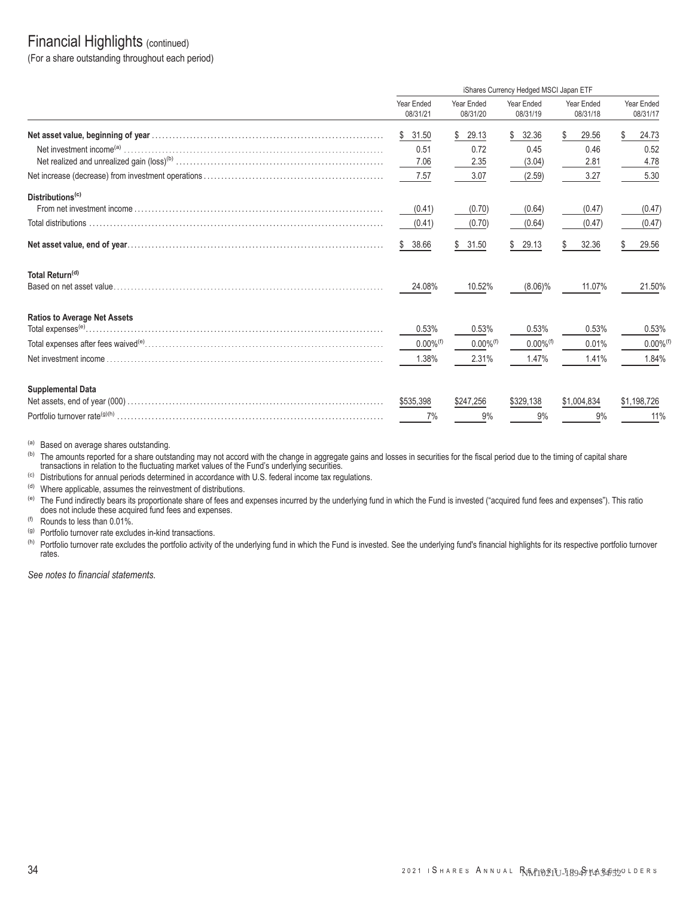# Financial Highlights (continued)

(For a share outstanding throughout each period)

|                                     | iShares Currency Hedged MSCI Japan ETF |                         |    |                         |    |                         |                        |  |                         |
|-------------------------------------|----------------------------------------|-------------------------|----|-------------------------|----|-------------------------|------------------------|--|-------------------------|
|                                     |                                        | Year Ended<br>08/31/21  |    | Year Ended<br>08/31/20  |    | Year Ended<br>08/31/19  | Year Ended<br>08/31/18 |  | Year Ended<br>08/31/17  |
|                                     |                                        | \$31.50                 | \$ | 29.13                   | \$ | 32.36                   | \$<br>29.56            |  | 24.73                   |
|                                     |                                        | 0.51<br>7.06            |    | 0.72<br>2.35            |    | 0.45<br>(3.04)          | 0.46<br>2.81           |  | 0.52<br>4.78            |
|                                     |                                        | 7.57                    |    | 3.07                    |    | (2.59)                  | 3.27                   |  | 5.30                    |
| Distributions <sup>(c)</sup>        |                                        |                         |    |                         |    |                         |                        |  |                         |
|                                     |                                        | (0.41)                  |    | (0.70)                  |    | (0.64)                  | (0.47)                 |  | (0.47)                  |
|                                     |                                        | (0.41)                  |    | (0.70)                  |    | (0.64)                  | (0.47)                 |  | (0.47)                  |
|                                     |                                        | \$38.66                 |    | \$31.50                 |    | \$29.13                 | 32.36                  |  | 29.56                   |
| Total Return <sup>(d)</sup>         |                                        |                         |    |                         |    |                         |                        |  |                         |
|                                     |                                        | 24.08%                  |    | 10.52%                  |    | $(8.06)\%$              | 11.07%                 |  | 21.50%                  |
| <b>Ratios to Average Net Assets</b> |                                        |                         |    |                         |    |                         |                        |  |                         |
|                                     |                                        | 0.53%                   |    | 0.53%                   |    | 0.53%                   | 0.53%                  |  | 0.53%                   |
|                                     |                                        | $0.00\%$ <sup>(f)</sup> |    | $0.00\%$ <sup>(f)</sup> |    | $0.00\%$ <sup>(f)</sup> | 0.01%                  |  | $0.00\%$ <sup>(f)</sup> |
|                                     |                                        | 1.38%                   |    | 2.31%                   |    | 1.47%                   | 1.41%                  |  | 1.84%                   |
| <b>Supplemental Data</b>            |                                        |                         |    |                         |    |                         |                        |  |                         |
|                                     |                                        | \$535,398               |    | \$247,256               |    | \$329,138               | \$1,004,834            |  | \$1,198,726             |
|                                     |                                        | 7%                      |    | 9%                      |    | 9%                      | 9%                     |  | 11%                     |

(a) Based on average shares outstanding.

(b) The amounts reported for a share outstanding may not accord with the change in aggregate gains and losses in securities for the fiscal period due to the timing of capital share transactions in relation to the fluctuating market values of the Fund's underlying securities.

(c) Distributions for annual periods determined in accordance with U.S. federal income tax regulations.

(d) Where applicable, assumes the reinvestment of distributions.

(e) The Fund indirectly bears its proportionate share of fees and expenses incurred by the underlying fund in which the Fund is invested ("acquired fund fees and expenses"). This ratio does not include these acquired fund

(f) Rounds to less than 0.01%.

(g) Portfolio turnover rate excludes in-kind transactions.

(h) Portfolio turnover rate excludes the portfolio activity of the underlying fund in which the Fund is invested. See the underlying fund's financial highlights for its respective portfolio turnover rates.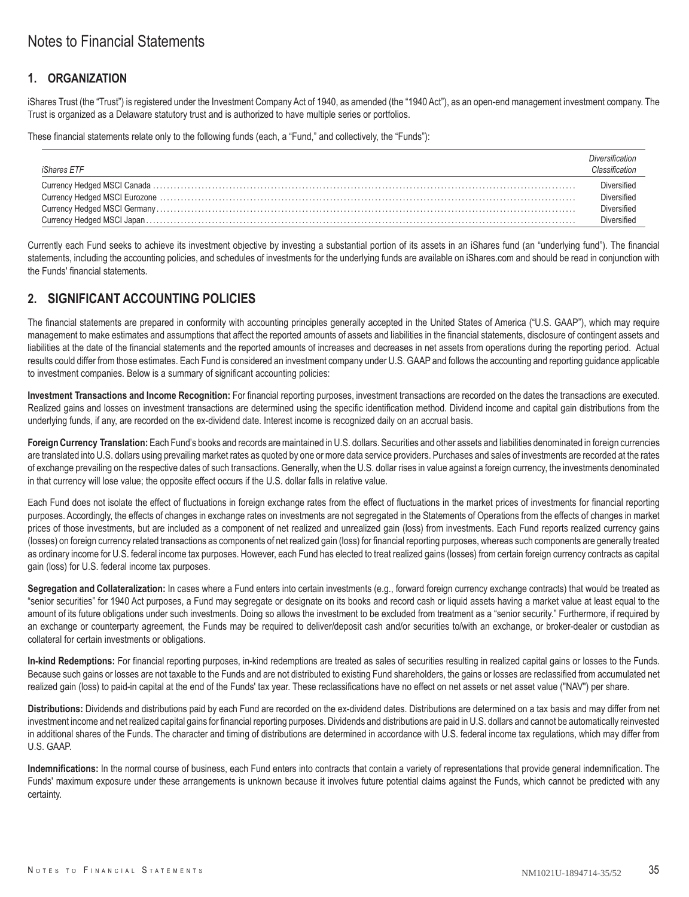# Notes to Financial Statements

### **1. ORGANIZATION**

iShares Trust (the "Trust") is registered under the Investment Company Act of 1940, as amended (the "1940 Act"), as an open-end management investment company. The Trust is organized as a Delaware statutory trust and is authorized to have multiple series or portfolios.

These financial statements relate only to the following funds (each, a "Fund," and collectively, the "Funds"):

| iversified         |
|--------------------|
| ∩iversifieu        |
| <b>Diversified</b> |
| <b>Diversified</b> |

Currently each Fund seeks to achieve its investment objective by investing a substantial portion of its assets in an iShares fund (an "underlying fund"). The financial statements, including the accounting policies, and schedules of investments for the underlying funds are available on iShares.com and should be read in conjunction with the Funds' financial statements.

# **2. SIGNIFICANT ACCOUNTING POLICIES**

The financial statements are prepared in conformity with accounting principles generally accepted in the United States of America ("U.S. GAAP"), which may require management to make estimates and assumptions that affect the reported amounts of assets and liabilities in the financial statements, disclosure of contingent assets and liabilities at the date of the financial statements and the reported amounts of increases and decreases in net assets from operations during the reporting period. Actual results could differ from those estimates. Each Fund is considered an investment company under U.S. GAAP and follows the accounting and reporting guidance applicable to investment companies. Below is a summary of significant accounting policies:

**Investment Transactions and Income Recognition:** For financial reporting purposes, investment transactions are recorded on the dates the transactions are executed. Realized gains and losses on investment transactions are determined using the specific identification method. Dividend income and capital gain distributions from the underlying funds, if any, are recorded on the ex-dividend date. Interest income is recognized daily on an accrual basis.

**Foreign Currency Translation:** Each Fund's books and records are maintained in U.S. dollars. Securities and other assets and liabilities denominated in foreign currencies are translated into U.S. dollars using prevailing market rates as quoted by one or more data service providers. Purchases and sales of investments are recorded at the rates of exchange prevailing on the respective dates of such transactions. Generally, when the U.S. dollar rises in value against a foreign currency, the investments denominated in that currency will lose value; the opposite effect occurs if the U.S. dollar falls in relative value.

Each Fund does not isolate the effect of fluctuations in foreign exchange rates from the effect of fluctuations in the market prices of investments for financial reporting purposes. Accordingly, the effects of changes in exchange rates on investments are not segregated in the Statements of Operations from the effects of changes in market prices of those investments, but are included as a component of net realized and unrealized gain (loss) from investments. Each Fund reports realized currency gains (losses) on foreign currency related transactions as components of net realized gain (loss) for financial reporting purposes, whereas such components are generally treated as ordinary income for U.S. federal income tax purposes. However, each Fund has elected to treat realized gains (losses) from certain foreign currency contracts as capital gain (loss) for U.S. federal income tax purposes.

Segregation and Collateralization: In cases where a Fund enters into certain investments (e.g., forward foreign currency exchange contracts) that would be treated as "senior securities" for 1940 Act purposes, a Fund may segregate or designate on its books and record cash or liquid assets having a market value at least equal to the amount of its future obligations under such investments. Doing so allows the investment to be excluded from treatment as a "senior security." Furthermore, if required by an exchange or counterparty agreement, the Funds may be required to deliver/deposit cash and/or securities to/with an exchange, or broker-dealer or custodian as collateral for certain investments or obligations.

**In-kind Redemptions:** For financial reporting purposes, in-kind redemptions are treated as sales of securities resulting in realized capital gains or losses to the Funds. Because such gains or losses are not taxable to the Funds and are not distributed to existing Fund shareholders, the gains or losses are reclassified from accumulated net realized gain (loss) to paid-in capital at the end of the Funds' tax year. These reclassifications have no effect on net assets or net asset value ("NAV") per share.

**Distributions:** Dividends and distributions paid by each Fund are recorded on the ex-dividend dates. Distributions are determined on a tax basis and may differ from net investment income and net realized capital gains for financial reporting purposes. Dividends and distributions are paid in U.S. dollars and cannot be automatically reinvested in additional shares of the Funds. The character and timing of distributions are determined in accordance with U.S. federal income tax regulations, which may differ from U.S. GAAP.

**Indemnifications:** In the normal course of business, each Fund enters into contracts that contain a variety of representations that provide general indemnification. The Funds' maximum exposure under these arrangements is unknown because it involves future potential claims against the Funds, which cannot be predicted with any certainty.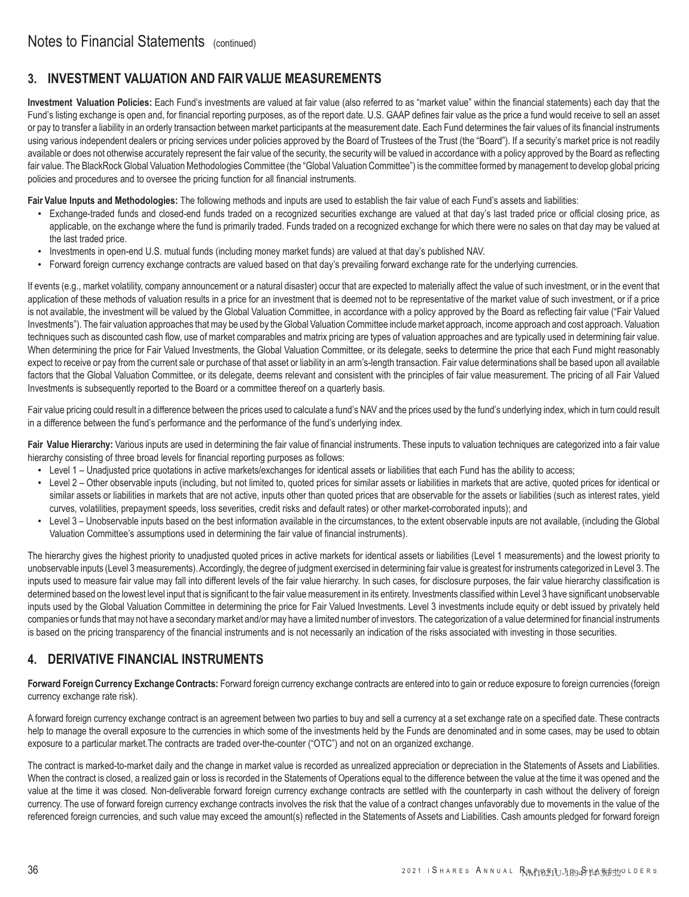# **3. INVESTMENT VALUATION AND FAIR VALUE MEASUREMENTS**

**Investment Valuation Policies:** Each Fund's investments are valued at fair value (also referred to as "market value" within the financial statements) each day that the Fund's listing exchange is open and, for financial reporting purposes, as of the report date. U.S. GAAP defines fair value as the price a fund would receive to sell an asset or pay to transfer a liability in an orderly transaction between market participants at the measurement date. Each Fund determines the fair values of its financial instruments using various independent dealers or pricing services under policies approved by the Board of Trustees of the Trust (the "Board"). If a security's market price is not readily available or does not otherwise accurately represent the fair value of the security, the security will be valued in accordance with a policy approved by the Board as reflecting fair value. The BlackRock Global Valuation Methodologies Committee (the "Global Valuation Committee") is the committee formed by management to develop global pricing policies and procedures and to oversee the pricing function for all financial instruments.

**Fair Value Inputs and Methodologies:** The following methods and inputs are used to establish the fair value of each Fund's assets and liabilities:

- Exchange-traded funds and closed-end funds traded on a recognized securities exchange are valued at that day's last traded price or official closing price, as applicable, on the exchange where the fund is primarily traded. Funds traded on a recognized exchange for which there were no sales on that day may be valued at the last traded price.
- Investments in open-end U.S. mutual funds (including money market funds) are valued at that day's published NAV.
- Forward foreign currency exchange contracts are valued based on that day's prevailing forward exchange rate for the underlying currencies.

If events (e.g., market volatility, company announcement or a natural disaster) occur that are expected to materially affect the value of such investment, or in the event that application of these methods of valuation results in a price for an investment that is deemed not to be representative of the market value of such investment, or if a price is not available, the investment will be valued by the Global Valuation Committee, in accordance with a policy approved by the Board as reflecting fair value ("Fair Valued Investments"). The fair valuation approaches that may be used by the Global Valuation Committee include market approach, income approach and cost approach. Valuation techniques such as discounted cash flow, use of market comparables and matrix pricing are types of valuation approaches and are typically used in determining fair value. When determining the price for Fair Valued Investments, the Global Valuation Committee, or its delegate, seeks to determine the price that each Fund might reasonably expect to receive or pay from the current sale or purchase of that asset or liability in an arm's-length transaction. Fair value determinations shall be based upon all available factors that the Global Valuation Committee, or its delegate, deems relevant and consistent with the principles of fair value measurement. The pricing of all Fair Valued Investments is subsequently reported to the Board or a committee thereof on a quarterly basis.

Fair value pricing could result in a difference between the prices used to calculate a fund's NAV and the prices used by the fund's underlying index, which in turn could result in a difference between the fund's performance and the performance of the fund's underlying index.

Fair Value Hierarchy: Various inputs are used in determining the fair value of financial instruments. These inputs to valuation techniques are categorized into a fair value hierarchy consisting of three broad levels for financial reporting purposes as follows:

- Level 1 Unadjusted price quotations in active markets/exchanges for identical assets or liabilities that each Fund has the ability to access;
- Level 2 Other observable inputs (including, but not limited to, quoted prices for similar assets or liabilities in markets that are active, quoted prices for identical or similar assets or liabilities in markets that are not active, inputs other than quoted prices that are observable for the assets or liabilities (such as interest rates, yield curves, volatilities, prepayment speeds, loss severities, credit risks and default rates) or other market-corroborated inputs); and
- Level 3 Unobservable inputs based on the best information available in the circumstances, to the extent observable inputs are not available, (including the Global Valuation Committee's assumptions used in determining the fair value of financial instruments).

The hierarchy gives the highest priority to unadjusted quoted prices in active markets for identical assets or liabilities (Level 1 measurements) and the lowest priority to unobservable inputs (Level 3 measurements). Accordingly, the degree of judgment exercised in determining fair value is greatest for instruments categorized in Level 3. The inputs used to measure fair value may fall into different levels of the fair value hierarchy. In such cases, for disclosure purposes, the fair value hierarchy classification is determined based on the lowest level input that is significant to the fair value measurement in its entirety. Investments classified within Level 3 have significant unobservable inputs used by the Global Valuation Committee in determining the price for Fair Valued Investments. Level 3 investments include equity or debt issued by privately held companies or funds that may not have a secondary market and/or may have a limited number of investors. The categorization of a value determined for financial instruments is based on the pricing transparency of the financial instruments and is not necessarily an indication of the risks associated with investing in those securities.

# **4. DERIVATIVE FINANCIAL INSTRUMENTS**

**Forward Foreign Currency Exchange Contracts:** Forward foreign currency exchange contracts are entered into to gain or reduce exposure to foreign currencies (foreign currency exchange rate risk).

A forward foreign currency exchange contract is an agreement between two parties to buy and sell a currency at a set exchange rate on a specified date. These contracts help to manage the overall exposure to the currencies in which some of the investments held by the Funds are denominated and in some cases, may be used to obtain exposure to a particular market.The contracts are traded over-the-counter ("OTC") and not on an organized exchange.

The contract is marked-to-market daily and the change in market value is recorded as unrealized appreciation or depreciation in the Statements of Assets and Liabilities. When the contract is closed, a realized gain or loss is recorded in the Statements of Operations equal to the difference between the value at the time it was opened and the value at the time it was closed. Non-deliverable forward foreign currency exchange contracts are settled with the counterparty in cash without the delivery of foreign currency. The use of forward foreign currency exchange contracts involves the risk that the value of a contract changes unfavorably due to movements in the value of the referenced foreign currencies, and such value may exceed the amount(s) reflected in the Statements of Assets and Liabilities. Cash amounts pledged for forward foreign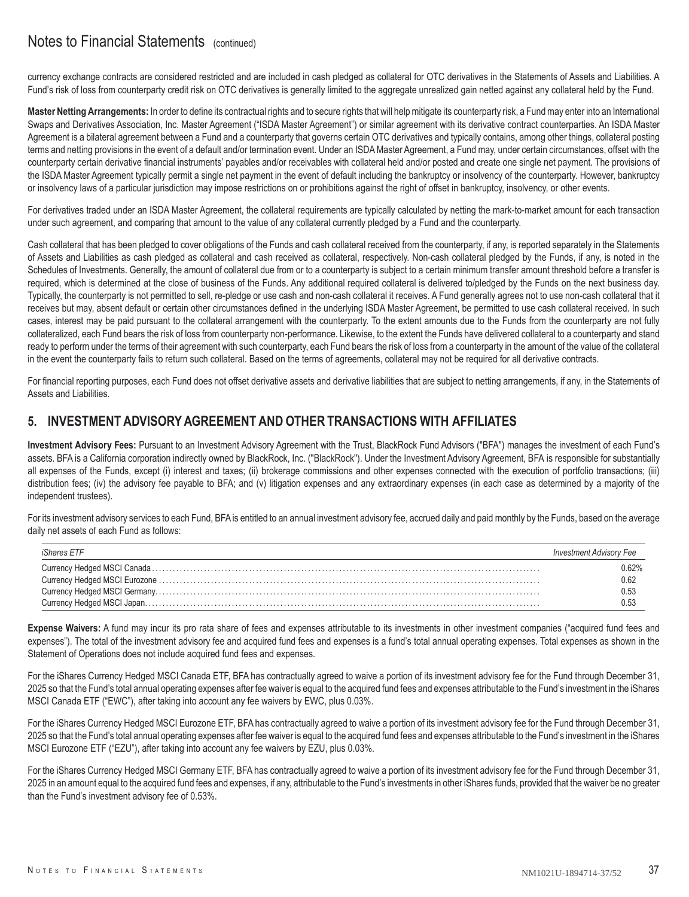currency exchange contracts are considered restricted and are included in cash pledged as collateral for OTC derivatives in the Statements of Assets and Liabilities. A Fund's risk of loss from counterparty credit risk on OTC derivatives is generally limited to the aggregate unrealized gain netted against any collateral held by the Fund.

Master Netting Arrangements: In order to define its contractual rights and to secure rights that will help mitigate its counterparty risk, a Fund may enter into an International Swaps and Derivatives Association, Inc. Master Agreement ("ISDA Master Agreement") or similar agreement with its derivative contract counterparties. An ISDA Master Agreement is a bilateral agreement between a Fund and a counterparty that governs certain OTC derivatives and typically contains, among other things, collateral posting terms and netting provisions in the event of a default and/or termination event. Under an ISDA Master Agreement, a Fund may, under certain circumstances, offset with the counterparty certain derivative financial instruments' payables and/or receivables with collateral held and/or posted and create one single net payment. The provisions of the ISDA Master Agreement typically permit a single net payment in the event of default including the bankruptcy or insolvency of the counterparty. However, bankruptcy or insolvency laws of a particular jurisdiction may impose restrictions on or prohibitions against the right of offset in bankruptcy, insolvency, or other events.

For derivatives traded under an ISDA Master Agreement, the collateral requirements are typically calculated by netting the mark-to-market amount for each transaction under such agreement, and comparing that amount to the value of any collateral currently pledged by a Fund and the counterparty.

Cash collateral that has been pledged to cover obligations of the Funds and cash collateral received from the counterparty, if any, is reported separately in the Statements of Assets and Liabilities as cash pledged as collateral and cash received as collateral, respectively. Non-cash collateral pledged by the Funds, if any, is noted in the Schedules of Investments. Generally, the amount of collateral due from or to a counterparty is subject to a certain minimum transfer amount threshold before a transfer is required, which is determined at the close of business of the Funds. Any additional required collateral is delivered to/pledged by the Funds on the next business day. Typically, the counterparty is not permitted to sell, re-pledge or use cash and non-cash collateral it receives. A Fund generally agrees not to use non-cash collateral that it receives but may, absent default or certain other circumstances defined in the underlying ISDA Master Agreement, be permitted to use cash collateral received. In such cases, interest may be paid pursuant to the collateral arrangement with the counterparty. To the extent amounts due to the Funds from the counterparty are not fully collateralized, each Fund bears the risk of loss from counterparty non-performance. Likewise, to the extent the Funds have delivered collateral to a counterparty and stand ready to perform under the terms of their agreement with such counterparty, each Fund bears the risk of loss from a counterparty in the amount of the value of the collateral in the event the counterparty fails to return such collateral. Based on the terms of agreements, collateral may not be required for all derivative contracts.

For financial reporting purposes, each Fund does not offset derivative assets and derivative liabilities that are subject to netting arrangements, if any, in the Statements of Assets and Liabilities.

# **5. INVESTMENT ADVISORY AGREEMENT AND OTHER TRANSACTIONS WITH AFFILIATES**

**Investment Advisory Fees:** Pursuant to an Investment Advisory Agreement with the Trust, BlackRock Fund Advisors ("BFA") manages the investment of each Fund's assets. BFA is a California corporation indirectly owned by BlackRock, Inc. ("BlackRock"). Under the Investment Advisory Agreement, BFA is responsible for substantially all expenses of the Funds, except (i) interest and taxes; (ii) brokerage commissions and other expenses connected with the execution of portfolio transactions; (iii) distribution fees; (iv) the advisory fee payable to BFA; and (v) litigation expenses and any extraordinary expenses (in each case as determined by a majority of the independent trustees).

For its investment advisory services to each Fund, BFA is entitled to an annual investment advisory fee, accrued daily and paid monthly by the Funds, based on the average daily net assets of each Fund as follows:

| 'Shares Fi | Investment Advisory Fee |
|------------|-------------------------|
|            |                         |
|            | 0.62                    |
|            |                         |
|            |                         |

**Expense Waivers:** A fund may incur its pro rata share of fees and expenses attributable to its investments in other investment companies ("acquired fund fees and expenses"). The total of the investment advisory fee and acquired fund fees and expenses is a fund's total annual operating expenses. Total expenses as shown in the Statement of Operations does not include acquired fund fees and expenses.

For the iShares Currency Hedged MSCI Canada ETF, BFA has contractually agreed to waive a portion of its investment advisory fee for the Fund through December 31, 2025 so that the Fund's total annual operating expenses after fee waiver is equal to the acquired fund fees and expenses attributable to the Fund's investment in the iShares MSCI Canada ETF ("EWC"), after taking into account any fee waivers by EWC, plus 0.03%.

For the iShares Currency Hedged MSCI Eurozone ETF, BFA has contractually agreed to waive a portion of its investment advisory fee for the Fund through December 31, 2025 so that the Fund's total annual operating expenses after fee waiver is equal to the acquired fund fees and expenses attributable to the Fund's investment in the iShares MSCI Eurozone ETF ("EZU"), after taking into account any fee waivers by EZU, plus 0.03%.

For the iShares Currency Hedged MSCI Germany ETF, BFA has contractually agreed to waive a portion of its investment advisory fee for the Fund through December 31, 2025 in an amount equal to the acquired fund fees and expenses, if any, attributable to the Fund's investments in other iShares funds, provided that the waiver be no greater than the Fund's investment advisory fee of 0.53%.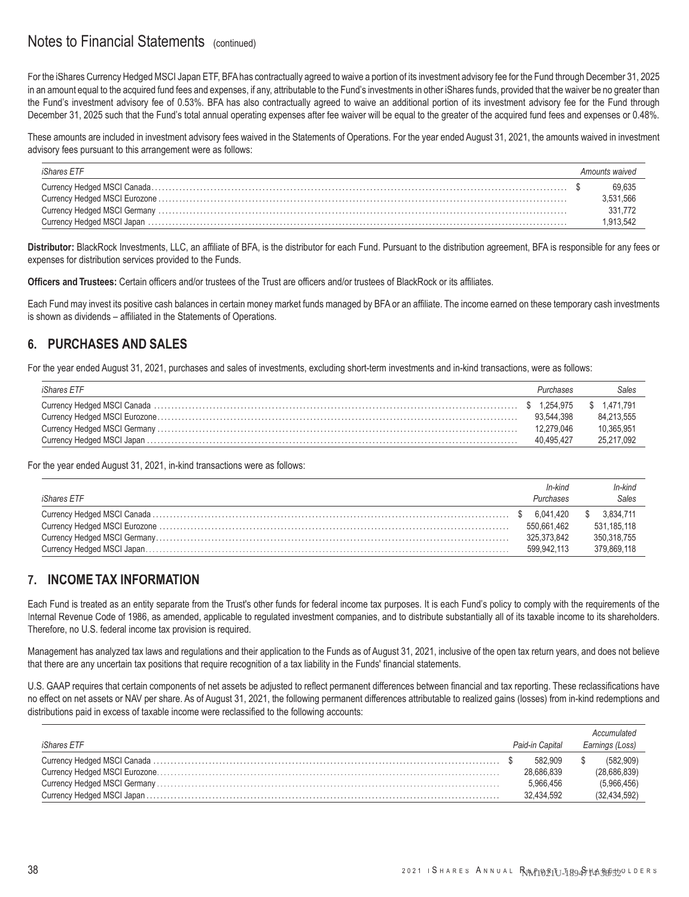For the iShares Currency Hedged MSCI Japan ETF, BFA has contractually agreed to waive a portion of its investment advisory fee for the Fund through December 31, 2025 in an amount equal to the acquired fund fees and expenses, if any, attributable to the Fund's investments in other iShares funds, provided that the waiver be no greater than the Fund's investment advisory fee of 0.53%. BFA has also contractually agreed to waive an additional portion of its investment advisory fee for the Fund through December 31, 2025 such that the Fund's total annual operating expenses after fee waiver will be equal to the greater of the acquired fund fees and expenses or 0.48%.

These amounts are included in investment advisory fees waived in the Statements of Operations. For the year ended August 31, 2021, the amounts waived in investment advisory fees pursuant to this arrangement were as follows:

| iShares FTF |          |
|-------------|----------|
|             | 69.63.   |
|             | .531.566 |
|             |          |
|             |          |

**Distributor:** BlackRock Investments, LLC, an affiliate of BFA, is the distributor for each Fund. Pursuant to the distribution agreement, BFA is responsible for any fees or expenses for distribution services provided to the Funds.

**Officers and Trustees:** Certain officers and/or trustees of the Trust are officers and/or trustees of BlackRock or its affiliates.

Each Fund may invest its positive cash balances in certain money market funds managed by BFA or an affiliate. The income earned on these temporary cash investments is shown as dividends – affiliated in the Statements of Operations.

# **6. PURCHASES AND SALES**

For the year ended August 31, 2021, purchases and sales of investments, excluding short-term investments and in-kind transactions, were as follows:

| <i>iShares</i> FTF | Purchases  | Sales      |
|--------------------|------------|------------|
|                    | .254.975   | 1.471.791  |
|                    | 93.544.398 | 84.213.555 |
|                    | 12.279.046 | 10.365.95  |
|                    | 40.495.42  | 25,217,092 |

For the year ended August 31, 2021, in-kind transactions were as follows:

| <i>iShares</i> ETF | In-kind<br>Purchases | In-kind<br>Sales |
|--------------------|----------------------|------------------|
|                    | 6.041.420            | 3.834.71         |
|                    | 550.661.462          | 531.185.118      |
|                    | 325.373.842          | 350.318.755      |
|                    | 599.942.113          | 379.869.118      |

# **7. INCOME TAX INFORMATION**

Each Fund is treated as an entity separate from the Trust's other funds for federal income tax purposes. It is each Fund's policy to comply with the requirements of the Internal Revenue Code of 1986, as amended, applicable to regulated investment companies, and to distribute substantially all of its taxable income to its shareholders. Therefore, no U.S. federal income tax provision is required.

Management has analyzed tax laws and regulations and their application to the Funds as of August 31, 2021, inclusive of the open tax return years, and does not believe that there are any uncertain tax positions that require recognition of a tax liability in the Funds' financial statements.

U.S. GAAP requires that certain components of net assets be adjusted to reflect permanent differences between financial and tax reporting. These reclassifications have no effect on net assets or NAV per share. As of August 31, 2021, the following permanent differences attributable to realized gains (losses) from in-kind redemptions and distributions paid in excess of taxable income were reclassified to the following accounts:

|                           |                 | Accumulated    |
|---------------------------|-----------------|----------------|
| <i><b>iShares ETF</b></i> | Paid-in Capital | Earnings (Loss |
|                           | 582.909         | (582,909)      |
|                           | 28.686.839      | 28.686.839     |
|                           | 5.966.456       | (5,966,456)    |
|                           | 32.434.592      | 32.434.592     |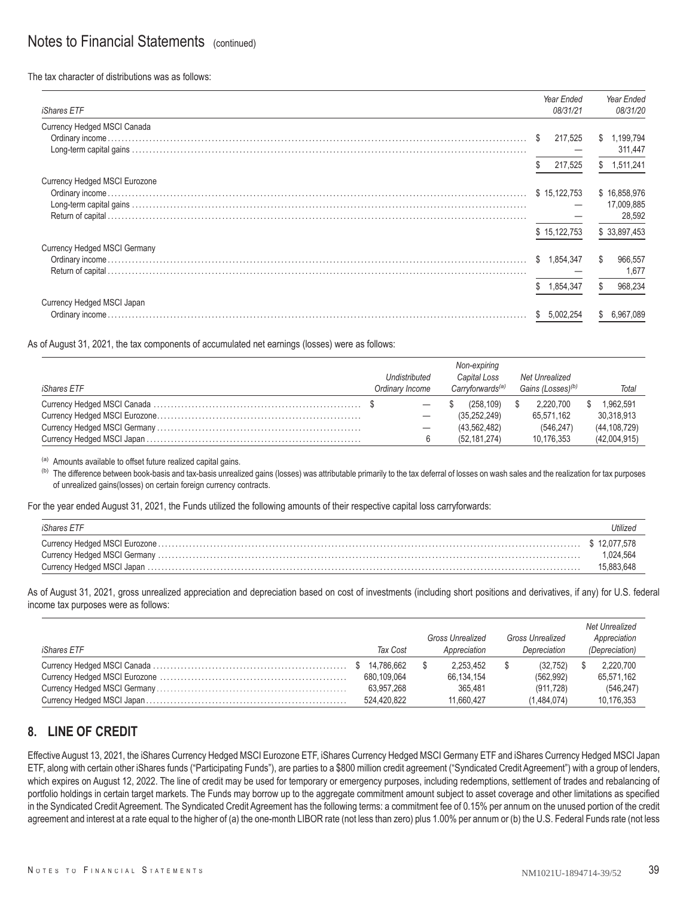The tax character of distributions was as follows:

| <i><b>iShares ETF</b></i>     | Year Ended<br>08/31/21 | Year Ended<br>08/31/20               |
|-------------------------------|------------------------|--------------------------------------|
| Currency Hedged MSCI Canada   | 217,525<br>S           | 1,199,794<br>S.<br>311,447           |
|                               | 217,525                | 1,511,241<br>S.                      |
| Currency Hedged MSCI Eurozone | \$15,122,753           | \$16,858,976<br>17,009,885<br>28,592 |
|                               | \$15,122,753           | \$33,897,453                         |
| Currency Hedged MSCI Germany  | 1,854,347<br>S         | 966,557<br>1,677                     |
|                               | 1.854.347              | 968,234                              |
| Currency Hedged MSCI Japan    | 5.002.254<br>S         | 6.967.089                            |

As of August 31, 2021, the tax components of accumulated net earnings (losses) were as follows:

|                           |                 | Non-expiring                 |                               |                |
|---------------------------|-----------------|------------------------------|-------------------------------|----------------|
|                           | Undistributed   | Capital Loss                 | Net Unrealized                |                |
| <i><b>iShares ETF</b></i> | Ordinary Income | Carrvforwards <sup>(a)</sup> | Gains (Losses) <sup>(b)</sup> | Total          |
|                           |                 | (258.109)                    | 2.220.700                     | 1.962.591      |
|                           |                 | (35, 252, 249)               | 65.571.162                    | 30.318.913     |
|                           |                 | (43, 562, 482)               | (546.247)                     | (44, 108, 729) |
|                           |                 | (52.181.274)                 | 10.176.353                    | (42,004,915)   |

(a) Amounts available to offset future realized capital gains.

(b) The difference between book-basis and tax-basis unrealized gains (losses) was attributable primarily to the tax deferral of losses on wash sales and the realization for tax purposes of unrealized gains(losses) on certain foreign currency contracts.

For the year ended August 31, 2021, the Funds utilized the following amounts of their respective capital loss carryforwards:

| iShares ETF | Jtilizeo |
|-------------|----------|
|             |          |
|             | 024,564  |
|             |          |

As of August 31, 2021, gross unrealized appreciation and depreciation based on cost of investments (including short positions and derivatives, if any) for U.S. federal income tax purposes were as follows:

|                    |             | Gross Unrealized | Gross Unrealized | Net Unrealized<br>Appreciation |
|--------------------|-------------|------------------|------------------|--------------------------------|
| <i>iShares</i> ETF | Tax Cost    | Appreciation     | Depreciation     | <i>(Depreciation)</i>          |
|                    |             | 2.253.452        | (32.752)         | 2.220.700                      |
|                    | 680.109.064 | 66.134.154       | (562.992)        | 65.571.162                     |
|                    | 63.957.268  | 365.481          | (911.728)        | (546.247)                      |
|                    | 524.420.822 | 11.660.427       | (1.484.074)      | 10,176,353                     |

# **8. LINE OF CREDIT**

Effective August 13, 2021, the iShares Currency Hedged MSCI Eurozone ETF, iShares Currency Hedged MSCI Germany ETF and iShares Currency Hedged MSCI Japan ETF, along with certain other iShares funds ("Participating Funds"), are parties to a \$800 million credit agreement ("Syndicated Credit Agreement") with a group of lenders, which expires on August 12, 2022. The line of credit may be used for temporary or emergency purposes, including redemptions, settlement of trades and rebalancing of portfolio holdings in certain target markets. The Funds may borrow up to the aggregate commitment amount subject to asset coverage and other limitations as specified in the Syndicated Credit Agreement. The Syndicated Credit Agreement has the following terms: a commitment fee of 0.15% per annum on the unused portion of the credit agreement and interest at a rate equal to the higher of (a) the one-month LIBOR rate (not less than zero) plus 1.00% per annum or (b) the U.S. Federal Funds rate (not less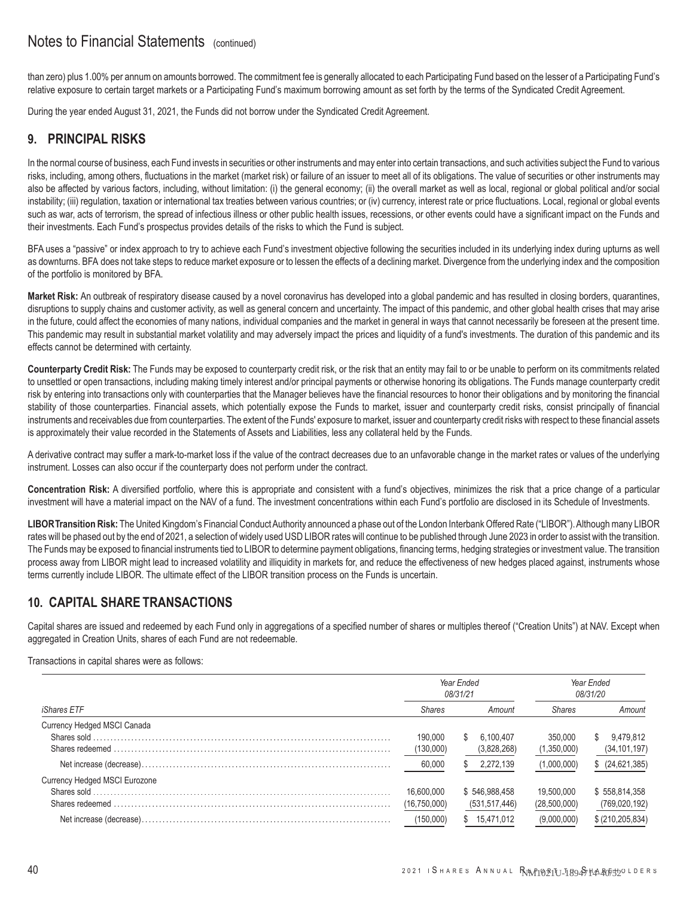than zero) plus 1.00% per annum on amounts borrowed. The commitment fee is generally allocated to each Participating Fund based on the lesser of a Participating Fund's relative exposure to certain target markets or a Participating Fund's maximum borrowing amount as set forth by the terms of the Syndicated Credit Agreement.

During the year ended August 31, 2021, the Funds did not borrow under the Syndicated Credit Agreement.

# **9. PRINCIPAL RISKS**

In the normal course of business, each Fund invests in securities or other instruments and may enter into certain transactions, and such activities subject the Fund to various risks, including, among others, fluctuations in the market (market risk) or failure of an issuer to meet all of its obligations. The value of securities or other instruments may also be affected by various factors, including, without limitation: (i) the general economy; (ii) the overall market as well as local, regional or global political and/or social instability; (iii) regulation, taxation or international tax treaties between various countries; or (iv) currency, interest rate or price fluctuations. Local, regional or global events such as war, acts of terrorism, the spread of infectious illness or other public health issues, recessions, or other events could have a significant impact on the Funds and their investments. Each Fund's prospectus provides details of the risks to which the Fund is subject.

BFA uses a "passive" or index approach to try to achieve each Fund's investment objective following the securities included in its underlying index during upturns as well as downturns. BFA does not take steps to reduce market exposure or to lessen the effects of a declining market. Divergence from the underlying index and the composition of the portfolio is monitored by BFA.

**Market Risk:** An outbreak of respiratory disease caused by a novel coronavirus has developed into a global pandemic and has resulted in closing borders, quarantines, disruptions to supply chains and customer activity, as well as general concern and uncertainty. The impact of this pandemic, and other global health crises that may arise in the future, could affect the economies of many nations, individual companies and the market in general in ways that cannot necessarily be foreseen at the present time. This pandemic may result in substantial market volatility and may adversely impact the prices and liquidity of a fund's investments. The duration of this pandemic and its effects cannot be determined with certainty.

**Counterparty Credit Risk:** The Funds may be exposed to counterparty credit risk, or the risk that an entity may fail to or be unable to perform on its commitments related to unsettled or open transactions, including making timely interest and/or principal payments or otherwise honoring its obligations. The Funds manage counterparty credit risk by entering into transactions only with counterparties that the Manager believes have the financial resources to honor their obligations and by monitoring the financial stability of those counterparties. Financial assets, which potentially expose the Funds to market, issuer and counterparty credit risks, consist principally of financial instruments and receivables due from counterparties. The extent of the Funds' exposure to market, issuer and counterparty credit risks with respect to these financial assets is approximately their value recorded in the Statements of Assets and Liabilities, less any collateral held by the Funds.

A derivative contract may suffer a mark-to-market loss if the value of the contract decreases due to an unfavorable change in the market rates or values of the underlying instrument. Losses can also occur if the counterparty does not perform under the contract.

**Concentration Risk:** A diversified portfolio, where this is appropriate and consistent with a fund's objectives, minimizes the risk that a price change of a particular investment will have a material impact on the NAV of a fund. The investment concentrations within each Fund's portfolio are disclosed in its Schedule of Investments.

**LIBOR Transition Risk:** The United Kingdom's Financial Conduct Authority announced a phase out of the London Interbank Offered Rate ("LIBOR"). Although many LIBOR rates will be phased out by the end of 2021, a selection of widely used USD LIBOR rates will continue to be published through June 2023 in order to assist with the transition. The Funds may be exposed to financial instruments tied to LIBOR to determine payment obligations, financing terms, hedging strategies or investment value. The transition process away from LIBOR might lead to increased volatility and illiquidity in markets for, and reduce the effectiveness of new hedges placed against, instruments whose terms currently include LIBOR. The ultimate effect of the LIBOR transition process on the Funds is uncertain.

# **10. CAPITAL SHARE TRANSACTIONS**

Capital shares are issued and redeemed by each Fund only in aggregations of a specified number of shares or multiples thereof ("Creation Units") at NAV. Except when aggregated in Creation Units, shares of each Fund are not redeemable.

Transactions in capital shares were as follows:

|                               |                | Year Ended<br>08/31/21 | Year Ended<br>08/31/20 |                    |  |
|-------------------------------|----------------|------------------------|------------------------|--------------------|--|
| <i><b>iShares ETF</b></i>     | <b>Shares</b>  | Amount                 | <b>Shares</b>          | Amount             |  |
| Currency Hedged MSCI Canada   |                |                        |                        |                    |  |
|                               | 190.000        | 6.100.407<br>S         | 350.000                | 9.479.812<br>\$    |  |
|                               | (130,000)      | (3,828,268)            | (1,350,000)            | (34, 101, 197)     |  |
|                               | 60,000         | 2,272,139              | (1,000,000)            | $$$ $(24,621,385)$ |  |
| Currency Hedged MSCI Eurozone |                |                        |                        |                    |  |
|                               | 16.600.000     | \$546,988,458          | 19.500.000             | \$558.814.358      |  |
|                               | (16, 750, 000) | (531, 517, 446)        | (28,500,000)           | (769, 020, 192)    |  |
|                               | (150,000)      | 15.471.012<br>S.       | (9,000,000)            | \$ (210, 205, 834) |  |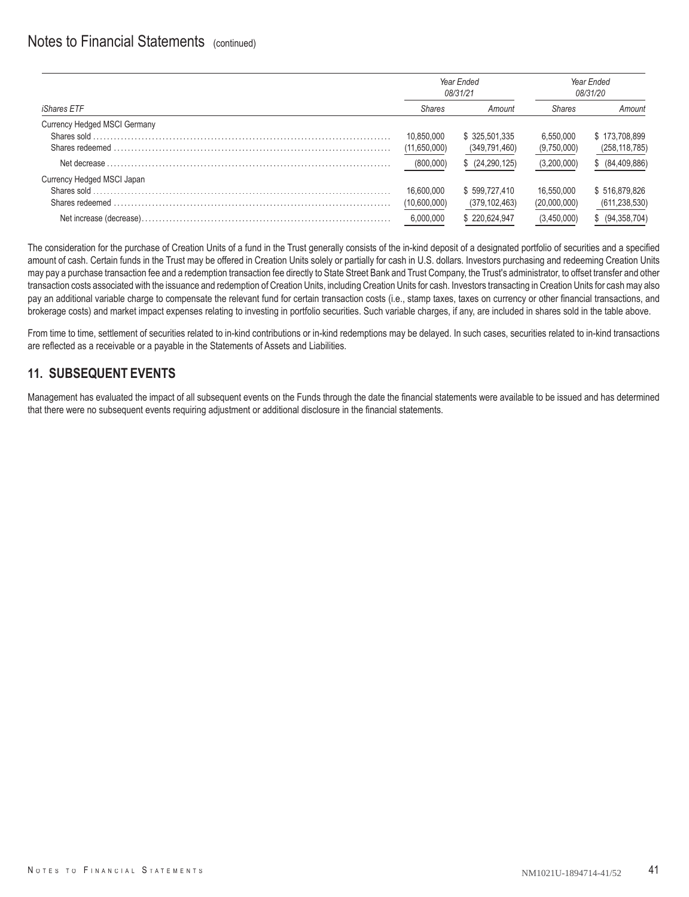|                              |               | Year Ended<br>08/31/21 | Year Ended<br>08/31/20 |                 |
|------------------------------|---------------|------------------------|------------------------|-----------------|
| <i><b>iShares ETF</b></i>    | <b>Shares</b> | Amount                 | <b>Shares</b>          | Amount          |
| Currency Hedged MSCI Germany |               |                        |                        |                 |
|                              | 10.850.000    | \$325.501.335          | 6.550.000              | \$173,708,899   |
|                              | (11,650,000)  | (349, 791, 460)        | (9,750,000)            | (258, 118, 785) |
|                              | (800,000)     | \$ (24, 290, 125)      | (3,200,000)            | \$ (84,409,886) |
| Currency Hedged MSCI Japan   |               |                        |                        |                 |
|                              | 16,600,000    | \$599,727,410          | 16.550.000             | \$516.879.826   |
|                              | (10,600,000)  | (379, 102, 463)        | (20,000,000)           | (611, 238, 530) |
|                              | 6,000,000     | \$220,624,947          | (3,450,000)            | \$ (94,358,704) |

The consideration for the purchase of Creation Units of a fund in the Trust generally consists of the in-kind deposit of a designated portfolio of securities and a specified amount of cash. Certain funds in the Trust may be offered in Creation Units solely or partially for cash in U.S. dollars. Investors purchasing and redeeming Creation Units may pay a purchase transaction fee and a redemption transaction fee directly to State Street Bank and Trust Company, the Trust's administrator, to offset transfer and other transaction costs associated with the issuance and redemption of Creation Units, including Creation Units for cash. Investors transacting in Creation Units for cash may also pay an additional variable charge to compensate the relevant fund for certain transaction costs (i.e., stamp taxes, taxes on currency or other financial transactions, and brokerage costs) and market impact expenses relating to investing in portfolio securities. Such variable charges, if any, are included in shares sold in the table above.

From time to time, settlement of securities related to in-kind contributions or in-kind redemptions may be delayed. In such cases, securities related to in-kind transactions are reflected as a receivable or a payable in the Statements of Assets and Liabilities.

# **11. SUBSEQUENT EVENTS**

Management has evaluated the impact of all subsequent events on the Funds through the date the financial statements were available to be issued and has determined that there were no subsequent events requiring adjustment or additional disclosure in the financial statements.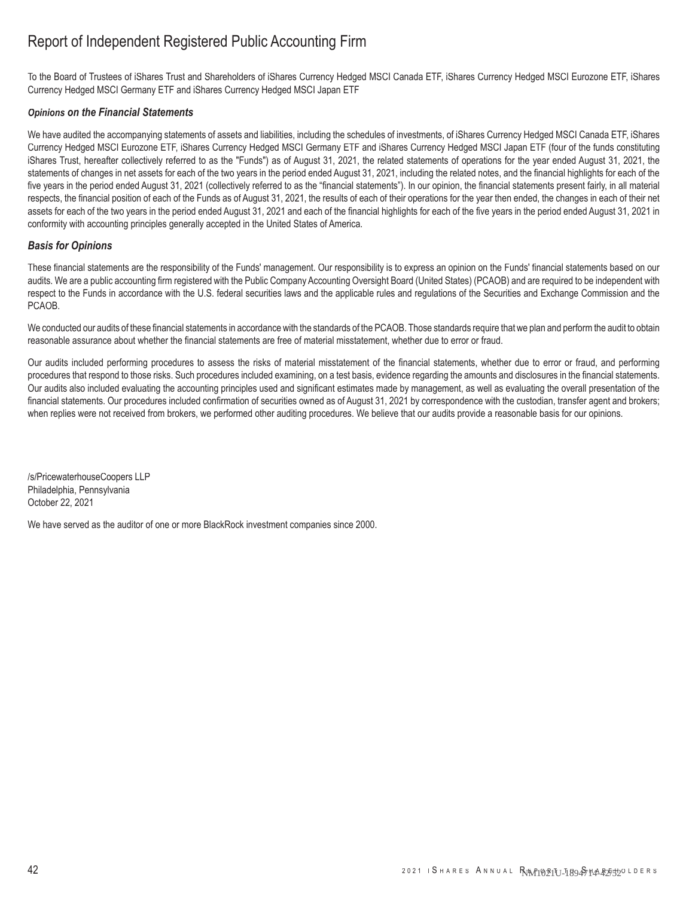# Report of Independent Registered Public Accounting Firm

To the Board of Trustees of iShares Trust and Shareholders of iShares Currency Hedged MSCI Canada ETF, iShares Currency Hedged MSCI Eurozone ETF, iShares Currency Hedged MSCI Germany ETF and iShares Currency Hedged MSCI Japan ETF

#### *Opinions on the Financial Statements*

We have audited the accompanying statements of assets and liabilities, including the schedules of investments, of iShares Currency Hedged MSCI Canada ETF, iShares Currency Hedged MSCI Eurozone ETF, iShares Currency Hedged MSCI Germany ETF and iShares Currency Hedged MSCI Japan ETF (four of the funds constituting iShares Trust, hereafter collectively referred to as the "Funds") as of August 31, 2021, the related statements of operations for the year ended August 31, 2021, the statements of changes in net assets for each of the two years in the period ended August 31, 2021, including the related notes, and the financial highlights for each of the five years in the period ended August 31, 2021 (collectively referred to as the "financial statements"). In our opinion, the financial statements present fairly, in all material respects, the financial position of each of the Funds as of August 31, 2021, the results of each of their operations for the year then ended, the changes in each of their net assets for each of the two years in the period ended August 31, 2021 and each of the financial highlights for each of the five years in the period ended August 31, 2021 in conformity with accounting principles generally accepted in the United States of America.

#### *Basis for Opinions*

These financial statements are the responsibility of the Funds' management. Our responsibility is to express an opinion on the Funds' financial statements based on our audits. We are a public accounting firm registered with the Public Company Accounting Oversight Board (United States) (PCAOB) and are required to be independent with respect to the Funds in accordance with the U.S. federal securities laws and the applicable rules and regulations of the Securities and Exchange Commission and the PCAOB.

We conducted our audits of these financial statements in accordance with the standards of the PCAOB. Those standards require that we plan and perform the audit to obtain reasonable assurance about whether the financial statements are free of material misstatement, whether due to error or fraud.

Our audits included performing procedures to assess the risks of material misstatement of the financial statements, whether due to error or fraud, and performing procedures that respond to those risks. Such procedures included examining, on a test basis, evidence regarding the amounts and disclosures in the financial statements. Our audits also included evaluating the accounting principles used and significant estimates made by management, as well as evaluating the overall presentation of the financial statements. Our procedures included confirmation of securities owned as of August 31, 2021 by correspondence with the custodian, transfer agent and brokers; when replies were not received from brokers, we performed other auditing procedures. We believe that our audits provide a reasonable basis for our opinions.

/s/PricewaterhouseCoopers LLP Philadelphia, Pennsylvania October 22, 2021

We have served as the auditor of one or more BlackRock investment companies since 2000.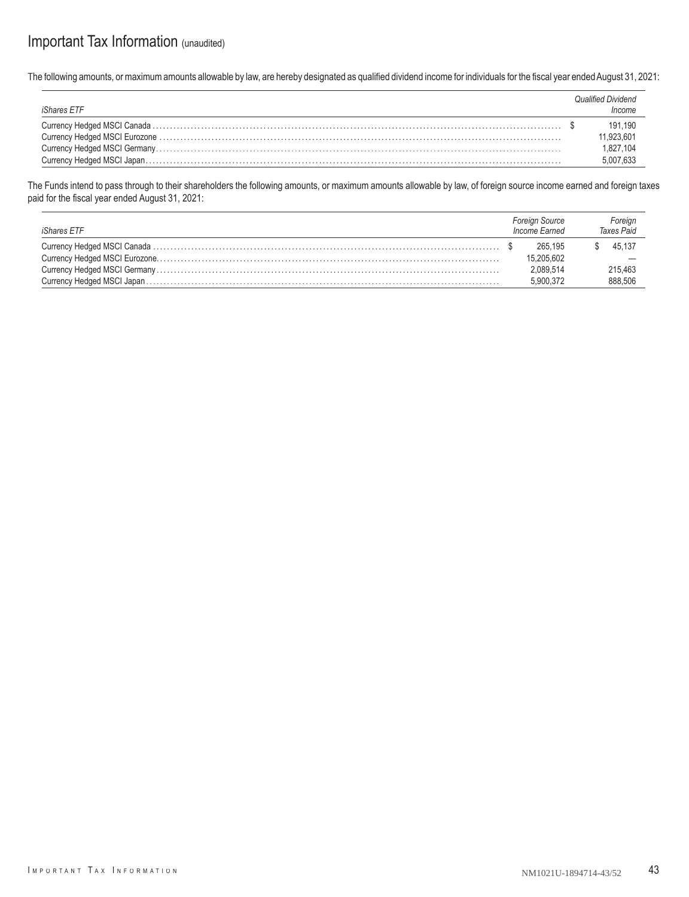# Important Tax Information (unaudited)

The following amounts, or maximum amounts allowable by law, are hereby designated as qualified dividend income for individuals for the fiscal year ended August 31, 2021:

| iShares FTF | Qualified Dividenc<br>Income |
|-------------|------------------------------|
|             | 191.19(                      |
|             | .923.60                      |
|             | .827.104                     |
|             |                              |

The Funds intend to pass through to their shareholders the following amounts, or maximum amounts allowable by law, of foreign source income earned and foreign taxes paid for the fiscal year ended August 31, 2021:

| <i>iShares</i> ETF | Foreign Source<br>Income Farned | Foreign<br>Taxes Paid |
|--------------------|---------------------------------|-----------------------|
|                    | 265 195<br>15.205.602           | 45.137                |
|                    | .089.514                        | 215.463               |
|                    | 37′ 900.                        | 888.506               |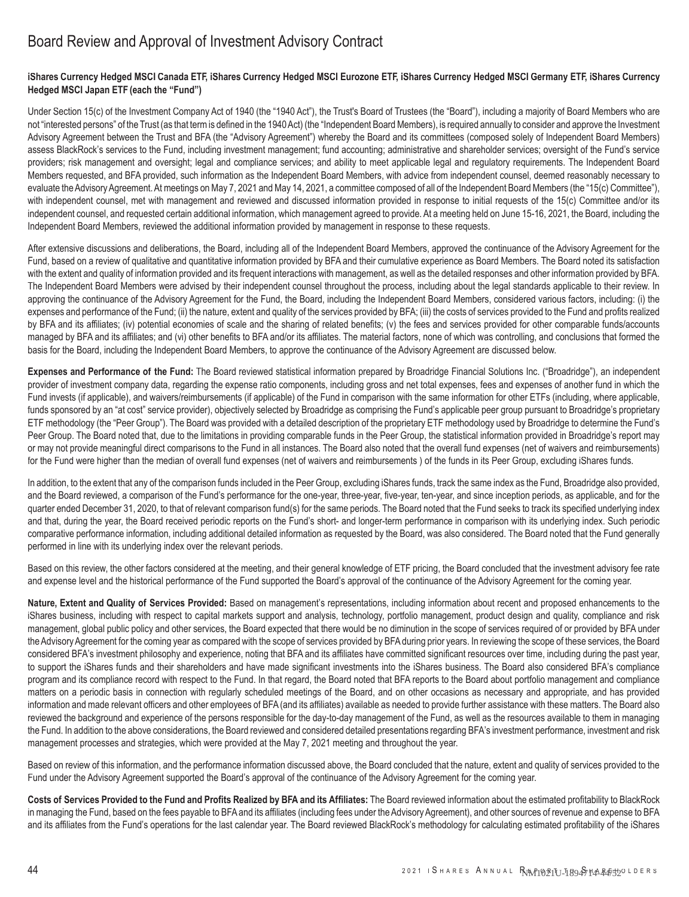# Board Review and Approval of Investment Advisory Contract

#### **iShares Currency Hedged MSCI Canada ETF, iShares Currency Hedged MSCI Eurozone ETF, iShares Currency Hedged MSCI Germany ETF, iShares Currency Hedged MSCI Japan ETF (each the "Fund")**

Under Section 15(c) of the Investment Company Act of 1940 (the "1940 Act"), the Trust's Board of Trustees (the "Board"), including a majority of Board Members who are not "interested persons" of the Trust (as that term is defined in the 1940 Act) (the "Independent Board Members), is required annually to consider and approve the Investment Advisory Agreement between the Trust and BFA (the "Advisory Agreement") whereby the Board and its committees (composed solely of Independent Board Members) assess BlackRock's services to the Fund, including investment management; fund accounting; administrative and shareholder services; oversight of the Fund's service providers; risk management and oversight; legal and compliance services; and ability to meet applicable legal and regulatory requirements. The Independent Board Members requested, and BFA provided, such information as the Independent Board Members, with advice from independent counsel, deemed reasonably necessary to evaluate the Advisory Agreement. At meetings on May 7, 2021 and May 14, 2021, a committee composed of all of the Independent Board Members (the "15(c) Committee"), with independent counsel, met with management and reviewed and discussed information provided in response to initial requests of the 15(c) Committee and/or its independent counsel, and requested certain additional information, which management agreed to provide. At a meeting held on June 15-16, 2021, the Board, including the Independent Board Members, reviewed the additional information provided by management in response to these requests.

After extensive discussions and deliberations, the Board, including all of the Independent Board Members, approved the continuance of the Advisory Agreement for the Fund, based on a review of qualitative and quantitative information provided by BFA and their cumulative experience as Board Members. The Board noted its satisfaction with the extent and quality of information provided and its frequent interactions with management, as well as the detailed responses and other information provided by BFA. The Independent Board Members were advised by their independent counsel throughout the process, including about the legal standards applicable to their review. In approving the continuance of the Advisory Agreement for the Fund, the Board, including the Independent Board Members, considered various factors, including: (i) the expenses and performance of the Fund; (ii) the nature, extent and quality of the services provided by BFA; (iii) the costs of services provided to the Fund and profits realized by BFA and its affiliates; (iv) potential economies of scale and the sharing of related benefits; (v) the fees and services provided for other comparable funds/accounts managed by BFA and its affiliates; and (vi) other benefits to BFA and/or its affiliates. The material factors, none of which was controlling, and conclusions that formed the basis for the Board, including the Independent Board Members, to approve the continuance of the Advisory Agreement are discussed below.

**Expenses and Performance of the Fund:** The Board reviewed statistical information prepared by Broadridge Financial Solutions Inc. ("Broadridge"), an independent provider of investment company data, regarding the expense ratio components, including gross and net total expenses, fees and expenses of another fund in which the Fund invests (if applicable), and waivers/reimbursements (if applicable) of the Fund in comparison with the same information for other ETFs (including, where applicable, funds sponsored by an "at cost" service provider), objectively selected by Broadridge as comprising the Fund's applicable peer group pursuant to Broadridge's proprietary ETF methodology (the "Peer Group"). The Board was provided with a detailed description of the proprietary ETF methodology used by Broadridge to determine the Fund's Peer Group. The Board noted that, due to the limitations in providing comparable funds in the Peer Group, the statistical information provided in Broadridge's report may or may not provide meaningful direct comparisons to the Fund in all instances. The Board also noted that the overall fund expenses (net of waivers and reimbursements) for the Fund were higher than the median of overall fund expenses (net of waivers and reimbursements ) of the funds in its Peer Group, excluding iShares funds.

In addition, to the extent that any of the comparison funds included in the Peer Group, excluding iShares funds, track the same index as the Fund, Broadridge also provided, and the Board reviewed, a comparison of the Fund's performance for the one-year, three-year, five-year, ten-year, and since inception periods, as applicable, and for the quarter ended December 31, 2020, to that of relevant comparison fund(s) for the same periods. The Board noted that the Fund seeks to track its specified underlying index and that, during the year, the Board received periodic reports on the Fund's short- and longer-term performance in comparison with its underlying index. Such periodic comparative performance information, including additional detailed information as requested by the Board, was also considered. The Board noted that the Fund generally performed in line with its underlying index over the relevant periods.

Based on this review, the other factors considered at the meeting, and their general knowledge of ETF pricing, the Board concluded that the investment advisory fee rate and expense level and the historical performance of the Fund supported the Board's approval of the continuance of the Advisory Agreement for the coming year.

**Nature, Extent and Quality of Services Provided:** Based on management's representations, including information about recent and proposed enhancements to the iShares business, including with respect to capital markets support and analysis, technology, portfolio management, product design and quality, compliance and risk management, global public policy and other services, the Board expected that there would be no diminution in the scope of services required of or provided by BFA under the Advisory Agreement for the coming year as compared with the scope of services provided by BFA during prior years. In reviewing the scope of these services, the Board considered BFA's investment philosophy and experience, noting that BFA and its affiliates have committed significant resources over time, including during the past year, to support the iShares funds and their shareholders and have made significant investments into the iShares business. The Board also considered BFA's compliance program and its compliance record with respect to the Fund. In that regard, the Board noted that BFA reports to the Board about portfolio management and compliance matters on a periodic basis in connection with regularly scheduled meetings of the Board, and on other occasions as necessary and appropriate, and has provided information and made relevant officers and other employees of BFA (and its affiliates) available as needed to provide further assistance with these matters. The Board also reviewed the background and experience of the persons responsible for the day-to-day management of the Fund, as well as the resources available to them in managing the Fund. In addition to the above considerations, the Board reviewed and considered detailed presentations regarding BFA's investment performance, investment and risk management processes and strategies, which were provided at the May 7, 2021 meeting and throughout the year.

Based on review of this information, and the performance information discussed above, the Board concluded that the nature, extent and quality of services provided to the Fund under the Advisory Agreement supported the Board's approval of the continuance of the Advisory Agreement for the coming year.

**Costs of Services Provided to the Fund and Profits Realized by BFA and its Affiliates:** The Board reviewed information about the estimated profitability to BlackRock in managing the Fund, based on the fees payable to BFA and its affiliates (including fees under the Advisory Agreement), and other sources of revenue and expense to BFA and its affiliates from the Fund's operations for the last calendar year. The Board reviewed BlackRock's methodology for calculating estimated profitability of the iShares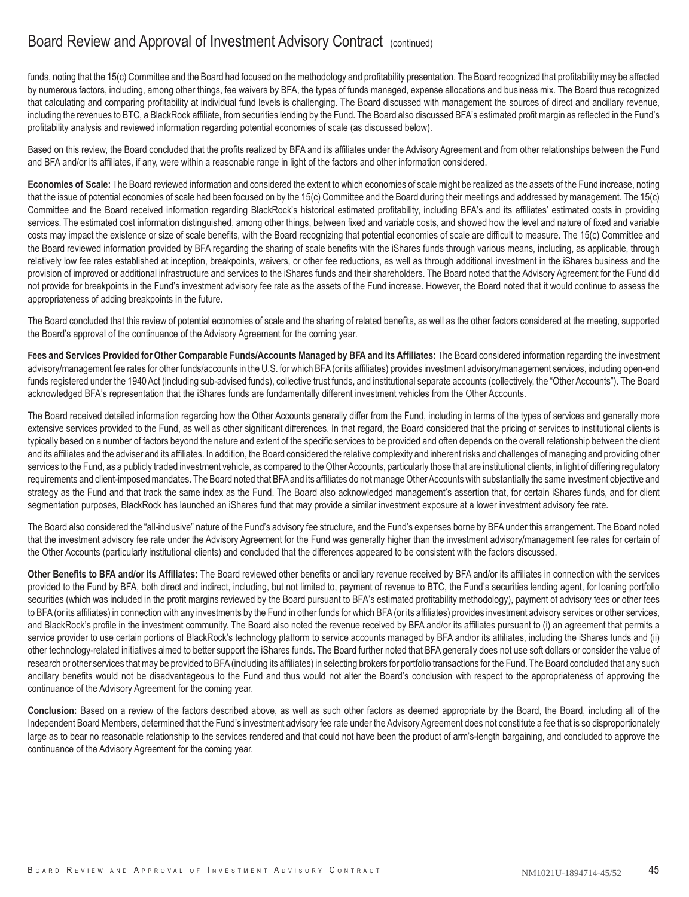# Board Review and Approval of Investment Advisory Contract (continued)

funds, noting that the 15(c) Committee and the Board had focused on the methodology and profitability presentation. The Board recognized that profitability may be affected by numerous factors, including, among other things, fee waivers by BFA, the types of funds managed, expense allocations and business mix. The Board thus recognized that calculating and comparing profitability at individual fund levels is challenging. The Board discussed with management the sources of direct and ancillary revenue, including the revenues to BTC, a BlackRock affiliate, from securities lending by the Fund. The Board also discussed BFA's estimated profit margin as reflected in the Fund's profitability analysis and reviewed information regarding potential economies of scale (as discussed below).

Based on this review, the Board concluded that the profits realized by BFA and its affiliates under the Advisory Agreement and from other relationships between the Fund and BFA and/or its affiliates, if any, were within a reasonable range in light of the factors and other information considered.

**Economies of Scale:** The Board reviewed information and considered the extent to which economies of scale might be realized as the assets of the Fund increase, noting that the issue of potential economies of scale had been focused on by the 15(c) Committee and the Board during their meetings and addressed by management. The 15(c) Committee and the Board received information regarding BlackRock's historical estimated profitability, including BFA's and its affiliates' estimated costs in providing services. The estimated cost information distinguished, among other things, between fixed and variable costs, and showed how the level and nature of fixed and variable costs may impact the existence or size of scale benefits, with the Board recognizing that potential economies of scale are difficult to measure. The 15(c) Committee and the Board reviewed information provided by BFA regarding the sharing of scale benefits with the iShares funds through various means, including, as applicable, through relatively low fee rates established at inception, breakpoints, waivers, or other fee reductions, as well as through additional investment in the iShares business and the provision of improved or additional infrastructure and services to the iShares funds and their shareholders. The Board noted that the Advisory Agreement for the Fund did not provide for breakpoints in the Fund's investment advisory fee rate as the assets of the Fund increase. However, the Board noted that it would continue to assess the appropriateness of adding breakpoints in the future.

The Board concluded that this review of potential economies of scale and the sharing of related benefits, as well as the other factors considered at the meeting, supported the Board's approval of the continuance of the Advisory Agreement for the coming year.

Fees and Services Provided for Other Comparable Funds/Accounts Managed by BFA and its Affiliates: The Board considered information regarding the investment advisory/management fee rates for other funds/accounts in the U.S. for which BFA (or its affiliates) provides investment advisory/management services, including open-end funds registered under the 1940 Act (including sub-advised funds), collective trust funds, and institutional separate accounts (collectively, the "Other Accounts"). The Board acknowledged BFA's representation that the iShares funds are fundamentally different investment vehicles from the Other Accounts.

The Board received detailed information regarding how the Other Accounts generally differ from the Fund, including in terms of the types of services and generally more extensive services provided to the Fund, as well as other significant differences. In that regard, the Board considered that the pricing of services to institutional clients is typically based on a number of factors beyond the nature and extent of the specific services to be provided and often depends on the overall relationship between the client and its affiliates and the adviser and its affiliates. In addition, the Board considered the relative complexity and inherent risks and challenges of managing and providing other services to the Fund, as a publicly traded investment vehicle, as compared to the Other Accounts, particularly those that are institutional clients, in light of differing regulatory requirements and client-imposed mandates. The Board noted that BFA and its affiliates do not manage Other Accounts with substantially the same investment objective and strategy as the Fund and that track the same index as the Fund. The Board also acknowledged management's assertion that, for certain iShares funds, and for client segmentation purposes, BlackRock has launched an iShares fund that may provide a similar investment exposure at a lower investment advisory fee rate.

The Board also considered the "all-inclusive" nature of the Fund's advisory fee structure, and the Fund's expenses borne by BFA under this arrangement. The Board noted that the investment advisory fee rate under the Advisory Agreement for the Fund was generally higher than the investment advisory/management fee rates for certain of the Other Accounts (particularly institutional clients) and concluded that the differences appeared to be consistent with the factors discussed.

**Other Benefits to BFA and/or its Affiliates:** The Board reviewed other benefits or ancillary revenue received by BFA and/or its affiliates in connection with the services provided to the Fund by BFA, both direct and indirect, including, but not limited to, payment of revenue to BTC, the Fund's securities lending agent, for loaning portfolio securities (which was included in the profit margins reviewed by the Board pursuant to BFA's estimated profitability methodology), payment of advisory fees or other fees to BFA (or its affiliates) in connection with any investments by the Fund in other funds for which BFA (or its affiliates) provides investment advisory services or other services, and BlackRock's profile in the investment community. The Board also noted the revenue received by BFA and/or its affiliates pursuant to (i) an agreement that permits a service provider to use certain portions of BlackRock's technology platform to service accounts managed by BFA and/or its affiliates, including the iShares funds and (ii) other technology-related initiatives aimed to better support the iShares funds. The Board further noted that BFA generally does not use soft dollars or consider the value of research or other services that may be provided to BFA (including its affiliates) in selecting brokers for portfolio transactions for the Fund. The Board concluded that any such ancillary benefits would not be disadvantageous to the Fund and thus would not alter the Board's conclusion with respect to the appropriateness of approving the continuance of the Advisory Agreement for the coming year.

**Conclusion:** Based on a review of the factors described above, as well as such other factors as deemed appropriate by the Board, the Board, including all of the Independent Board Members, determined that the Fund's investment advisory fee rate under the Advisory Agreement does not constitute a fee that is so disproportionately large as to bear no reasonable relationship to the services rendered and that could not have been the product of arm's-length bargaining, and concluded to approve the continuance of the Advisory Agreement for the coming year.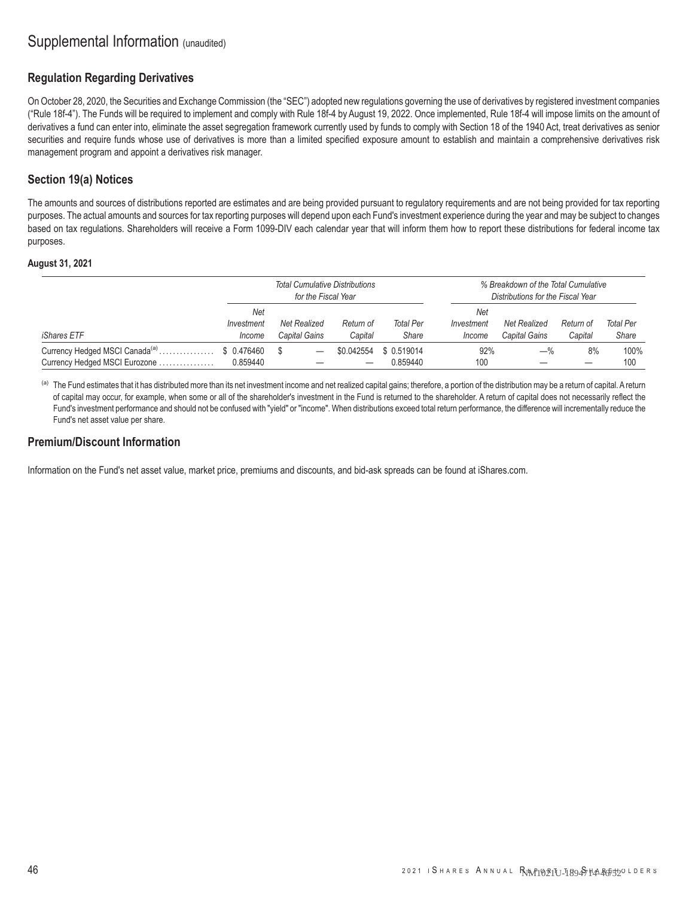# Supplemental Information (unaudited)

# **Regulation Regarding Derivatives**

On October 28, 2020, the Securities and Exchange Commission (the "SEC") adopted new regulations governing the use of derivatives by registered investment companies ("Rule 18f-4"). The Funds will be required to implement and comply with Rule 18f-4 by August 19, 2022. Once implemented, Rule 18f-4 will impose limits on the amount of derivatives a fund can enter into, eliminate the asset segregation framework currently used by funds to comply with Section 18 of the 1940 Act, treat derivatives as senior securities and require funds whose use of derivatives is more than a limited specified exposure amount to establish and maintain a comprehensive derivatives risk management program and appoint a derivatives risk manager.

### **Section 19(a) Notices**

The amounts and sources of distributions reported are estimates and are being provided pursuant to regulatory requirements and are not being provided for tax reporting purposes. The actual amounts and sources for tax reporting purposes will depend upon each Fund's investment experience during the year and may be subject to changes based on tax regulations. Shareholders will receive a Form 1099-DIV each calendar year that will inform them how to report these distributions for federal income tax purposes.

#### **August 31, 2021**

|                                                                             | <b>Total Cumulative Distributions</b><br>for the Fiscal Year |                                      |                      |                           | % Breakdown of the Total Cumulative<br>Distributions for the Fiscal Year |                                      |                      |                           |
|-----------------------------------------------------------------------------|--------------------------------------------------------------|--------------------------------------|----------------------|---------------------------|--------------------------------------------------------------------------|--------------------------------------|----------------------|---------------------------|
| <i><b>iShares ETF</b></i>                                                   | Net<br>Investment<br>Income                                  | Net Realized<br><b>Capital Gains</b> | Return of<br>Capital | <b>Total Per</b><br>Share | Net<br>Investment<br>Income                                              | Net Realized<br><b>Capital Gains</b> | Return of<br>Capital | <b>Total Per</b><br>Share |
| Currency Hedged MSCI Canada <sup>(a)</sup><br>Currency Hedged MSCI Eurozone | \$ 0.476460<br>0.859440                                      |                                      | \$0.042554           | \$0.519014<br>0.859440    | 92%<br>100                                                               | $- \%$                               | 8%                   | 100%<br>100               |

(a) The Fund estimates that it has distributed more than its net investment income and net realized capital gains; therefore, a portion of the distribution may be a return of capital. A return of capital may occur, for example, when some or all of the shareholder's investment in the Fund is returned to the shareholder. A return of capital does not necessarily reflect the Fund's investment performance and should not be confused with "yield" or "income". When distributions exceed total return performance, the difference will incrementally reduce the Fund's net asset value per share.

#### **Premium/Discount Information**

Information on the Fund's net asset value, market price, premiums and discounts, and bid-ask spreads can be found at iShares.com.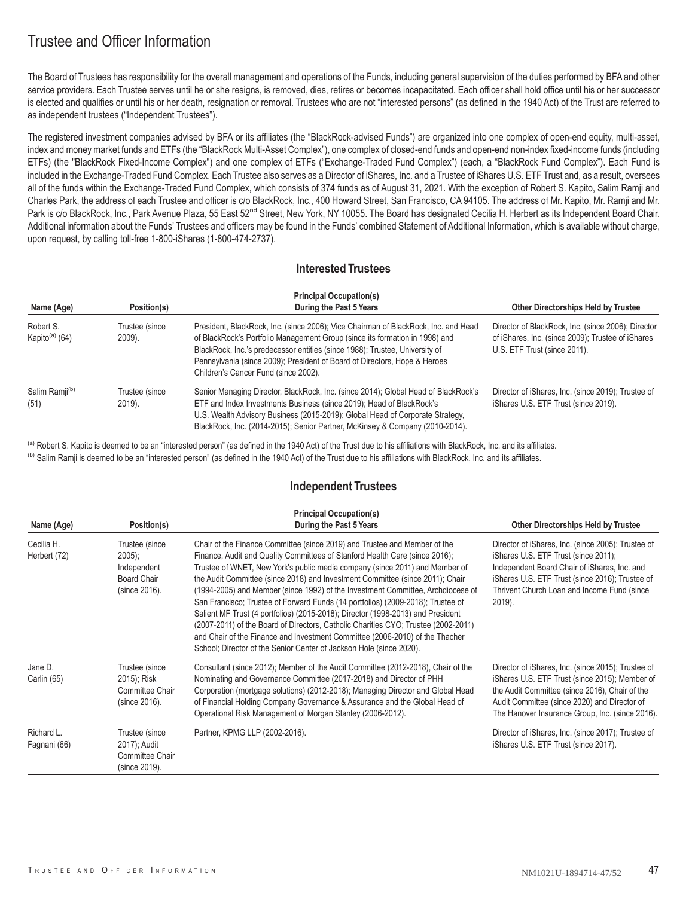# Trustee and Officer Information

The Board of Trustees has responsibility for the overall management and operations of the Funds, including general supervision of the duties performed by BFA and other service providers. Each Trustee serves until he or she resigns, is removed, dies, retires or becomes incapacitated. Each officer shall hold office until his or her successor is elected and qualifies or until his or her death, resignation or removal. Trustees who are not "interested persons" (as defined in the 1940 Act) of the Trust are referred to as independent trustees ("Independent Trustees").

The registered investment companies advised by BFA or its affiliates (the "BlackRock-advised Funds") are organized into one complex of open-end equity, multi-asset, index and money market funds and ETFs (the "BlackRock Multi-Asset Complex"), one complex of closed-end funds and open-end non-index fixed-income funds (including ETFs) (the "BlackRock Fixed-Income Complex") and one complex of ETFs ("Exchange-Traded Fund Complex") (each, a "BlackRock Fund Complex"). Each Fund is included in the Exchange-Traded Fund Complex. Each Trustee also serves as a Director of iShares, Inc. and a Trustee of iShares U.S. ETF Trust and, as a result, oversees all of the funds within the Exchange-Traded Fund Complex, which consists of 374 funds as of August 31, 2021. With the exception of Robert S. Kapito, Salim Ramji and Charles Park, the address of each Trustee and officer is c/o BlackRock, Inc., 400 Howard Street, San Francisco, CA 94105. The address of Mr. Kapito, Mr. Ramji and Mr. Park is c/o BlackRock, Inc., Park Avenue Plaza, 55 East 52<sup>nd</sup> Street, New York, NY 10055. The Board has designated Cecilia H. Herbert as its Independent Board Chair. Additional information about the Funds' Trustees and officers may be found in the Funds' combined Statement of Additional Information, which is available without charge, upon request, by calling toll-free 1-800-iShares (1-800-474-2737).

#### **Interested Trustees**

| Name (Age)                              | Position(s)                 | <b>Principal Occupation(s)</b><br>During the Past 5 Years                                                                                                                                                                                                                                                                                                             | <b>Other Directorships Held by Trustee</b>                                                                                              |
|-----------------------------------------|-----------------------------|-----------------------------------------------------------------------------------------------------------------------------------------------------------------------------------------------------------------------------------------------------------------------------------------------------------------------------------------------------------------------|-----------------------------------------------------------------------------------------------------------------------------------------|
| Robert S.<br>Kapito <sup>(a)</sup> (64) | Trustee (since<br>$2009$ ). | President, BlackRock, Inc. (since 2006); Vice Chairman of BlackRock, Inc. and Head<br>of BlackRock's Portfolio Management Group (since its formation in 1998) and<br>BlackRock, Inc.'s predecessor entities (since 1988); Trustee, University of<br>Pennsylvania (since 2009); President of Board of Directors, Hope & Heroes<br>Children's Cancer Fund (since 2002). | Director of BlackRock, Inc. (since 2006); Director<br>of iShares, Inc. (since 2009); Trustee of iShares<br>U.S. ETF Trust (since 2011). |
| Salim Ramji <sup>(b)</sup><br>(51)      | Trustee (since<br>$2019$ ). | Senior Managing Director, BlackRock, Inc. (since 2014); Global Head of BlackRock's<br>ETF and Index Investments Business (since 2019); Head of BlackRock's<br>U.S. Wealth Advisory Business (2015-2019); Global Head of Corporate Strategy,<br>BlackRock, Inc. (2014-2015); Senior Partner, McKinsey & Company (2010-2014).                                           | Director of iShares, Inc. (since 2019); Trustee of<br>iShares U.S. ETF Trust (since 2019).                                              |

<sup>(a)</sup> Robert S. Kapito is deemed to be an "interested person" (as defined in the 1940 Act) of the Trust due to his affiliations with BlackRock, Inc. and its affiliates. <sup>(b)</sup> Salim Ramji is deemed to be an "interested person" (as defined in the 1940 Act) of the Trust due to his affiliations with BlackRock, Inc. and its affiliates.

# **Independent Trustees**

| Name (Age)                 | Position(s)                                                               | <b>Principal Occupation(s)</b><br>During the Past 5 Years                                                                                                                                                                                                                                                                                                                                                                                                                                                                                                                                                                                                                                                                                                                                                                      | <b>Other Directorships Held by Trustee</b>                                                                                                                                                                                                                |
|----------------------------|---------------------------------------------------------------------------|--------------------------------------------------------------------------------------------------------------------------------------------------------------------------------------------------------------------------------------------------------------------------------------------------------------------------------------------------------------------------------------------------------------------------------------------------------------------------------------------------------------------------------------------------------------------------------------------------------------------------------------------------------------------------------------------------------------------------------------------------------------------------------------------------------------------------------|-----------------------------------------------------------------------------------------------------------------------------------------------------------------------------------------------------------------------------------------------------------|
| Cecilia H.<br>Herbert (72) | Trustee (since<br>$2005$ ;<br>Independent<br>Board Chair<br>(since 2016). | Chair of the Finance Committee (since 2019) and Trustee and Member of the<br>Finance, Audit and Quality Committees of Stanford Health Care (since 2016);<br>Trustee of WNET, New York's public media company (since 2011) and Member of<br>the Audit Committee (since 2018) and Investment Committee (since 2011); Chair<br>(1994-2005) and Member (since 1992) of the Investment Committee, Archdiocese of<br>San Francisco; Trustee of Forward Funds (14 portfolios) (2009-2018); Trustee of<br>Salient MF Trust (4 portfolios) (2015-2018); Director (1998-2013) and President<br>(2007-2011) of the Board of Directors, Catholic Charities CYO; Trustee (2002-2011)<br>and Chair of the Finance and Investment Committee (2006-2010) of the Thacher<br>School; Director of the Senior Center of Jackson Hole (since 2020). | Director of iShares, Inc. (since 2005); Trustee of<br>iShares U.S. ETF Trust (since 2011);<br>Independent Board Chair of iShares, Inc. and<br>iShares U.S. ETF Trust (since 2016). Trustee of<br>Thrivent Church Loan and Income Fund (since<br>2019).    |
| Jane D.<br>Carlin (65)     | Trustee (since<br>2015); Risk<br>Committee Chair<br>(since 2016).         | Consultant (since 2012); Member of the Audit Committee (2012-2018), Chair of the<br>Nominating and Governance Committee (2017-2018) and Director of PHH<br>Corporation (mortgage solutions) (2012-2018); Managing Director and Global Head<br>of Financial Holding Company Governance & Assurance and the Global Head of<br>Operational Risk Management of Morgan Stanley (2006-2012).                                                                                                                                                                                                                                                                                                                                                                                                                                         | Director of iShares, Inc. (since 2015); Trustee of<br>iShares U.S. ETF Trust (since 2015); Member of<br>the Audit Committee (since 2016), Chair of the<br>Audit Committee (since 2020) and Director of<br>The Hanover Insurance Group, Inc. (since 2016). |
| Richard L.<br>Fagnani (66) | Trustee (since<br>2017); Audit<br>Committee Chair<br>(since 2019).        | Partner, KPMG LLP (2002-2016).                                                                                                                                                                                                                                                                                                                                                                                                                                                                                                                                                                                                                                                                                                                                                                                                 | Director of iShares, Inc. (since 2017); Trustee of<br>iShares U.S. ETF Trust (since 2017).                                                                                                                                                                |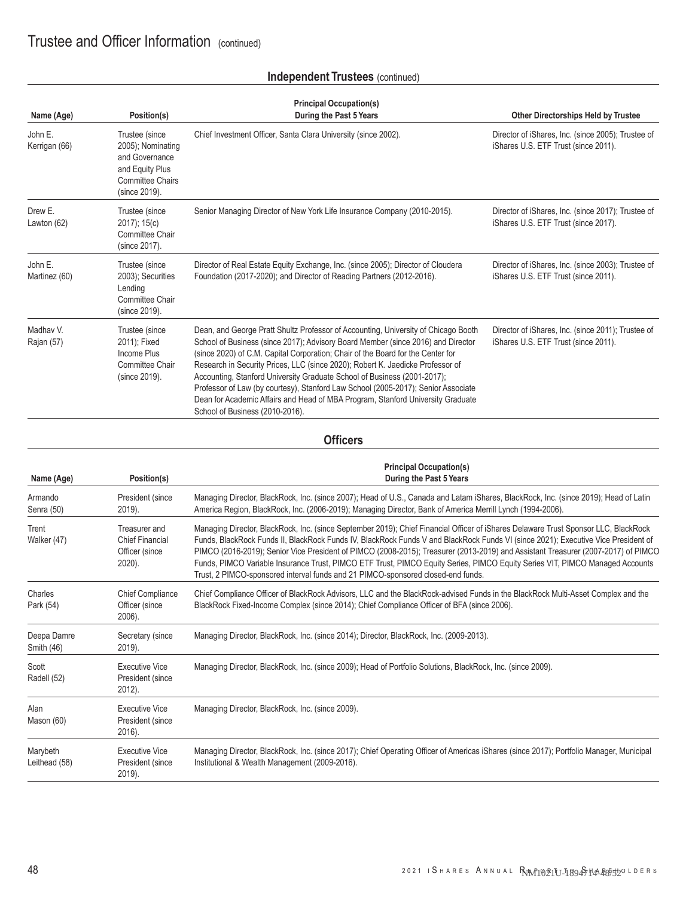# **Independent Trustees** (continued)

| Name (Age)               | Position(s)                                                                                                   | <b>Principal Occupation(s)</b><br>During the Past 5 Years                                                                                                                                                                                                                                                                                                                                                                                                                                                                                                                                                                          | <b>Other Directorships Held by Trustee</b>                                                 |
|--------------------------|---------------------------------------------------------------------------------------------------------------|------------------------------------------------------------------------------------------------------------------------------------------------------------------------------------------------------------------------------------------------------------------------------------------------------------------------------------------------------------------------------------------------------------------------------------------------------------------------------------------------------------------------------------------------------------------------------------------------------------------------------------|--------------------------------------------------------------------------------------------|
| John E.<br>Kerrigan (66) | Trustee (since<br>2005); Nominating<br>and Governance<br>and Equity Plus<br>Committee Chairs<br>(since 2019). | Chief Investment Officer, Santa Clara University (since 2002).                                                                                                                                                                                                                                                                                                                                                                                                                                                                                                                                                                     | Director of iShares, Inc. (since 2005); Trustee of<br>iShares U.S. ETF Trust (since 2011). |
| Drew E.<br>Lawton (62)   | Trustee (since<br>2017); 15(c)<br>Committee Chair<br>(since 2017).                                            | Senior Managing Director of New York Life Insurance Company (2010-2015).                                                                                                                                                                                                                                                                                                                                                                                                                                                                                                                                                           | Director of iShares, Inc. (since 2017); Trustee of<br>iShares U.S. ETF Trust (since 2017). |
| John E.<br>Martinez (60) | Trustee (since<br>2003); Securities<br>Lending<br>Committee Chair<br>(since 2019).                            | Director of Real Estate Equity Exchange, Inc. (since 2005); Director of Cloudera<br>Foundation (2017-2020); and Director of Reading Partners (2012-2016).                                                                                                                                                                                                                                                                                                                                                                                                                                                                          | Director of iShares, Inc. (since 2003); Trustee of<br>iShares U.S. ETF Trust (since 2011). |
| Madhav V.<br>Rajan (57)  | Trustee (since<br>2011); Fixed<br>Income Plus<br>Committee Chair<br>(since 2019).                             | Dean, and George Pratt Shultz Professor of Accounting, University of Chicago Booth<br>School of Business (since 2017); Advisory Board Member (since 2016) and Director<br>(since 2020) of C.M. Capital Corporation; Chair of the Board for the Center for<br>Research in Security Prices, LLC (since 2020); Robert K. Jaedicke Professor of<br>Accounting, Stanford University Graduate School of Business (2001-2017);<br>Professor of Law (by courtesy), Stanford Law School (2005-2017); Senior Associate<br>Dean for Academic Affairs and Head of MBA Program, Stanford University Graduate<br>School of Business (2010-2016). | Director of iShares, Inc. (since 2011); Trustee of<br>iShares U.S. ETF Trust (since 2011). |

# **Officers**

| Name (Age)                | Position(s)                                                            | <b>Principal Occupation(s)</b><br>During the Past 5 Years                                                                                                                                                                                                                                                                                                                                                                                                                                                                                                                                                                         |  |  |
|---------------------------|------------------------------------------------------------------------|-----------------------------------------------------------------------------------------------------------------------------------------------------------------------------------------------------------------------------------------------------------------------------------------------------------------------------------------------------------------------------------------------------------------------------------------------------------------------------------------------------------------------------------------------------------------------------------------------------------------------------------|--|--|
| Armando<br>Senra (50)     | President (since<br>$2019$ ).                                          | Managing Director, BlackRock, Inc. (since 2007); Head of U.S., Canada and Latam iShares, BlackRock, Inc. (since 2019); Head of Latin<br>America Region, BlackRock, Inc. (2006-2019); Managing Director, Bank of America Merrill Lynch (1994-2006).                                                                                                                                                                                                                                                                                                                                                                                |  |  |
| Trent<br>Walker (47)      | Treasurer and<br><b>Chief Financial</b><br>Officer (since<br>$2020$ ). | Managing Director, BlackRock, Inc. (since September 2019); Chief Financial Officer of iShares Delaware Trust Sponsor LLC, BlackRock<br>Funds, BlackRock Funds II, BlackRock Funds IV, BlackRock Funds V and BlackRock Funds VI (since 2021); Executive Vice President of<br>PIMCO (2016-2019); Senior Vice President of PIMCO (2008-2015); Treasurer (2013-2019) and Assistant Treasurer (2007-2017) of PIMCO<br>Funds, PIMCO Variable Insurance Trust, PIMCO ETF Trust, PIMCO Equity Series, PIMCO Equity Series VIT, PIMCO Managed Accounts<br>Trust, 2 PIMCO-sponsored interval funds and 21 PIMCO-sponsored closed-end funds. |  |  |
| Charles<br>Park (54)      | <b>Chief Compliance</b><br>Officer (since<br>2006).                    | Chief Compliance Officer of BlackRock Advisors, LLC and the BlackRock-advised Funds in the BlackRock Multi-Asset Complex and the<br>BlackRock Fixed-Income Complex (since 2014); Chief Compliance Officer of BFA (since 2006).                                                                                                                                                                                                                                                                                                                                                                                                    |  |  |
| Deepa Damre<br>Smith (46) | Secretary (since<br>$2019$ ).                                          | Managing Director, BlackRock, Inc. (since 2014); Director, BlackRock, Inc. (2009-2013).                                                                                                                                                                                                                                                                                                                                                                                                                                                                                                                                           |  |  |
| Scott<br>Radell (52)      | <b>Executive Vice</b><br>President (since)<br>$2012$ ).                | Managing Director, BlackRock, Inc. (since 2009); Head of Portfolio Solutions, BlackRock, Inc. (since 2009).                                                                                                                                                                                                                                                                                                                                                                                                                                                                                                                       |  |  |
| Alan<br>Mason (60)        | Executive Vice<br>President (since<br>$2016$ ).                        | Managing Director, BlackRock, Inc. (since 2009).                                                                                                                                                                                                                                                                                                                                                                                                                                                                                                                                                                                  |  |  |
| Marybeth<br>Leithead (58) | <b>Executive Vice</b><br>President (since<br>2019).                    | Managing Director, BlackRock, Inc. (since 2017); Chief Operating Officer of Americas iShares (since 2017); Portfolio Manager, Municipal<br>Institutional & Wealth Management (2009-2016).                                                                                                                                                                                                                                                                                                                                                                                                                                         |  |  |
|                           |                                                                        |                                                                                                                                                                                                                                                                                                                                                                                                                                                                                                                                                                                                                                   |  |  |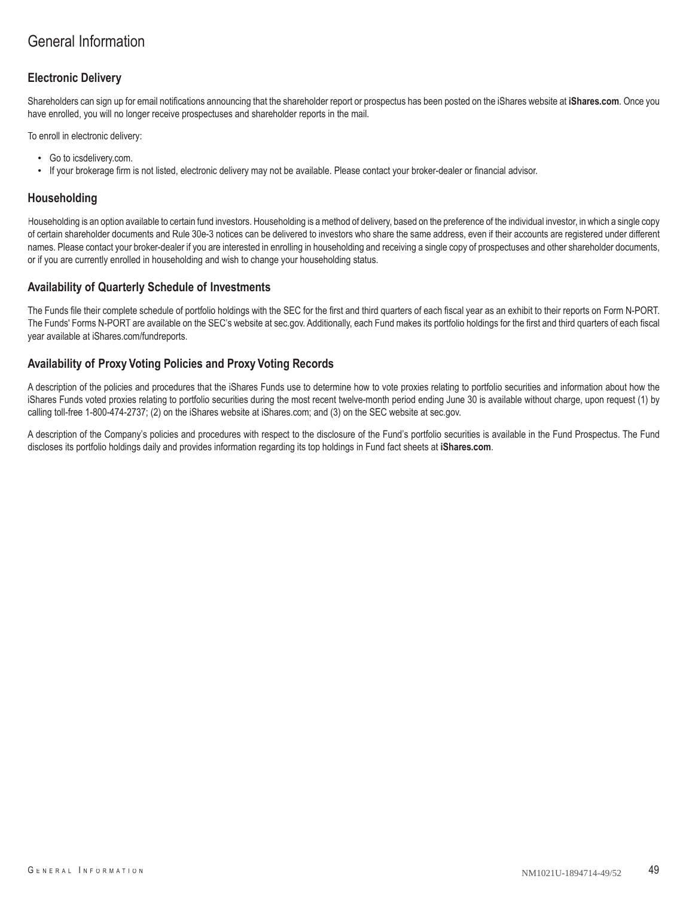# General Information

### **Electronic Delivery**

Shareholders can sign up for email notifications announcing that the shareholder report or prospectus has been posted on the iShares website at **iShares.com**. Once you have enrolled, you will no longer receive prospectuses and shareholder reports in the mail.

To enroll in electronic delivery:

- Go to icsdelivery.com.
- If your brokerage firm is not listed, electronic delivery may not be available. Please contact your broker-dealer or financial advisor.

#### **Householding**

Householding is an option available to certain fund investors. Householding is a method of delivery, based on the preference of the individual investor, in which a single copy of certain shareholder documents and Rule 30e-3 notices can be delivered to investors who share the same address, even if their accounts are registered under different names. Please contact your broker-dealer if you are interested in enrolling in householding and receiving a single copy of prospectuses and other shareholder documents, or if you are currently enrolled in householding and wish to change your householding status.

#### **Availability of Quarterly Schedule of Investments**

The Funds file their complete schedule of portfolio holdings with the SEC for the first and third quarters of each fiscal year as an exhibit to their reports on Form N-PORT. The Funds' Forms N-PORT are available on the SEC's website at sec.gov. Additionally, each Fund makes its portfolio holdings for the first and third quarters of each fiscal year available at iShares.com/fundreports.

#### **Availability of Proxy Voting Policies and Proxy Voting Records**

A description of the policies and procedures that the iShares Funds use to determine how to vote proxies relating to portfolio securities and information about how the iShares Funds voted proxies relating to portfolio securities during the most recent twelve-month period ending June 30 is available without charge, upon request (1) by calling toll-free 1-800-474-2737; (2) on the iShares website at iShares.com; and (3) on the SEC website at sec.gov.

A description of the Company's policies and procedures with respect to the disclosure of the Fund's portfolio securities is available in the Fund Prospectus. The Fund discloses its portfolio holdings daily and provides information regarding its top holdings in Fund fact sheets at **iShares.com**.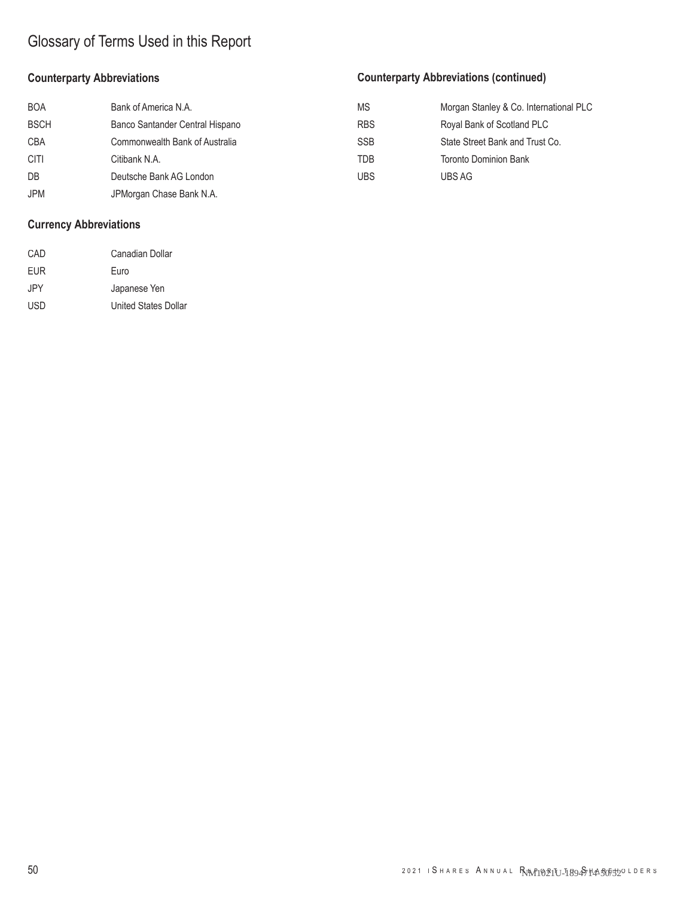# Glossary of Terms Used in this Report

# **Counterparty Abbreviations**

# **Counterparty Abbreviations (continued)**

| <b>BOA</b>  | Bank of America N.A.            | ΜS         | Morgan Stanley & Co. International PLC |
|-------------|---------------------------------|------------|----------------------------------------|
| <b>BSCH</b> | Banco Santander Central Hispano | <b>RBS</b> | Royal Bank of Scotland PLC             |
| <b>CBA</b>  | Commonwealth Bank of Australia  | <b>SSB</b> | State Street Bank and Trust Co.        |
| <b>CITI</b> | Citibank N.A.                   | TDB        | <b>Toronto Dominion Bank</b>           |
| DB          | Deutsche Bank AG London         | UBS        | UBS AG                                 |
| <b>JPM</b>  | JPMorgan Chase Bank N.A.        |            |                                        |

### **Currency Abbreviations**

| CAD  | Canadian Dollar             |
|------|-----------------------------|
| EUR  | Euro                        |
| JPY. | Japanese Yen                |
| USD  | <b>United States Dollar</b> |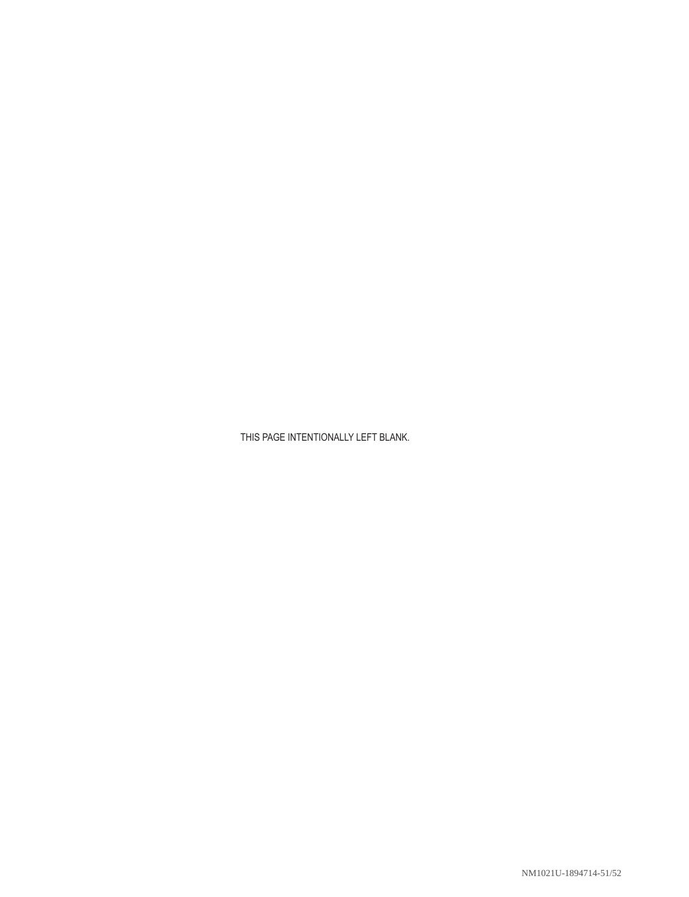THIS PAGE INTENTIONALLY LEFT BLANK.